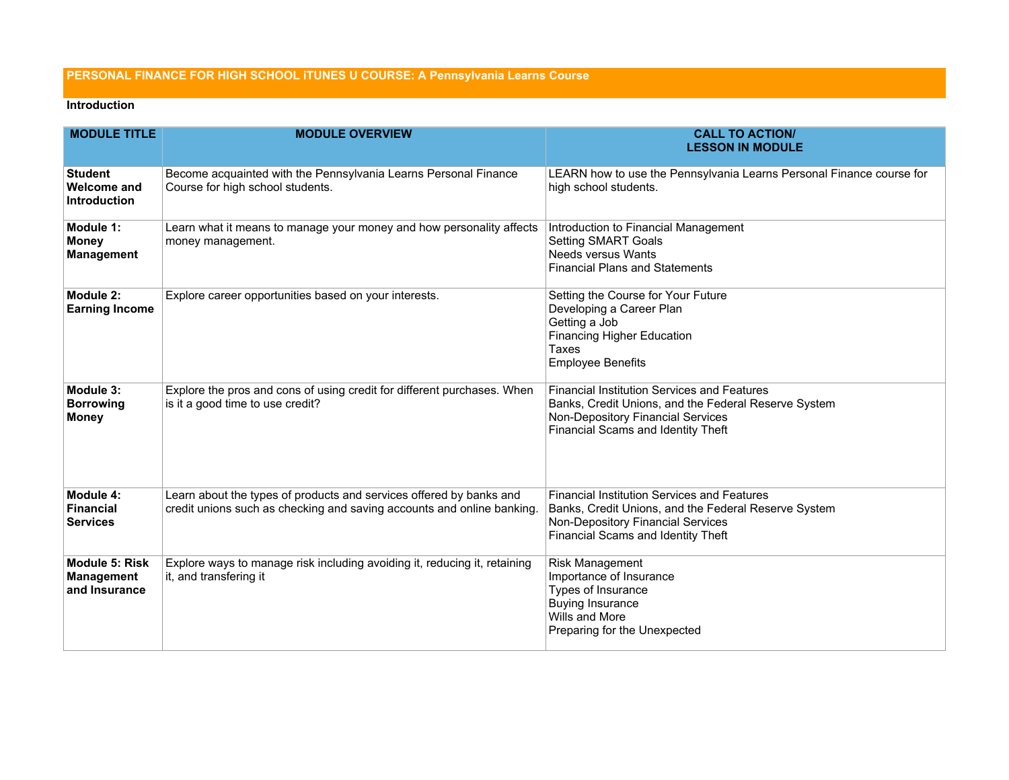## **PERSONAL FINANCE FOR HIGH SCHOOL iTUNES U COURSE: A Pennsylvania Learns Course**

## **Introduction**

| <b>MODULE TITLE</b>                                         | <b>MODULE OVERVIEW</b>                                                                                                                       | <b>CALL TO ACTION/</b><br><b>LESSON IN MODULE</b>                                                                                                                                     |
|-------------------------------------------------------------|----------------------------------------------------------------------------------------------------------------------------------------------|---------------------------------------------------------------------------------------------------------------------------------------------------------------------------------------|
| <b>Student</b><br><b>Welcome and</b><br><b>Introduction</b> | Become acquainted with the Pennsylvania Learns Personal Finance<br>Course for high school students.                                          | LEARN how to use the Pennsylvania Learns Personal Finance course for<br>high school students.                                                                                         |
| Module 1:<br><b>Money</b><br><b>Management</b>              | Learn what it means to manage your money and how personality affects<br>money management.                                                    | Introduction to Financial Management<br><b>Setting SMART Goals</b><br><b>Needs versus Wants</b><br><b>Financial Plans and Statements</b>                                              |
| Module 2:<br><b>Earning Income</b>                          | Explore career opportunities based on your interests.                                                                                        | Setting the Course for Your Future<br>Developing a Career Plan<br>Getting a Job<br><b>Financing Higher Education</b><br>Taxes<br><b>Employee Benefits</b>                             |
| Module 3:<br><b>Borrowing</b><br><b>Money</b>               | Explore the pros and cons of using credit for different purchases. When<br>is it a good time to use credit?                                  | <b>Financial Institution Services and Features</b><br>Banks, Credit Unions, and the Federal Reserve System<br>Non-Depository Financial Services<br>Financial Scams and Identity Theft |
| Module 4:<br><b>Financial</b><br><b>Services</b>            | Learn about the types of products and services offered by banks and<br>credit unions such as checking and saving accounts and online banking | <b>Financial Institution Services and Features</b><br>Banks, Credit Unions, and the Federal Reserve System<br>Non-Depository Financial Services<br>Financial Scams and Identity Theft |
| <b>Module 5: Risk</b><br><b>Management</b><br>and Insurance | Explore ways to manage risk including avoiding it, reducing it, retaining<br>it, and transfering it                                          | Risk Management<br>Importance of Insurance<br>Types of Insurance<br><b>Buying Insurance</b><br>Wills and More<br>Preparing for the Unexpected                                         |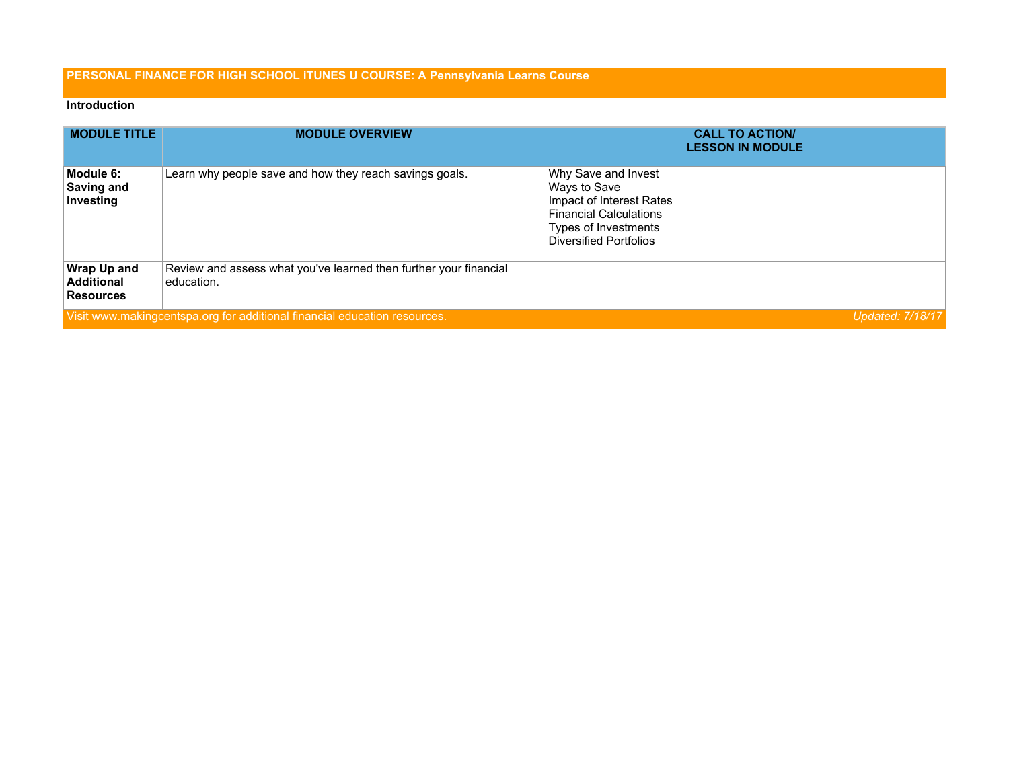## **PERSONAL FINANCE FOR HIGH SCHOOL iTUNES U COURSE: A Pennsylvania Learns Course**

## **Introduction**

| <b>MODULE TITLE</b>                                         | <b>MODULE OVERVIEW</b>                                                          | <b>CALL TO ACTION/</b><br><b>LESSON IN MODULE</b>                                                                                                         |
|-------------------------------------------------------------|---------------------------------------------------------------------------------|-----------------------------------------------------------------------------------------------------------------------------------------------------------|
| Module 6:<br>Saving and<br>Investing                        | Learn why people save and how they reach savings goals.                         | Why Save and Invest<br>Ways to Save<br>Impact of Interest Rates<br><b>Financial Calculations</b><br>Types of Investments<br><b>Diversified Portfolios</b> |
| <b>Wrap Up and</b><br><b>Additional</b><br><b>Resources</b> | Review and assess what you've learned then further your financial<br>education. |                                                                                                                                                           |
|                                                             | Visit www.makingcentspa.org for additional financial education resources.       | <b>Updated: 7/18/17</b>                                                                                                                                   |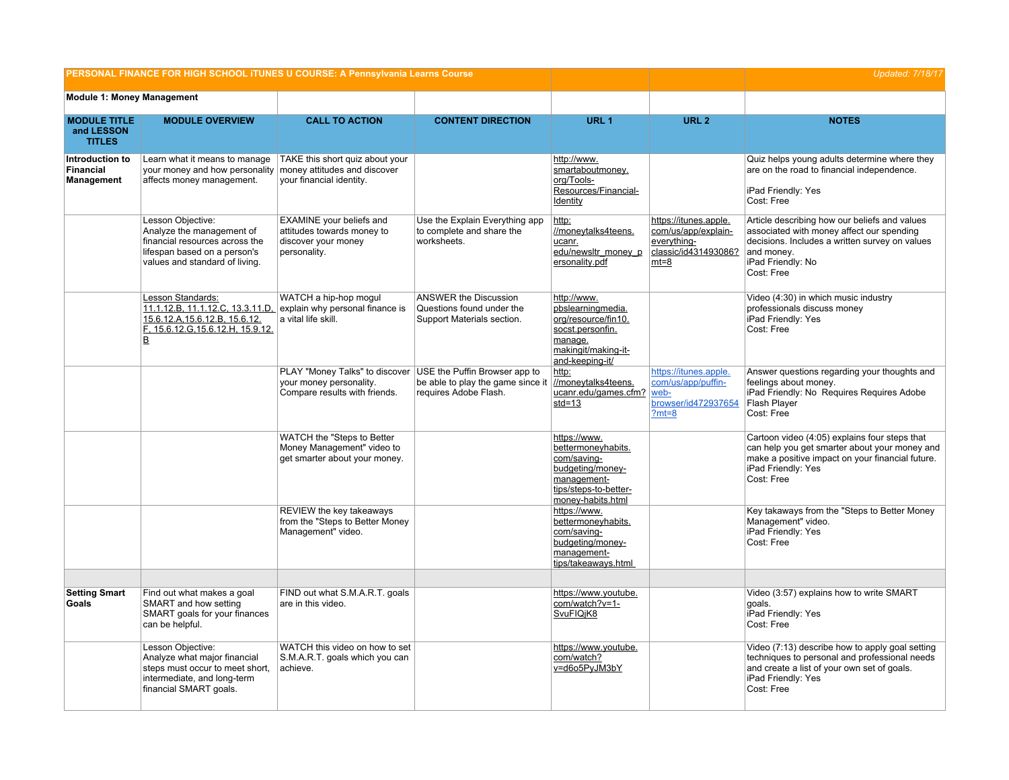|                                                    | PERSONAL FINANCE FOR HIGH SCHOOL ITUNES U COURSE: A Pennsylvania Learns Course                                                                     | <b>Updated: 7/18/17</b>                                                                                                  |                                                                                         |                                                                                                                                    |                                                                                               |                                                                                                                                                                                               |
|----------------------------------------------------|----------------------------------------------------------------------------------------------------------------------------------------------------|--------------------------------------------------------------------------------------------------------------------------|-----------------------------------------------------------------------------------------|------------------------------------------------------------------------------------------------------------------------------------|-----------------------------------------------------------------------------------------------|-----------------------------------------------------------------------------------------------------------------------------------------------------------------------------------------------|
| <b>Module 1: Money Management</b>                  |                                                                                                                                                    |                                                                                                                          |                                                                                         |                                                                                                                                    |                                                                                               |                                                                                                                                                                                               |
| <b>MODULE TITLE</b><br>and LESSON<br><b>TITLES</b> | <b>MODULE OVERVIEW</b>                                                                                                                             | <b>CALL TO ACTION</b>                                                                                                    | <b>CONTENT DIRECTION</b>                                                                | URL <sub>1</sub>                                                                                                                   | URL <sub>2</sub>                                                                              | <b>NOTES</b>                                                                                                                                                                                  |
| Introduction to<br><b>Financial</b><br>Management  | Learn what it means to manage<br>your money and how personality money attitudes and discover<br>affects money management.                          | TAKE this short quiz about your<br>your financial identity.                                                              |                                                                                         | http://www.<br>smartaboutmoney.<br>org/Tools-<br>Resources/Financial-<br>Identity                                                  |                                                                                               | Quiz helps young adults determine where they<br>are on the road to financial independence.<br>iPad Friendly: Yes<br>Cost: Free                                                                |
|                                                    | Lesson Objective:<br>Analyze the management of<br>financial resources across the<br>lifespan based on a person's<br>values and standard of living. | EXAMINE your beliefs and<br>attitudes towards money to<br>discover your money<br>personality.                            | Use the Explain Everything app<br>to complete and share the<br>worksheets.              | http:<br>//moneytalks4teens.<br>ucanr.<br>edu/newsltr_money_p<br>ersonality.pdf                                                    | https://itunes.apple.<br>com/us/app/explain-<br>everything-<br>classic/id431493086?<br>$mt=8$ | Article describing how our beliefs and values<br>associated with money affect our spending<br>decisions. Includes a written survey on values<br>and money.<br>iPad Friendly: No<br>Cost: Free |
|                                                    | Lesson Standards:<br>11.1.12.B, 11.1.12.C, 13.3.11.D,<br>15.6.12.A, 15.6.12.B, 15.6.12.<br>F, 15.6.12.G, 15.6.12.H, 15.9.12.<br>B                  | WATCH a hip-hop moqul<br>explain why personal finance is<br>a vital life skill.                                          | <b>ANSWER the Discussion</b><br>Questions found under the<br>Support Materials section. | http://www.<br>pbslearningmedia.<br>org/resource/fin10.<br>socst.personfin.<br>manage.<br>makingit/making-it-<br>and-keeping-it/   |                                                                                               | Video (4:30) in which music industry<br>professionals discuss money<br>iPad Friendly: Yes<br>Cost: Free                                                                                       |
|                                                    |                                                                                                                                                    | PLAY "Money Talks" to discover USE the Puffin Browser app to<br>your money personality.<br>Compare results with friends. | be able to play the game since it<br>requires Adobe Flash.                              | http:<br>//moneytalks4teens.<br>ucanr.edu/games.cfm?<br>$std=13$                                                                   | https://itunes.apple.<br>com/us/app/puffin-<br>web-<br>browser/id472937654<br>$?mt=8$         | Answer questions regarding your thoughts and<br>feelings about money.<br>iPad Friendly: No Requires Requires Adobe<br>Flash Player<br>Cost: Free                                              |
|                                                    |                                                                                                                                                    | WATCH the "Steps to Better<br>Money Management" video to<br>get smarter about your money.                                |                                                                                         | https://www.<br>bettermoneyhabits.<br>com/saving-<br>budgeting/money-<br>management-<br>tips/steps-to-better-<br>money-habits.html |                                                                                               | Cartoon video (4:05) explains four steps that<br>can help you get smarter about your money and<br>make a positive impact on your financial future.<br>iPad Friendly: Yes<br>Cost: Free        |
|                                                    |                                                                                                                                                    | REVIEW the key takeaways<br>from the "Steps to Better Money<br>Management" video.                                        |                                                                                         | https://www.<br>bettermoneyhabits.<br>com/saving-<br>budgeting/money-<br>management-<br>tips/takeaways.html                        |                                                                                               | Key takaways from the "Steps to Better Money<br>Management" video.<br>iPad Friendly: Yes<br>Cost: Free                                                                                        |
| <b>Setting Smart</b>                               | Find out what makes a goal                                                                                                                         | FIND out what S.M.A.R.T. goals                                                                                           |                                                                                         | https://www.youtube.                                                                                                               |                                                                                               | Video (3:57) explains how to write SMART                                                                                                                                                      |
| Goals                                              | SMART and how setting<br>SMART goals for your finances<br>can be helpful.                                                                          | are in this video.                                                                                                       |                                                                                         | com/watch?v=1-<br>SvuFIQjK8                                                                                                        |                                                                                               | qoals.<br>iPad Friendly: Yes<br>Cost: Free                                                                                                                                                    |
|                                                    | Lesson Objective:<br>Analyze what major financial<br>steps must occur to meet short,<br>intermediate, and long-term<br>financial SMART goals.      | WATCH this video on how to set<br>S.M.A.R.T. goals which you can<br>achieve.                                             |                                                                                         | https://www.youtube.<br>com/watch?<br>v=d6o5PyJM3bY                                                                                |                                                                                               | Video (7:13) describe how to apply goal setting<br>techniques to personal and professional needs<br>and create a list of your own set of goals.<br>iPad Friendly: Yes<br>Cost: Free           |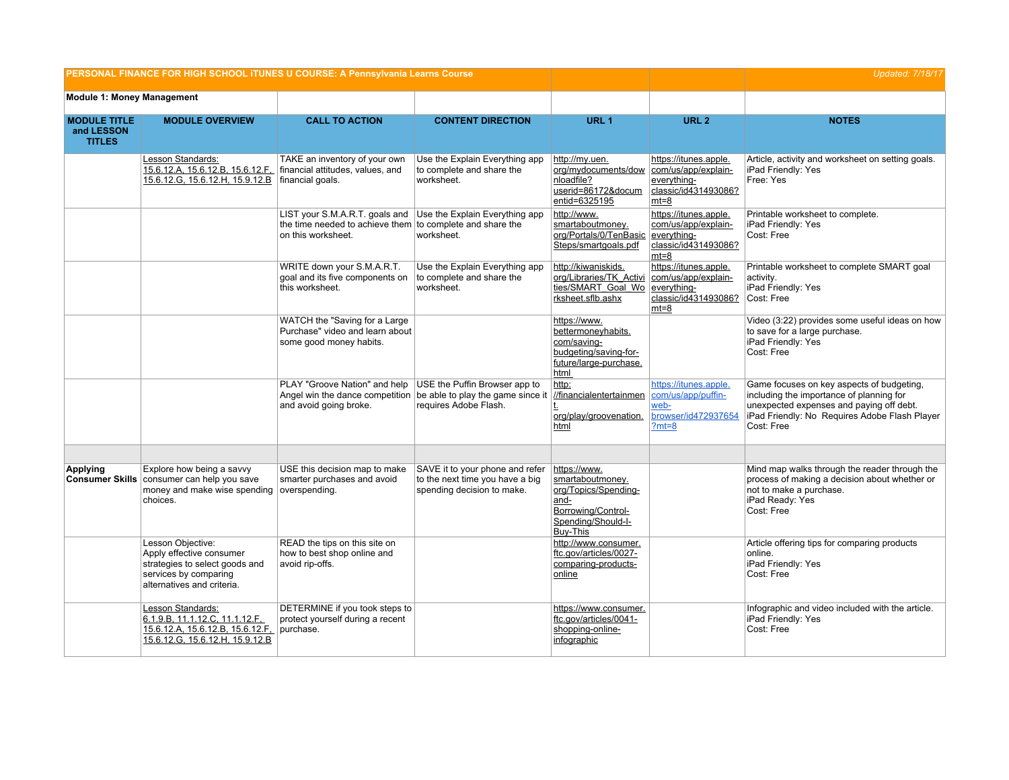| PERSONAL FINANCE FOR HIGH SCHOOL ITUNES U COURSE: A Pennsylvania Learns Course |                                                                                                                                        |                                                                                                                                                            |                                                                                                  |                                                                                                                          |                                                                                               | <b>Updated: 7/18/17</b>                                                                                                                                                                          |
|--------------------------------------------------------------------------------|----------------------------------------------------------------------------------------------------------------------------------------|------------------------------------------------------------------------------------------------------------------------------------------------------------|--------------------------------------------------------------------------------------------------|--------------------------------------------------------------------------------------------------------------------------|-----------------------------------------------------------------------------------------------|--------------------------------------------------------------------------------------------------------------------------------------------------------------------------------------------------|
| <b>Module 1: Money Management</b>                                              |                                                                                                                                        |                                                                                                                                                            |                                                                                                  |                                                                                                                          |                                                                                               |                                                                                                                                                                                                  |
| <b>MODULE TITLE</b><br>and LESSON<br><b>TITLES</b>                             | <b>MODULE OVERVIEW</b>                                                                                                                 | <b>CALL TO ACTION</b>                                                                                                                                      | <b>CONTENT DIRECTION</b>                                                                         | URL <sub>1</sub>                                                                                                         | URL <sub>2</sub>                                                                              | <b>NOTES</b>                                                                                                                                                                                     |
|                                                                                | Lesson Standards:<br>15.6.12.A, 15.6.12.B, 15.6.12.F,<br>15.6.12.G, 15.6.12.H, 15.9.12.B                                               | TAKE an inventory of your own<br>financial attitudes, values, and<br>financial goals.                                                                      | Use the Explain Everything app<br>to complete and share the<br>worksheet.                        | http://my.uen.<br>org/mydocuments/dow<br>nloadfile?<br>userid=86172&docum<br>entid=6325195                               | https://itunes.apple.<br>com/us/app/explain-<br>everything-<br>classic/id431493086?<br>$mt=8$ | Article, activity and worksheet on setting goals.<br>iPad Friendly: Yes<br>Free: Yes                                                                                                             |
|                                                                                |                                                                                                                                        | LIST your S.M.A.R.T. goals and Use the Explain Everything app<br>the time needed to achieve them to complete and share the<br>on this worksheet.           | worksheet.                                                                                       | http://www.<br>smartaboutmoney.<br>org/Portals/0/TenBasic<br>Steps/smartgoals.pdf                                        | https://itunes.apple.<br>com/us/app/explain-<br>everything-<br>classic/id431493086?<br>$mt=8$ | Printable worksheet to complete.<br>iPad Friendly: Yes<br>Cost: Free                                                                                                                             |
|                                                                                |                                                                                                                                        | WRITE down your S.M.A.R.T.<br>goal and its five components on<br>this worksheet.                                                                           | Use the Explain Everything app<br>to complete and share the<br>worksheet.                        | http://kiwaniskids.<br>org/Libraries/TK Activi<br>ties/SMART Goal Wo<br>rksheet.sflb.ashx                                | https://itunes.apple.<br>com/us/app/explain-<br>everything-<br>classic/id431493086?<br>$mt=8$ | Printable worksheet to complete SMART goal<br>activity.<br>iPad Friendly: Yes<br>Cost: Free                                                                                                      |
|                                                                                |                                                                                                                                        | WATCH the "Saving for a Large"<br>Purchase" video and learn about<br>some good money habits.                                                               |                                                                                                  | https://www.<br>bettermoneyhabits.<br>com/saving-<br>budgeting/saving-for-<br>future/large-purchase.<br>html             |                                                                                               | Video (3:22) provides some useful ideas on how<br>to save for a large purchase.<br>iPad Friendly: Yes<br>Cost: Free                                                                              |
|                                                                                |                                                                                                                                        | PLAY "Groove Nation" and help USE the Puffin Browser app to<br>Angel win the dance competition be able to play the game since it<br>and avoid going broke. | requires Adobe Flash.                                                                            | http:<br>//financialentertainmen<br>org/play/groovenation.<br>html                                                       | https://itunes.apple.<br>com/us/app/puffin-<br>web-<br>browser/id472937654<br>$?mt=8$         | Game focuses on key aspects of budgeting,<br>including the importance of planning for<br>unexpected expenses and paying off debt.<br>iPad Friendly: No Requires Adobe Flash Player<br>Cost: Free |
| <b>Applying</b>                                                                | Explore how being a savvy<br>Consumer Skills consumer can help you save<br>money and make wise spending<br>choices.                    | USE this decision map to make<br>smarter purchases and avoid<br>overspending.                                                                              | SAVE it to your phone and refer<br>to the next time you have a big<br>spending decision to make. | https://www.<br>smartaboutmoney.<br>org/Topics/Spending-<br>and-<br>Borrowing/Control-<br>Spending/Should-I-<br>Buy-This |                                                                                               | Mind map walks through the reader through the<br>process of making a decision about whether or<br>not to make a purchase.<br>iPad Ready: Yes<br>Cost: Free                                       |
|                                                                                | Lesson Objective:<br>Apply effective consumer<br>strategies to select goods and<br>services by comparing<br>alternatives and criteria. | READ the tips on this site on<br>how to best shop online and<br>avoid rip-offs.                                                                            |                                                                                                  | http://www.consumer.<br>ftc.gov/articles/0027-<br>comparing-products-<br>online                                          |                                                                                               | Article offering tips for comparing products<br>online.<br>iPad Friendly: Yes<br>Cost: Free                                                                                                      |
|                                                                                | Lesson Standards:<br>6.1.9.B, 11.1.12.C, 11.1.12.F,<br>15.6.12.A, 15.6.12.B, 15.6.12.F,<br>15.6.12.G, 15.6.12.H, 15.9.12.B             | DETERMINE if you took steps to<br>protect yourself during a recent<br>purchase.                                                                            |                                                                                                  | https://www.consumer.<br>ftc.gov/articles/0041-<br>shopping-online-<br>infographic                                       |                                                                                               | Infographic and video included with the article.<br>iPad Friendly: Yes<br>Cost: Free                                                                                                             |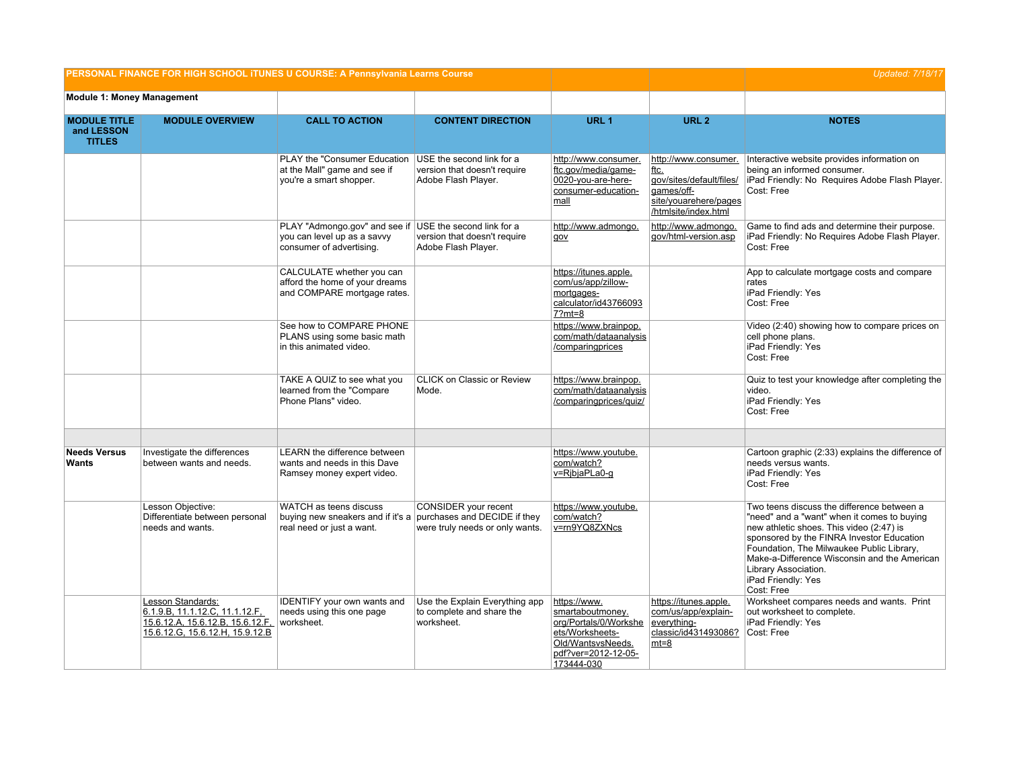| PERSONAL FINANCE FOR HIGH SCHOOL ITUNES U COURSE: A Pennsylvania Learns Course |                                                                                                                            |                                                                                                                       |                                                                                  | <b>Updated: 7/18/17</b>                                                                                                                |                                                                                                                                |                                                                                                                                                                                                                                                                                                                                             |
|--------------------------------------------------------------------------------|----------------------------------------------------------------------------------------------------------------------------|-----------------------------------------------------------------------------------------------------------------------|----------------------------------------------------------------------------------|----------------------------------------------------------------------------------------------------------------------------------------|--------------------------------------------------------------------------------------------------------------------------------|---------------------------------------------------------------------------------------------------------------------------------------------------------------------------------------------------------------------------------------------------------------------------------------------------------------------------------------------|
| <b>Module 1: Money Management</b>                                              |                                                                                                                            |                                                                                                                       |                                                                                  |                                                                                                                                        |                                                                                                                                |                                                                                                                                                                                                                                                                                                                                             |
| <b>MODULE TITLE</b><br>and LESSON<br><b>TITLES</b>                             | <b>MODULE OVERVIEW</b>                                                                                                     | <b>CALL TO ACTION</b>                                                                                                 | <b>CONTENT DIRECTION</b>                                                         | URL <sub>1</sub>                                                                                                                       | URL <sub>2</sub>                                                                                                               | <b>NOTES</b>                                                                                                                                                                                                                                                                                                                                |
|                                                                                |                                                                                                                            | PLAY the "Consumer Education<br>at the Mall" game and see if<br>you're a smart shopper.                               | USE the second link for a<br>version that doesn't require<br>Adobe Flash Player. | http://www.consumer.<br>ftc.gov/media/game-<br>0020-you-are-here-<br>consumer-education-<br>mall                                       | http://www.consumer.<br><u>ftc.</u><br>gov/sites/default/files/<br>games/off-<br>site/youarehere/pages<br>/htmlsite/index.html | Interactive website provides information on<br>being an informed consumer.<br>iPad Friendly: No Requires Adobe Flash Player.<br>Cost: Free                                                                                                                                                                                                  |
|                                                                                |                                                                                                                            | PLAY "Admongo.gov" and see if USE the second link for a<br>you can level up as a savvy<br>consumer of advertising.    | version that doesn't require<br>Adobe Flash Player.                              | http://www.admongo.<br>gov                                                                                                             | http://www.admongo.<br>gov/html-version.asp                                                                                    | Game to find ads and determine their purpose.<br>iPad Friendly: No Requires Adobe Flash Player.<br>Cost: Free                                                                                                                                                                                                                               |
|                                                                                |                                                                                                                            | CALCULATE whether you can<br>afford the home of your dreams<br>and COMPARE mortgage rates.                            |                                                                                  | https://itunes.apple.<br>com/us/app/zillow-<br>mortgages-<br>calculator/id43766093<br>$7?mt=8$                                         |                                                                                                                                | App to calculate mortgage costs and compare<br>rates<br>iPad Friendly: Yes<br>Cost: Free                                                                                                                                                                                                                                                    |
|                                                                                |                                                                                                                            | See how to COMPARE PHONE<br>PLANS using some basic math<br>in this animated video.                                    |                                                                                  | https://www.brainpop.<br>com/math/dataanalysis<br>/comparingprices                                                                     |                                                                                                                                | Video (2:40) showing how to compare prices on<br>cell phone plans.<br>iPad Friendly: Yes<br>Cost: Free                                                                                                                                                                                                                                      |
|                                                                                |                                                                                                                            | TAKE A QUIZ to see what you<br>learned from the "Compare<br>Phone Plans" video.                                       | CLICK on Classic or Review<br>Mode.                                              | https://www.brainpop.<br>com/math/dataanalysis<br>/comparingprices/quiz/                                                               |                                                                                                                                | Quiz to test your knowledge after completing the<br>video.<br>iPad Friendly: Yes<br>Cost: Free                                                                                                                                                                                                                                              |
| <b>Needs Versus</b><br>Wants                                                   | Investigate the differences<br>between wants and needs.                                                                    | LEARN the difference between<br>wants and needs in this Dave<br>Ramsey money expert video.                            |                                                                                  | https://www.youtube.<br>com/watch?<br>v=RjbjaPLa0-g                                                                                    |                                                                                                                                | Cartoon graphic (2:33) explains the difference of<br>needs versus wants.<br>iPad Friendly: Yes<br>Cost: Free                                                                                                                                                                                                                                |
|                                                                                | Lesson Objective:<br>Differentiate between personal<br>needs and wants.                                                    | WATCH as teens discuss<br>buying new sneakers and if it's a purchases and DECIDE if they<br>real need or just a want. | CONSIDER your recent<br>were truly needs or only wants.                          | https://www.youtube.<br>com/watch?<br>v=rn9YQ8ZXNcs                                                                                    |                                                                                                                                | Two teens discuss the difference between a<br>"need" and a "want" when it comes to buying<br>new athletic shoes. This video (2:47) is<br>sponsored by the FINRA Investor Education<br>Foundation, The Milwaukee Public Library,<br>Make-a-Difference Wisconsin and the American<br>Library Association.<br>iPad Friendly: Yes<br>Cost: Free |
|                                                                                | Lesson Standards:<br>6.1.9.B, 11.1.12.C, 11.1.12.F,<br>15.6.12.A, 15.6.12.B, 15.6.12.F,<br>15.6.12.G, 15.6.12.H, 15.9.12.B | <b>IDENTIFY your own wants and</b><br>needs using this one page<br>worksheet.                                         | Use the Explain Everything app<br>to complete and share the<br>worksheet.        | https://www.<br>smartaboutmoney.<br>org/Portals/0/Workshe<br>ets/Worksheets-<br>Old/WantsvsNeeds.<br>pdf?ver=2012-12-05-<br>173444-030 | https://itunes.apple.<br>com/us/app/explain-<br>everything-<br>classic/id431493086?<br>mt=8                                    | Worksheet compares needs and wants. Print<br>out worksheet to complete.<br>iPad Friendly: Yes<br>Cost: Free                                                                                                                                                                                                                                 |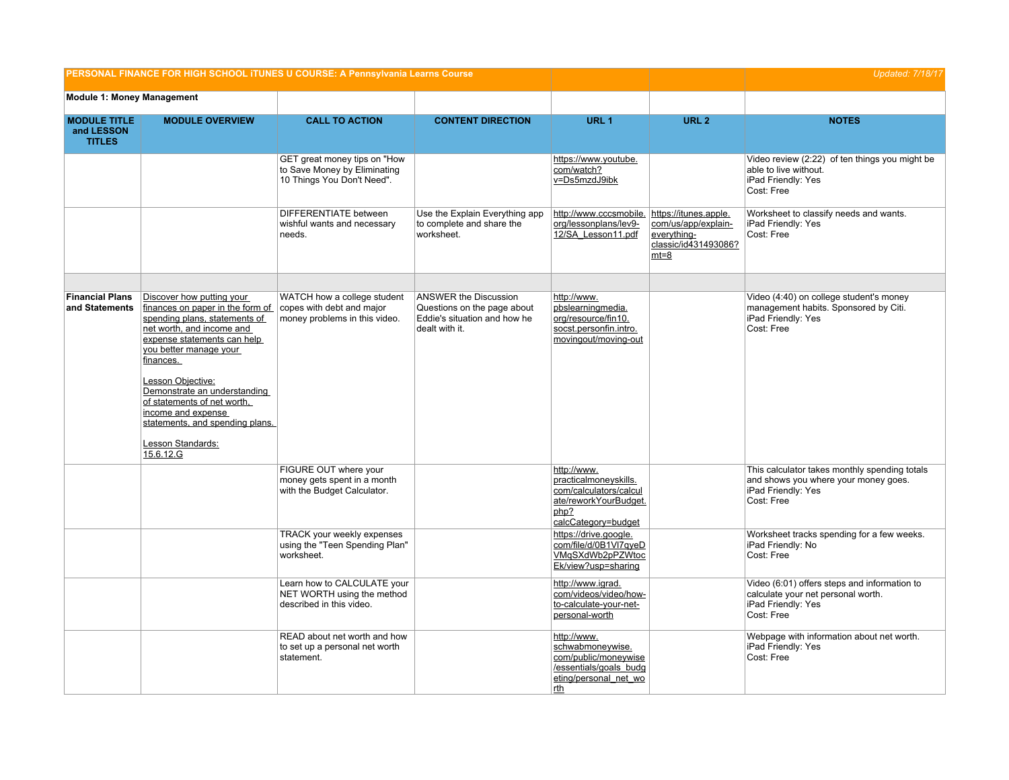| PERSONAL FINANCE FOR HIGH SCHOOL ITUNES U COURSE: A Pennsylvania Learns Course | <b>Updated: 7/18/17</b>                                                                                                                                                                                                                                                                                                                                                          |                                                                                            |                                                                                                               |                                                                                                                          |                                                                                               |                                                                                                                           |
|--------------------------------------------------------------------------------|----------------------------------------------------------------------------------------------------------------------------------------------------------------------------------------------------------------------------------------------------------------------------------------------------------------------------------------------------------------------------------|--------------------------------------------------------------------------------------------|---------------------------------------------------------------------------------------------------------------|--------------------------------------------------------------------------------------------------------------------------|-----------------------------------------------------------------------------------------------|---------------------------------------------------------------------------------------------------------------------------|
| <b>Module 1: Money Management</b>                                              |                                                                                                                                                                                                                                                                                                                                                                                  |                                                                                            |                                                                                                               |                                                                                                                          |                                                                                               |                                                                                                                           |
| <b>MODULE TITLE</b><br>and LESSON<br><b>TITLES</b>                             | <b>MODULE OVERVIEW</b>                                                                                                                                                                                                                                                                                                                                                           | <b>CALL TO ACTION</b>                                                                      | <b>CONTENT DIRECTION</b>                                                                                      | URL 1                                                                                                                    | URL <sub>2</sub>                                                                              | <b>NOTES</b>                                                                                                              |
|                                                                                |                                                                                                                                                                                                                                                                                                                                                                                  | GET great money tips on "How<br>to Save Money by Eliminating<br>10 Things You Don't Need". |                                                                                                               | https://www.youtube.<br>com/watch?<br>v=Ds5mzdJ9ibk                                                                      |                                                                                               | Video review (2:22) of ten things you might be<br>able to live without.<br>iPad Friendly: Yes<br>Cost: Free               |
|                                                                                |                                                                                                                                                                                                                                                                                                                                                                                  | DIFFERENTIATE between<br>wishful wants and necessary<br>needs.                             | Use the Explain Everything app<br>to complete and share the<br>worksheet.                                     | http://www.cccsmobile.<br>org/lessonplans/lev9-<br>12/SA Lesson11.pdf                                                    | https://itunes.apple.<br>com/us/app/explain-<br>everything-<br>classic/id431493086?<br>$mt=8$ | Worksheet to classify needs and wants.<br>iPad Friendly: Yes<br>Cost: Free                                                |
| <b>Financial Plans</b><br>and Statements                                       | Discover how putting your<br>finances on paper in the form of<br>spending plans, statements of<br>net worth, and income and<br>expense statements can help<br>you better manage your<br>finances.<br>Lesson Objective:<br>Demonstrate an understanding<br>of statements of net worth,<br>income and expense<br>statements, and spending plans.<br>Lesson Standards:<br>15.6.12.G | WATCH how a college student<br>copes with debt and major<br>money problems in this video.  | <b>ANSWER the Discussion</b><br>Questions on the page about<br>Eddie's situation and how he<br>dealt with it. | http://www.<br>pbslearningmedia.<br>org/resource/fin10.<br>socst.personfin.intro.<br>movingout/moving-out                |                                                                                               | Video (4:40) on college student's money<br>management habits. Sponsored by Citi.<br>iPad Friendly: Yes<br>Cost: Free      |
|                                                                                |                                                                                                                                                                                                                                                                                                                                                                                  | FIGURE OUT where your<br>money gets spent in a month<br>with the Budget Calculator.        |                                                                                                               | http://www.<br>practicalmoneyskills.<br>com/calculators/calcul<br>ate/reworkYourBudget.<br>php?<br>calcCategory=budget   |                                                                                               | This calculator takes monthly spending totals<br>and shows you where your money goes.<br>iPad Friendly: Yes<br>Cost: Free |
|                                                                                |                                                                                                                                                                                                                                                                                                                                                                                  | <b>TRACK your weekly expenses</b><br>using the "Teen Spending Plan"<br>worksheet.          |                                                                                                               | https://drive.google.<br>com/file/d/0B1Vl7qyeD<br>VMgSXdWb2pPZWtoc<br>Ek/view?usp=sharing                                |                                                                                               | Worksheet tracks spending for a few weeks.<br>iPad Friendly: No<br>Cost: Free                                             |
|                                                                                |                                                                                                                                                                                                                                                                                                                                                                                  | Learn how to CALCULATE your<br>NET WORTH using the method<br>described in this video.      |                                                                                                               | http://www.igrad.<br>com/videos/video/how-<br>to-calculate-your-net-<br>personal-worth                                   |                                                                                               | Video (6:01) offers steps and information to<br>calculate your net personal worth.<br>iPad Friendly: Yes<br>Cost: Free    |
|                                                                                |                                                                                                                                                                                                                                                                                                                                                                                  | READ about net worth and how<br>to set up a personal net worth<br>statement.               |                                                                                                               | http://www.<br>schwabmoneywise.<br>com/public/moneywise<br>/essentials/goals_budg<br>eting/personal_net_wo<br><u>rth</u> |                                                                                               | Webpage with information about net worth.<br>iPad Friendly: Yes<br>Cost: Free                                             |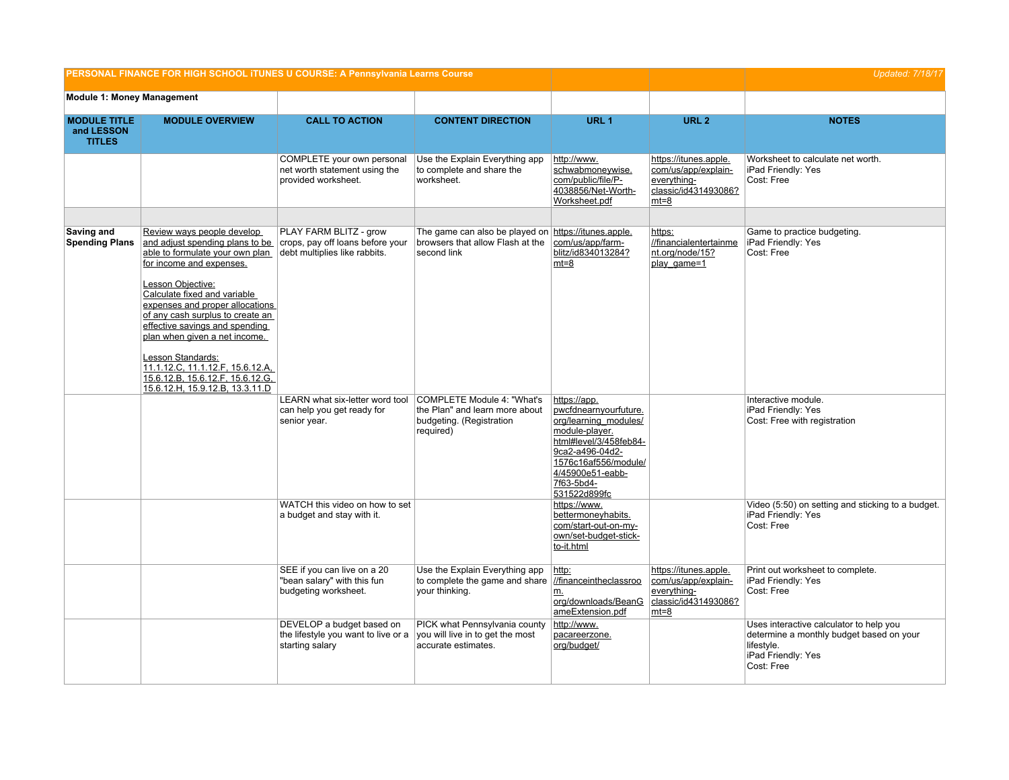| PERSONAL FINANCE FOR HIGH SCHOOL ITUNES U COURSE: A Pennsylvania Learns Course |                                                                                                                                                                                                                                                                                                                                                                                                                                                             |                                                                                             |                                                                                                         | <b>Updated: 7/18/17</b>                                                                                                                                                                                 |                                                                                               |                                                                                                                                       |
|--------------------------------------------------------------------------------|-------------------------------------------------------------------------------------------------------------------------------------------------------------------------------------------------------------------------------------------------------------------------------------------------------------------------------------------------------------------------------------------------------------------------------------------------------------|---------------------------------------------------------------------------------------------|---------------------------------------------------------------------------------------------------------|---------------------------------------------------------------------------------------------------------------------------------------------------------------------------------------------------------|-----------------------------------------------------------------------------------------------|---------------------------------------------------------------------------------------------------------------------------------------|
| <b>Module 1: Money Management</b>                                              |                                                                                                                                                                                                                                                                                                                                                                                                                                                             |                                                                                             |                                                                                                         |                                                                                                                                                                                                         |                                                                                               |                                                                                                                                       |
| <b>MODULE TITLE</b><br>and LESSON<br><b>TITLES</b>                             | <b>MODULE OVERVIEW</b>                                                                                                                                                                                                                                                                                                                                                                                                                                      | <b>CALL TO ACTION</b>                                                                       | <b>CONTENT DIRECTION</b>                                                                                | URL <sub>1</sub>                                                                                                                                                                                        | URL <sub>2</sub>                                                                              | <b>NOTES</b>                                                                                                                          |
|                                                                                |                                                                                                                                                                                                                                                                                                                                                                                                                                                             | COMPLETE your own personal<br>net worth statement using the<br>provided worksheet.          | Use the Explain Everything app<br>to complete and share the<br>worksheet.                               | http://www.<br>schwabmoneywise.<br>com/public/file/P-<br>4038856/Net-Worth-<br>Worksheet.pdf                                                                                                            | https://itunes.apple.<br>com/us/app/explain-<br>everything-<br>classic/id431493086?<br>$mt=8$ | Worksheet to calculate net worth.<br>iPad Friendly: Yes<br>Cost: Free                                                                 |
|                                                                                |                                                                                                                                                                                                                                                                                                                                                                                                                                                             |                                                                                             |                                                                                                         |                                                                                                                                                                                                         |                                                                                               |                                                                                                                                       |
| Saving and<br><b>Spending Plans</b>                                            | Review ways people develop<br>and adjust spending plans to be<br>able to formulate your own plan<br>for income and expenses.<br>Lesson Objective:<br>Calculate fixed and variable<br>expenses and proper allocations<br>of any cash surplus to create an<br>effective savings and spending<br>plan when given a net income.<br>Lesson Standards:<br>11.1.12.C, 11.1.12.F, 15.6.12.A,<br>15.6.12.B, 15.6.12.F, 15.6.12.G,<br>15.6.12.H, 15.9.12.B, 13.3.11.D | PLAY FARM BLITZ - grow<br>crops, pay off loans before your<br>debt multiplies like rabbits. | The game can also be played on https://itunes.apple.<br>browsers that allow Flash at the<br>second link | com/us/app/farm-<br>blitz/id834013284?<br>$mt=8$                                                                                                                                                        | https:<br>//financialentertainme<br>nt.org/node/15?<br>play game=1                            | Game to practice budgeting.<br>iPad Friendly: Yes<br>Cost: Free                                                                       |
|                                                                                |                                                                                                                                                                                                                                                                                                                                                                                                                                                             | LEARN what six-letter word tool<br>can help you get ready for<br>senior year.               | COMPLETE Module 4: "What's<br>the Plan" and learn more about<br>budgeting. (Registration<br>required)   | https://app.<br>pwcfdnearnyourfuture.<br>org/learning modules/<br>module-player.<br>html#level/3/458feb84-<br>9ca2-a496-04d2-<br>1576c16af556/module/<br>4/45900e51-eabb-<br>7f63-5bd4-<br>531522d899fc |                                                                                               | Interactive module.<br>iPad Friendly: Yes<br>Cost: Free with registration                                                             |
|                                                                                |                                                                                                                                                                                                                                                                                                                                                                                                                                                             | WATCH this video on how to set<br>a budget and stay with it.                                |                                                                                                         | https://www.<br>bettermoneyhabits.<br>com/start-out-on-my-<br>own/set-budget-stick-<br>to-it.html                                                                                                       |                                                                                               | Video (5:50) on setting and sticking to a budget.<br>iPad Friendly: Yes<br>Cost: Free                                                 |
|                                                                                |                                                                                                                                                                                                                                                                                                                                                                                                                                                             | SEE if you can live on a 20<br>"bean salary" with this fun<br>budgeting worksheet.          | Use the Explain Everything app<br>to complete the game and share<br>your thinking.                      | http:<br>//financeintheclassroo<br>m.<br>org/downloads/BeanG<br>ameExtension.pdf                                                                                                                        | https://itunes.apple.<br>com/us/app/explain-<br>everything-<br>classic/id431493086?<br>$mt=8$ | Print out worksheet to complete.<br>iPad Friendly: Yes<br>Cost: Free                                                                  |
|                                                                                |                                                                                                                                                                                                                                                                                                                                                                                                                                                             | DEVELOP a budget based on<br>the lifestyle you want to live or a<br>starting salary         | PICK what Pennsylvania county<br>you will live in to get the most<br>accurate estimates.                | http://www.<br>pacareerzone.<br>org/budget/                                                                                                                                                             |                                                                                               | Uses interactive calculator to help you<br>determine a monthly budget based on your<br>lifestyle.<br>iPad Friendly: Yes<br>Cost: Free |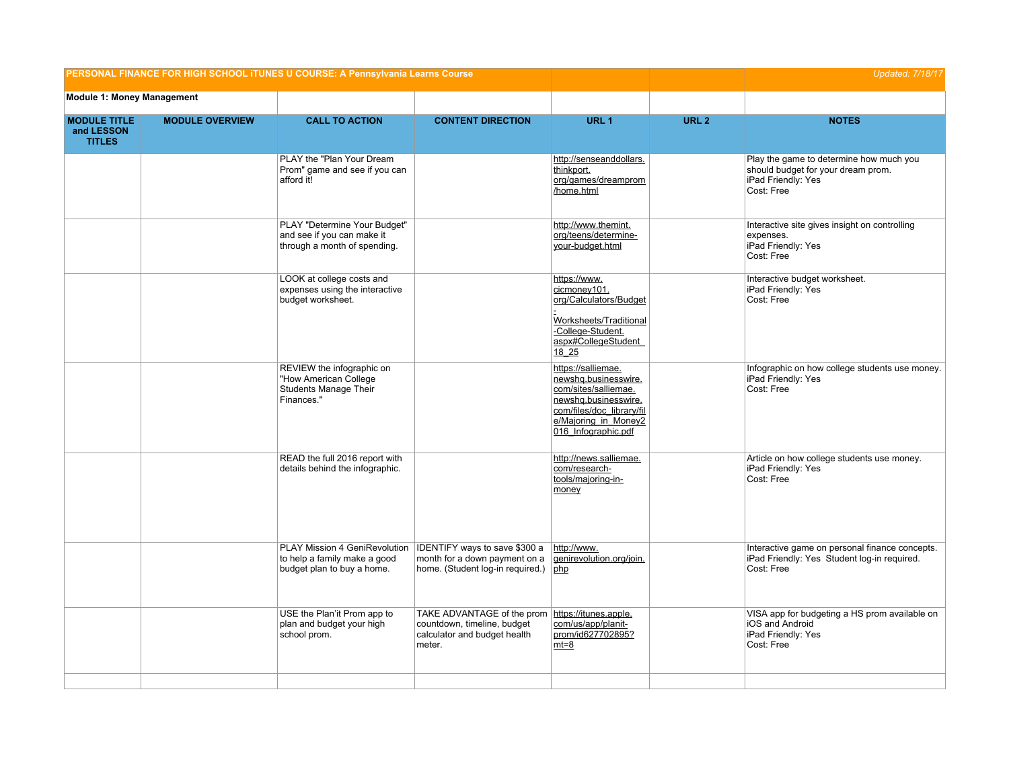| PERSONAL FINANCE FOR HIGH SCHOOL ITUNES U COURSE: A Pennsylvania Learns Course |                        |                                                                                                  |                                                                                                                           | <b>Updated: 7/18/17</b>                                                                                                                                                |                  |                                                                                                                   |
|--------------------------------------------------------------------------------|------------------------|--------------------------------------------------------------------------------------------------|---------------------------------------------------------------------------------------------------------------------------|------------------------------------------------------------------------------------------------------------------------------------------------------------------------|------------------|-------------------------------------------------------------------------------------------------------------------|
| <b>Module 1: Money Management</b>                                              |                        |                                                                                                  |                                                                                                                           |                                                                                                                                                                        |                  |                                                                                                                   |
| <b>MODULE TITLE</b><br>and LESSON<br><b>TITLES</b>                             | <b>MODULE OVERVIEW</b> | <b>CALL TO ACTION</b>                                                                            | <b>CONTENT DIRECTION</b>                                                                                                  | URL <sub>1</sub>                                                                                                                                                       | URL <sub>2</sub> | <b>NOTES</b>                                                                                                      |
|                                                                                |                        | PLAY the "Plan Your Dream<br>Prom" game and see if you can<br>afford it!                         |                                                                                                                           | http://senseanddollars.<br>thinkport.<br>org/games/dreamprom<br>/home.html                                                                                             |                  | Play the game to determine how much you<br>should budget for your dream prom.<br>iPad Friendly: Yes<br>Cost: Free |
|                                                                                |                        | PLAY "Determine Your Budget"<br>and see if you can make it<br>through a month of spending.       |                                                                                                                           | http://www.themint.<br>org/teens/determine-<br>your-budget.html                                                                                                        |                  | Interactive site gives insight on controlling<br>expenses.<br>iPad Friendly: Yes<br>Cost: Free                    |
|                                                                                |                        | LOOK at college costs and<br>expenses using the interactive<br>budget worksheet.                 |                                                                                                                           | https://www.<br>cicmoney101.<br>org/Calculators/Budget<br>Worksheets/Traditional<br>-College-Student.<br>aspx#CollegeStudent<br>18 25                                  |                  | Interactive budget worksheet.<br>iPad Friendly: Yes<br>Cost: Free                                                 |
|                                                                                |                        | REVIEW the infographic on<br>"How American College<br><b>Students Manage Their</b><br>Finances." |                                                                                                                           | https://salliemae.<br>newshq.businesswire.<br>com/sites/salliemae.<br>newshq.businesswire.<br>com/files/doc_library/fil<br>e/Majoring in Money2<br>016 Infographic.pdf |                  | Infographic on how college students use money.<br>iPad Friendly: Yes<br>Cost: Free                                |
|                                                                                |                        | READ the full 2016 report with<br>details behind the infographic.                                |                                                                                                                           | http://news.salliemae.<br>com/research-<br>tools/majoring-in-<br>money                                                                                                 |                  | Article on how college students use money.<br>iPad Friendly: Yes<br>Cost: Free                                    |
|                                                                                |                        | PLAY Mission 4 GeniRevolution<br>to help a family make a good<br>budget plan to buy a home.      | IDENTIFY ways to save \$300 a<br>month for a down payment on a<br>home. (Student log-in required.)                        | http://www.<br>genirevolution.org/join.<br>php                                                                                                                         |                  | Interactive game on personal finance concepts.<br>iPad Friendly: Yes Student log-in required.<br>Cost: Free       |
|                                                                                |                        | USE the Plan'it Prom app to<br>plan and budget your high<br>school prom.                         | TAKE ADVANTAGE of the prom https://itunes.apple.<br>countdown, timeline, budget<br>calculator and budget health<br>meter. | com/us/app/planit-<br>prom/id627702895?<br>$mt=8$                                                                                                                      |                  | VISA app for budgeting a HS prom available on<br>iOS and Android<br>iPad Friendly: Yes<br>Cost: Free              |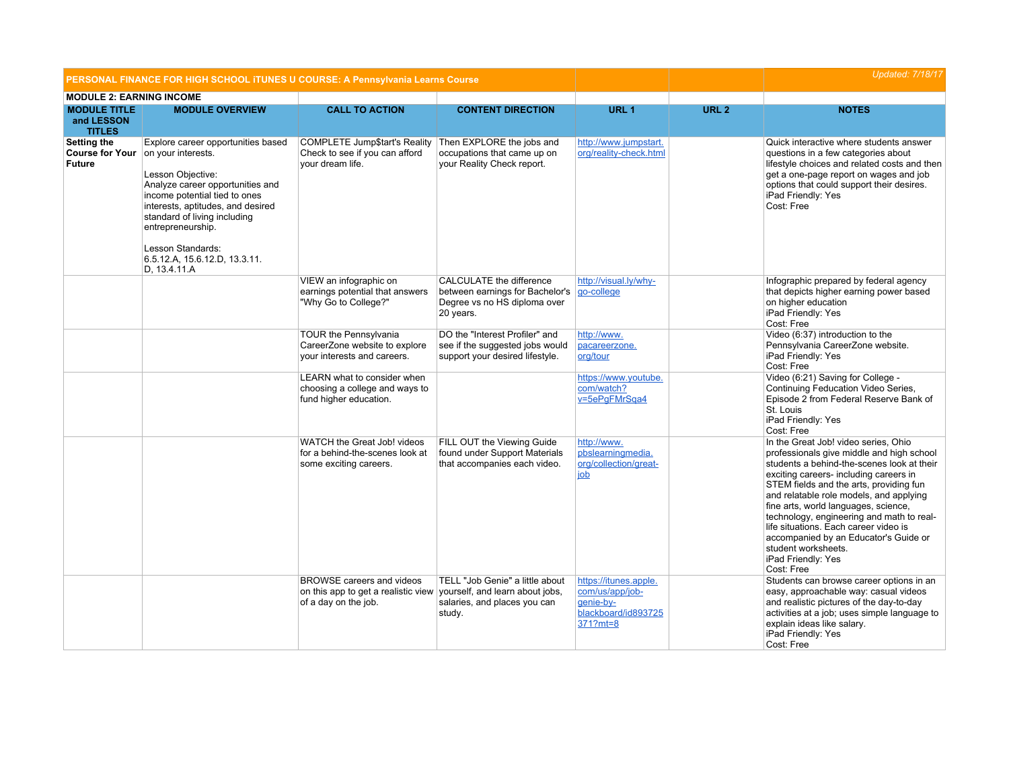| PERSONAL FINANCE FOR HIGH SCHOOL ITUNES U COURSE: A Pennsylvania Learns Course |                                                                                                                                                                                                                                                                                                                    |                                                                                                                                 |                                                                                                                 |                                                                                          |                  | <b>Updated: 7/18/17</b>                                                                                                                                                                                                                                                                                                                                                                                                                                                                           |
|--------------------------------------------------------------------------------|--------------------------------------------------------------------------------------------------------------------------------------------------------------------------------------------------------------------------------------------------------------------------------------------------------------------|---------------------------------------------------------------------------------------------------------------------------------|-----------------------------------------------------------------------------------------------------------------|------------------------------------------------------------------------------------------|------------------|---------------------------------------------------------------------------------------------------------------------------------------------------------------------------------------------------------------------------------------------------------------------------------------------------------------------------------------------------------------------------------------------------------------------------------------------------------------------------------------------------|
| <b>MODULE 2: EARNING INCOME</b>                                                |                                                                                                                                                                                                                                                                                                                    |                                                                                                                                 |                                                                                                                 |                                                                                          |                  |                                                                                                                                                                                                                                                                                                                                                                                                                                                                                                   |
| <b>MODULE TITLE</b><br>and LESSON<br><b>TITLES</b>                             | <b>MODULE OVERVIEW</b>                                                                                                                                                                                                                                                                                             | <b>CALL TO ACTION</b>                                                                                                           | <b>CONTENT DIRECTION</b>                                                                                        | URL <sub>1</sub>                                                                         | URL <sub>2</sub> | <b>NOTES</b>                                                                                                                                                                                                                                                                                                                                                                                                                                                                                      |
| Setting the<br><b>Course for Your</b><br><b>Future</b>                         | Explore career opportunities based<br>on your interests.<br>Lesson Objective:<br>Analyze career opportunities and<br>income potential tied to ones<br>interests, aptitudes, and desired<br>standard of living including<br>entrepreneurship.<br>Lesson Standards:<br>6.5.12.A, 15.6.12.D, 13.3.11.<br>D, 13.4.11.A | <b>COMPLETE Jump\$tart's Reality</b><br>Check to see if you can afford<br>vour dream life.                                      | Then EXPLORE the jobs and<br>occupations that came up on<br>your Reality Check report.                          | http://www.jumpstart.<br>org/reality-check.html                                          |                  | Quick interactive where students answer<br>questions in a few categories about<br>lifestyle choices and related costs and then<br>get a one-page report on wages and job<br>options that could support their desires.<br>iPad Friendly: Yes<br>Cost: Free                                                                                                                                                                                                                                         |
|                                                                                |                                                                                                                                                                                                                                                                                                                    | VIEW an infographic on<br>earnings potential that answers<br>"Why Go to College?"                                               | <b>CALCULATE the difference</b><br>between earnings for Bachelor's<br>Degree vs no HS diploma over<br>20 years. | http://visual.ly/why-<br>go-college                                                      |                  | Infographic prepared by federal agency<br>that depicts higher earning power based<br>on higher education<br>iPad Friendly: Yes<br>Cost: Free                                                                                                                                                                                                                                                                                                                                                      |
|                                                                                |                                                                                                                                                                                                                                                                                                                    | <b>TOUR the Pennsylvania</b><br>CareerZone website to explore<br>your interests and careers.                                    | DO the "Interest Profiler" and<br>see if the suggested jobs would<br>support your desired lifestyle.            | http://www.<br>pacareerzone.<br>org/tour                                                 |                  | Video (6:37) introduction to the<br>Pennsylvania CareerZone website.<br>iPad Friendly: Yes<br>Cost: Free                                                                                                                                                                                                                                                                                                                                                                                          |
|                                                                                |                                                                                                                                                                                                                                                                                                                    | LEARN what to consider when<br>choosing a college and ways to<br>fund higher education.                                         |                                                                                                                 | https://www.youtube.<br>com/watch?<br>v=5ePgFMrSqa4                                      |                  | Video (6:21) Saving for College -<br>Continuing Feducation Video Series,<br>Episode 2 from Federal Reserve Bank of<br>St. Louis<br>iPad Friendly: Yes<br>Cost: Free                                                                                                                                                                                                                                                                                                                               |
|                                                                                |                                                                                                                                                                                                                                                                                                                    | WATCH the Great Job! videos<br>for a behind-the-scenes look at<br>some exciting careers.                                        | FILL OUT the Viewing Guide<br>found under Support Materials<br>that accompanies each video.                     | http://www.<br>pbslearningmedia.<br>org/collection/great-<br>job                         |                  | In the Great Job! video series, Ohio<br>professionals give middle and high school<br>students a behind-the-scenes look at their<br>exciting careers- including careers in<br>STEM fields and the arts, providing fun<br>and relatable role models, and applying<br>fine arts, world languages, science,<br>technology, engineering and math to real-<br>life situations. Each career video is<br>accompanied by an Educator's Guide or<br>student worksheets.<br>iPad Friendly: Yes<br>Cost: Free |
|                                                                                |                                                                                                                                                                                                                                                                                                                    | <b>BROWSE</b> careers and videos<br>on this app to get a realistic view vourself, and learn about jobs,<br>of a day on the job. | TELL "Job Genie" a little about<br>salaries, and places you can<br>study.                                       | https://itunes.apple.<br>com/us/app/job-<br>genie-by-<br>blackboard/id893725<br>371?mt=8 |                  | Students can browse career options in an<br>easy, approachable way: casual videos<br>and realistic pictures of the day-to-day<br>activities at a job; uses simple language to<br>explain ideas like salary.<br>iPad Friendly: Yes<br>Cost: Free                                                                                                                                                                                                                                                   |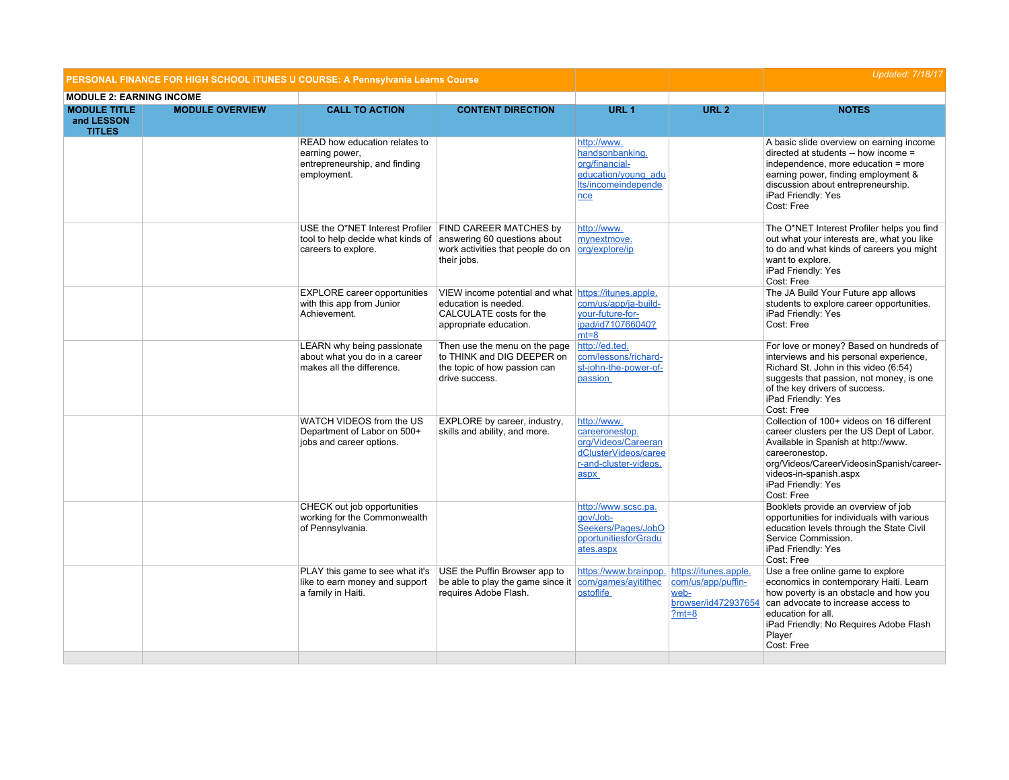| PERSONAL FINANCE FOR HIGH SCHOOL ITUNES U COURSE: A Pennsylvania Learns Course |                        |                                                                                                                                                 |                                                                                                                                   |                                                                                                               | <b>Updated: 7/18/17</b>                                                               |                                                                                                                                                                                                                                                           |
|--------------------------------------------------------------------------------|------------------------|-------------------------------------------------------------------------------------------------------------------------------------------------|-----------------------------------------------------------------------------------------------------------------------------------|---------------------------------------------------------------------------------------------------------------|---------------------------------------------------------------------------------------|-----------------------------------------------------------------------------------------------------------------------------------------------------------------------------------------------------------------------------------------------------------|
| <b>MODULE 2: EARNING INCOME</b>                                                |                        |                                                                                                                                                 |                                                                                                                                   |                                                                                                               |                                                                                       |                                                                                                                                                                                                                                                           |
| <b>MODULE TITLE</b><br>and LESSON<br><b>TITLES</b>                             | <b>MODULE OVERVIEW</b> | <b>CALL TO ACTION</b>                                                                                                                           | <b>CONTENT DIRECTION</b>                                                                                                          | URL <sub>1</sub>                                                                                              | URL <sub>2</sub>                                                                      | <b>NOTES</b>                                                                                                                                                                                                                                              |
|                                                                                |                        | READ how education relates to<br>earning power,<br>entrepreneurship, and finding<br>employment.                                                 |                                                                                                                                   | http://www.<br>handsonbanking.<br>org/financial-<br>education/young adu<br>Its/incomeindepende<br>nce         |                                                                                       | A basic slide overview on earning income<br>directed at students -- how income =<br>independence, more education = more<br>earning power, finding employment &<br>discussion about entrepreneurship.<br>iPad Friendly: Yes<br>Cost: Free                  |
|                                                                                |                        | USE the O*NET Interest Profiler FIND CAREER MATCHES by<br>tool to help decide what kinds of answering 60 questions about<br>careers to explore. | work activities that people do on<br>their jobs.                                                                                  | http://www.<br>mynextmove.<br>org/explore/ip                                                                  |                                                                                       | The O*NET Interest Profiler helps you find<br>out what your interests are, what you like<br>to do and what kinds of careers you might<br>want to explore.<br>iPad Friendly: Yes<br>Cost: Free                                                             |
|                                                                                |                        | <b>EXPLORE</b> career opportunities<br>with this app from Junior<br>Achievement.                                                                | VIEW income potential and what https://itunes.apple.<br>education is needed.<br>CALCULATE costs for the<br>appropriate education. | com/us/app/ja-build-<br>your-future-for-<br>ipad/id710766040?<br>$mt=8$                                       |                                                                                       | The JA Build Your Future app allows<br>students to explore career opportunities.<br>iPad Friendly: Yes<br>Cost: Free                                                                                                                                      |
|                                                                                |                        | LEARN why being passionate<br>about what you do in a career<br>makes all the difference.                                                        | Then use the menu on the page<br>to THINK and DIG DEEPER on<br>the topic of how passion can<br>drive success.                     | http://ed.ted.<br>com/lessons/richard-<br>st-john-the-power-of-<br>passion                                    |                                                                                       | For love or money? Based on hundreds of<br>interviews and his personal experience,<br>Richard St. John in this video (6:54)<br>suggests that passion, not money, is one<br>of the key drivers of success.<br>iPad Friendly: Yes<br>Cost: Free             |
|                                                                                |                        | WATCH VIDEOS from the US<br>Department of Labor on 500+<br>jobs and career options.                                                             | EXPLORE by career, industry,<br>skills and ability, and more.                                                                     | http://www.<br>careeronestop.<br>org/Videos/Careeran<br>dClusterVideos/caree<br>r-and-cluster-videos.<br>aspx |                                                                                       | Collection of 100+ videos on 16 different<br>career clusters per the US Dept of Labor.<br>Available in Spanish at http://www.<br>careeronestop.<br>org/Videos/CareerVideosinSpanish/career-<br>videos-in-spanish.aspx<br>iPad Friendly: Yes<br>Cost: Free |
|                                                                                |                        | CHECK out job opportunities<br>working for the Commonwealth<br>of Pennsylvania.                                                                 |                                                                                                                                   | http://www.scsc.pa.<br>aov/Job-<br>Seekers/Pages/JobO<br>pportunitiesforGradu<br>ates.aspx                    |                                                                                       | Booklets provide an overview of job<br>opportunities for individuals with various<br>education levels through the State Civil<br>Service Commission.<br>iPad Friendly: Yes<br>Cost: Free                                                                  |
|                                                                                |                        | PLAY this game to see what it's<br>like to earn money and support<br>a family in Haiti.                                                         | USE the Puffin Browser app to<br>be able to play the game since it<br>requires Adobe Flash.                                       | https://www.brainpop.<br>com/games/ayitithec<br>ostoflife                                                     | https://itunes.apple.<br>com/us/app/puffin-<br>web-<br>browser/id472937654<br>$?mt=8$ | Use a free online game to explore<br>economics in contemporary Haiti. Learn<br>how poverty is an obstacle and how you<br>can advocate to increase access to<br>education for all.<br>iPad Friendly: No Requires Adobe Flash<br>Player<br>Cost: Free       |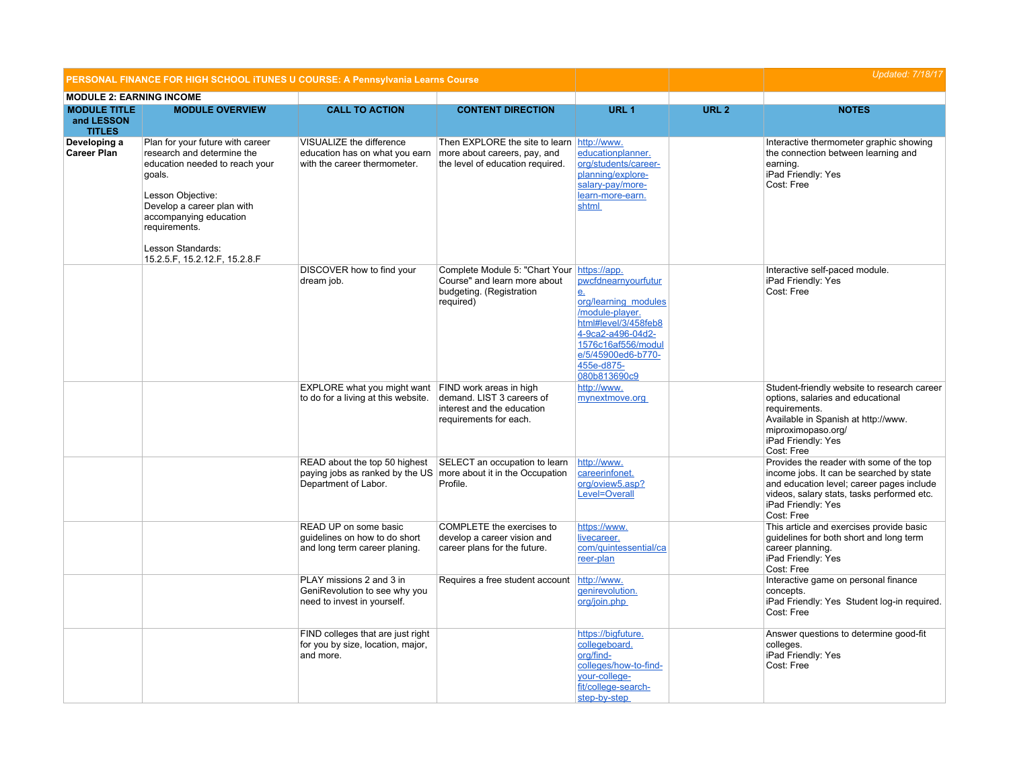|                                                    | PERSONAL FINANCE FOR HIGH SCHOOL ITUNES U COURSE: A Pennsylvania Learns Course                                                                                                                                                                                 |                                                                                            |                                                                                                                      |                                                                                                                                                                                                         |                  | <b>Updated: 7/18/17</b>                                                                                                                                                                                             |
|----------------------------------------------------|----------------------------------------------------------------------------------------------------------------------------------------------------------------------------------------------------------------------------------------------------------------|--------------------------------------------------------------------------------------------|----------------------------------------------------------------------------------------------------------------------|---------------------------------------------------------------------------------------------------------------------------------------------------------------------------------------------------------|------------------|---------------------------------------------------------------------------------------------------------------------------------------------------------------------------------------------------------------------|
| <b>MODULE 2: EARNING INCOME</b>                    |                                                                                                                                                                                                                                                                |                                                                                            |                                                                                                                      |                                                                                                                                                                                                         |                  |                                                                                                                                                                                                                     |
| <b>MODULE TITLE</b><br>and LESSON<br><b>TITLES</b> | <b>MODULE OVERVIEW</b>                                                                                                                                                                                                                                         | <b>CALL TO ACTION</b>                                                                      | <b>CONTENT DIRECTION</b>                                                                                             | URL <sub>1</sub>                                                                                                                                                                                        | URL <sub>2</sub> | <b>NOTES</b>                                                                                                                                                                                                        |
| Developing a<br><b>Career Plan</b>                 | Plan for your future with career<br>research and determine the<br>education needed to reach your<br>goals.<br>Lesson Objective:<br>Develop a career plan with<br>accompanying education<br>requirements.<br>Lesson Standards:<br>15.2.5.F, 15.2.12.F, 15.2.8.F | VISUALIZE the difference<br>education has on what you earn<br>with the career thermometer. | Then EXPLORE the site to learn http://www.<br>more about careers, pay, and<br>the level of education required.       | educationplanner.<br>org/students/career-<br>planning/explore-<br>salary-pay/more-<br>learn-more-earn.<br>shtml                                                                                         |                  | Interactive thermometer graphic showing<br>the connection between learning and<br>earning.<br>iPad Friendly: Yes<br>Cost: Free                                                                                      |
|                                                    |                                                                                                                                                                                                                                                                | DISCOVER how to find your<br>dream job.                                                    | Complete Module 5: "Chart Your https://app.<br>Course" and learn more about<br>budgeting. (Registration<br>required) | pwcfdnearnyourfutur<br>e <sub>1</sub><br>org/learning modules<br>/module-player.<br>html#level/3/458feb8<br>4-9ca2-a496-04d2-<br>1576c16af556/modul<br>e/5/45900ed6-b770-<br>455e-d875-<br>080b813690c9 |                  | Interactive self-paced module.<br>iPad Friendly: Yes<br>Cost: Free                                                                                                                                                  |
|                                                    |                                                                                                                                                                                                                                                                | EXPLORE what you might want<br>to do for a living at this website.                         | FIND work areas in high<br>demand. LIST 3 careers of<br>interest and the education<br>requirements for each.         | http://www.<br>mynextmove.org                                                                                                                                                                           |                  | Student-friendly website to research career<br>options, salaries and educational<br>requirements.<br>Available in Spanish at http://www.<br>miproximopaso.org/<br>iPad Friendly: Yes<br>Cost: Free                  |
|                                                    |                                                                                                                                                                                                                                                                | READ about the top 50 highest<br>paying jobs as ranked by the US<br>Department of Labor.   | SELECT an occupation to learn<br>more about it in the Occupation<br>Profile.                                         | http://www.<br>careerinfonet.<br>org/oview5.asp?<br>Level=Overall                                                                                                                                       |                  | Provides the reader with some of the top<br>income jobs. It can be searched by state<br>and education level; career pages include<br>videos, salary stats, tasks performed etc.<br>iPad Friendly: Yes<br>Cost: Free |
|                                                    |                                                                                                                                                                                                                                                                | READ UP on some basic<br>guidelines on how to do short<br>and long term career planing.    | COMPLETE the exercises to<br>develop a career vision and<br>career plans for the future.                             | https://www.<br>livecareer.<br>com/quintessential/ca<br>reer-plan                                                                                                                                       |                  | This article and exercises provide basic<br>guidelines for both short and long term<br>career planning.<br>iPad Friendly: Yes<br>Cost: Free                                                                         |
|                                                    |                                                                                                                                                                                                                                                                | PLAY missions 2 and 3 in<br>GeniRevolution to see why you<br>need to invest in yourself.   | Requires a free student account                                                                                      | http://www.<br>genirevolution.<br>org/join.php                                                                                                                                                          |                  | Interactive game on personal finance<br>concepts.<br>iPad Friendly: Yes Student log-in required.<br>Cost: Free                                                                                                      |
|                                                    |                                                                                                                                                                                                                                                                | FIND colleges that are just right<br>for you by size, location, major,<br>and more.        |                                                                                                                      | https://bigfuture.<br>collegeboard.<br>org/find-<br>colleges/how-to-find-<br>your-college-<br>fit/college-search-<br>step-by-step                                                                       |                  | Answer questions to determine good-fit<br>colleges.<br>iPad Friendly: Yes<br>Cost: Free                                                                                                                             |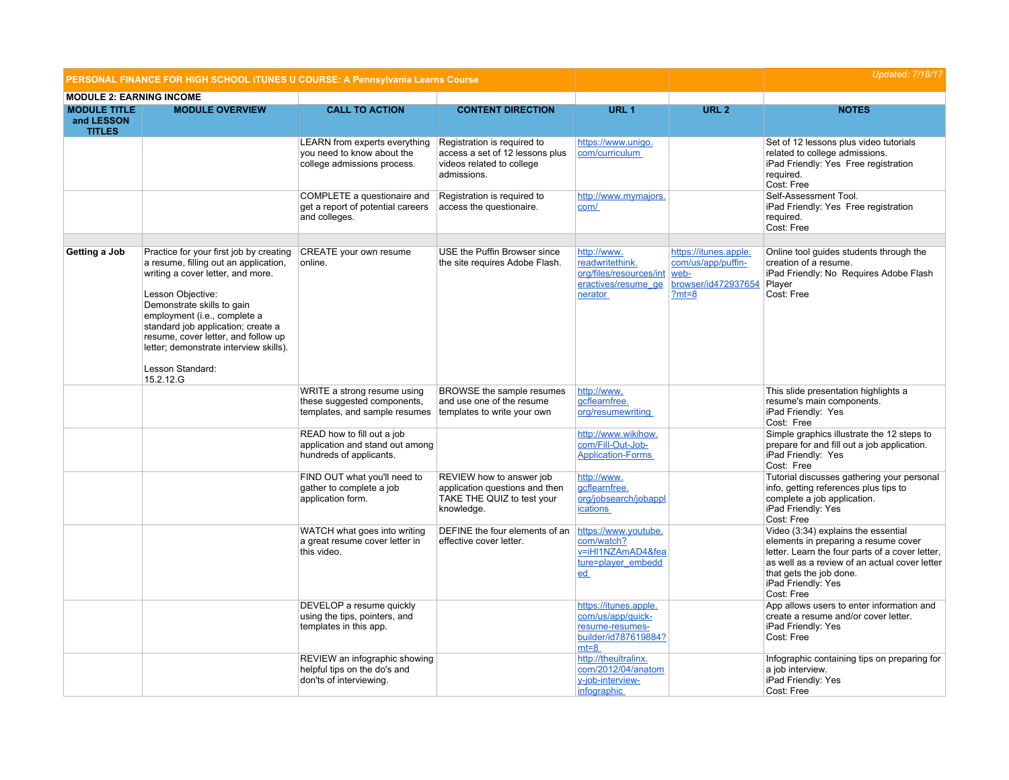| PERSONAL FINANCE FOR HIGH SCHOOL ITUNES U COURSE: A Pennsylvania Learns Course |                                                                                                                                                                                                                                                                                                                                                                  |                                                                                                                         |                                                                                                            |                                                                                                   |                                                                                       | <b>Updated: 7/18/17</b>                                                                                                                                                                                                                        |
|--------------------------------------------------------------------------------|------------------------------------------------------------------------------------------------------------------------------------------------------------------------------------------------------------------------------------------------------------------------------------------------------------------------------------------------------------------|-------------------------------------------------------------------------------------------------------------------------|------------------------------------------------------------------------------------------------------------|---------------------------------------------------------------------------------------------------|---------------------------------------------------------------------------------------|------------------------------------------------------------------------------------------------------------------------------------------------------------------------------------------------------------------------------------------------|
| <b>MODULE 2: EARNING INCOME</b>                                                |                                                                                                                                                                                                                                                                                                                                                                  |                                                                                                                         |                                                                                                            |                                                                                                   |                                                                                       |                                                                                                                                                                                                                                                |
| <b>MODULE TITLE</b><br>and LESSON<br><b>TITLES</b>                             | <b>MODULE OVERVIEW</b>                                                                                                                                                                                                                                                                                                                                           | <b>CALL TO ACTION</b>                                                                                                   | <b>CONTENT DIRECTION</b>                                                                                   | URL 1                                                                                             | <b>URL 2</b>                                                                          | <b>NOTES</b>                                                                                                                                                                                                                                   |
|                                                                                |                                                                                                                                                                                                                                                                                                                                                                  | LEARN from experts everything<br>you need to know about the<br>college admissions process.                              | Registration is required to<br>access a set of 12 lessons plus<br>videos related to college<br>admissions. | https://www.unigo.<br>com/curriculum                                                              |                                                                                       | Set of 12 lessons plus video tutorials<br>related to college admissions.<br>iPad Friendly: Yes Free registration<br>required.<br>Cost: Free                                                                                                    |
|                                                                                |                                                                                                                                                                                                                                                                                                                                                                  | COMPLETE a questionaire and<br>get a report of potential careers<br>and colleges.                                       | Registration is required to<br>access the questionaire.                                                    | http://www.mymajors.<br>com/                                                                      |                                                                                       | Self-Assessment Tool.<br>iPad Friendly: Yes Free registration<br>required.<br>Cost: Free                                                                                                                                                       |
| Getting a Job                                                                  | Practice for your first job by creating<br>a resume, filling out an application,<br>writing a cover letter, and more.<br>Lesson Objective:<br>Demonstrate skills to gain<br>employment (i.e., complete a<br>standard job application; create a<br>resume, cover letter, and follow up<br>letter; demonstrate interview skills).<br>Lesson Standard:<br>15.2.12.G | CREATE your own resume<br>online.                                                                                       | USE the Puffin Browser since<br>the site requires Adobe Flash.                                             | http://www.<br>readwritethink.<br>org/files/resources/int<br>eractives/resume_ge<br>nerator       | https://itunes.apple.<br>com/us/app/puffin-<br>web-<br>browser/id472937654<br>$?mt=8$ | Online tool guides students through the<br>creation of a resume.<br>iPad Friendly: No Requires Adobe Flash<br>Player<br>Cost: Free                                                                                                             |
|                                                                                |                                                                                                                                                                                                                                                                                                                                                                  | WRITE a strong resume using<br>these suggested components,<br>templates, and sample resumes templates to write your own | BROWSE the sample resumes<br>and use one of the resume                                                     | http://www.<br>gcflearnfree.<br>org/resumewriting                                                 |                                                                                       | This slide presentation highlights a<br>resume's main components.<br>iPad Friendly: Yes<br>Cost: Free                                                                                                                                          |
|                                                                                |                                                                                                                                                                                                                                                                                                                                                                  | READ how to fill out a job<br>application and stand out among<br>hundreds of applicants.                                |                                                                                                            | http://www.wikihow.<br>com/Fill-Out-Job-<br><b>Application-Forms</b>                              |                                                                                       | Simple graphics illustrate the 12 steps to<br>prepare for and fill out a job application.<br>iPad Friendly: Yes<br>Cost: Free                                                                                                                  |
|                                                                                |                                                                                                                                                                                                                                                                                                                                                                  | FIND OUT what you'll need to<br>gather to complete a job<br>application form.                                           | REVIEW how to answer job<br>application questions and then<br>TAKE THE QUIZ to test your<br>knowledge.     | http://www.<br>qcflearnfree.<br>org/jobsearch/jobappl<br><b>ications</b>                          |                                                                                       | Tutorial discusses gathering your personal<br>info, getting references plus tips to<br>complete a job application.<br>iPad Friendly: Yes<br>Cost: Free                                                                                         |
|                                                                                |                                                                                                                                                                                                                                                                                                                                                                  | WATCH what goes into writing<br>a great resume cover letter in<br>this video.                                           | DEFINE the four elements of an<br>effective cover letter.                                                  | https://www.youtube.<br>com/watch?<br>v=iHI1NZAmAD4&fea<br>ture=player_embedd<br>ed               |                                                                                       | Video (3:34) explains the essential<br>elements in preparing a resume cover<br>letter. Learn the four parts of a cover letter,<br>as well as a review of an actual cover letter<br>that gets the job done.<br>iPad Friendly: Yes<br>Cost: Free |
|                                                                                |                                                                                                                                                                                                                                                                                                                                                                  | DEVELOP a resume quickly<br>using the tips, pointers, and<br>templates in this app.                                     |                                                                                                            | https://itunes.apple.<br>com/us/app/quick-<br>resume-resumes-<br>builder/id787619884?<br>$mt = 8$ |                                                                                       | App allows users to enter information and<br>create a resume and/or cover letter.<br>iPad Friendly: Yes<br>Cost: Free                                                                                                                          |
|                                                                                |                                                                                                                                                                                                                                                                                                                                                                  | REVIEW an infographic showing<br>helpful tips on the do's and<br>don'ts of interviewing.                                |                                                                                                            | http://theultralinx.<br>com/2012/04/anatom<br>y-job-interview-<br><i>infographic</i>              |                                                                                       | Infographic containing tips on preparing for<br>a job interview.<br>iPad Friendly: Yes<br>Cost: Free                                                                                                                                           |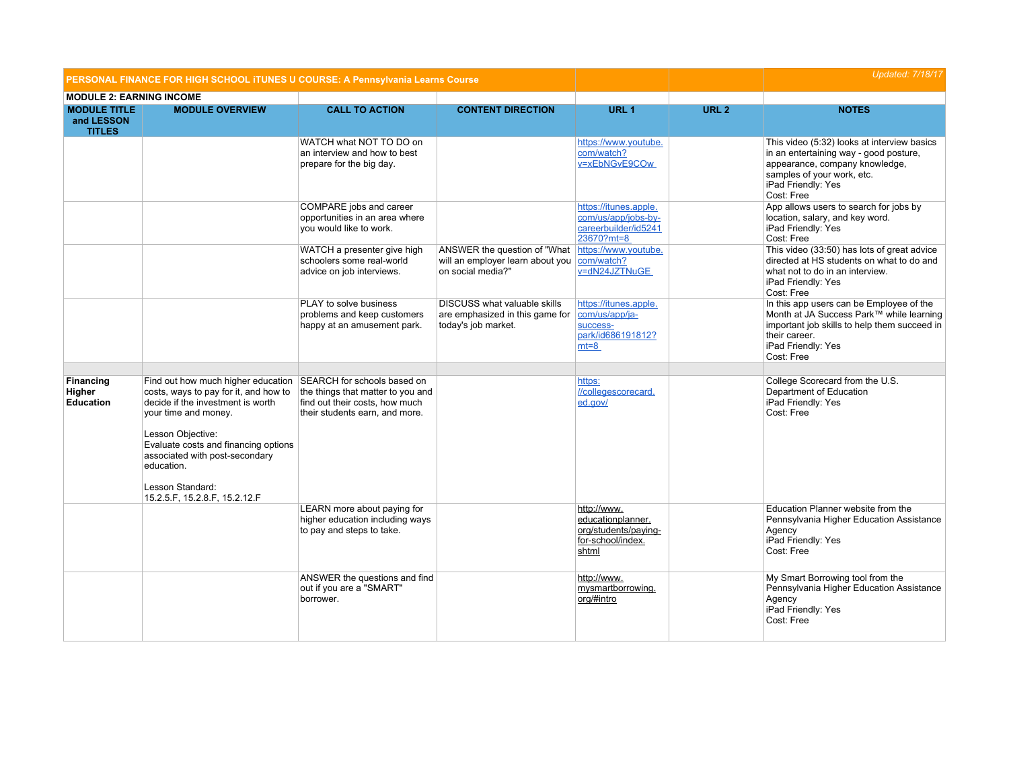| PERSONAL FINANCE FOR HIGH SCHOOL ITUNES U COURSE: A Pennsylvania Learns Course |                                                                                                                                                                                                                                                                                                                                        |                                                                                                       |                                                                                        |                                                                                        |                  | <b>Updated: 7/18/17</b>                                                                                                                                                                   |
|--------------------------------------------------------------------------------|----------------------------------------------------------------------------------------------------------------------------------------------------------------------------------------------------------------------------------------------------------------------------------------------------------------------------------------|-------------------------------------------------------------------------------------------------------|----------------------------------------------------------------------------------------|----------------------------------------------------------------------------------------|------------------|-------------------------------------------------------------------------------------------------------------------------------------------------------------------------------------------|
| <b>MODULE 2: EARNING INCOME</b>                                                |                                                                                                                                                                                                                                                                                                                                        |                                                                                                       |                                                                                        |                                                                                        |                  |                                                                                                                                                                                           |
| <b>MODULE TITLE</b><br>and LESSON<br><b>TITLES</b>                             | <b>MODULE OVERVIEW</b>                                                                                                                                                                                                                                                                                                                 | <b>CALL TO ACTION</b>                                                                                 | <b>CONTENT DIRECTION</b>                                                               | URL <sub>1</sub>                                                                       | URL <sub>2</sub> | <b>NOTES</b>                                                                                                                                                                              |
|                                                                                |                                                                                                                                                                                                                                                                                                                                        | WATCH what NOT TO DO on<br>an interview and how to best<br>prepare for the big day.                   |                                                                                        | https://www.youtube.<br>com/watch?<br>v=xEbNGvE9COw                                    |                  | This video (5:32) looks at interview basics<br>in an entertaining way - good posture,<br>appearance, company knowledge,<br>samples of your work, etc.<br>iPad Friendly: Yes<br>Cost: Free |
|                                                                                |                                                                                                                                                                                                                                                                                                                                        | COMPARE jobs and career<br>opportunities in an area where<br>you would like to work.                  |                                                                                        | https://itunes.apple.<br>com/us/app/jobs-by-<br>careerbuilder/id5241<br>23670?mt=8     |                  | App allows users to search for jobs by<br>location, salary, and key word.<br>iPad Friendly: Yes<br>Cost: Free                                                                             |
|                                                                                |                                                                                                                                                                                                                                                                                                                                        | WATCH a presenter give high<br>schoolers some real-world<br>advice on job interviews.                 | ANSWER the question of "What<br>will an employer learn about you<br>on social media?"  | https://www.youtube.<br>com/watch?<br>v=dN24JZTNuGE                                    |                  | This video (33:50) has lots of great advice<br>directed at HS students on what to do and<br>what not to do in an interview.<br>iPad Friendly: Yes<br>Cost: Free                           |
|                                                                                |                                                                                                                                                                                                                                                                                                                                        | PLAY to solve business<br>problems and keep customers<br>happy at an amusement park.                  | DISCUSS what valuable skills<br>are emphasized in this game for<br>today's job market. | https://itunes.apple.<br>com/us/app/ja-<br>success-<br>park/id686191812?<br>$mt = 8$   |                  | In this app users can be Employee of the<br>Month at JA Success Park™ while learning<br>important job skills to help them succeed in<br>their career.<br>iPad Friendly: Yes<br>Cost: Free |
| Financing<br>Higher<br><b>Education</b>                                        | Find out how much higher education SEARCH for schools based on<br>costs, ways to pay for it, and how to<br>decide if the investment is worth<br>your time and money.<br>Lesson Objective:<br>Evaluate costs and financing options<br>associated with post-secondary<br>education.<br>Lesson Standard:<br>15.2.5.F, 15.2.8.F, 15.2.12.F | the things that matter to you and<br>find out their costs, how much<br>their students earn, and more. |                                                                                        | https:<br>//collegescorecard.<br>ed.gov/                                               |                  | College Scorecard from the U.S.<br>Department of Education<br>iPad Friendly: Yes<br>Cost: Free                                                                                            |
|                                                                                |                                                                                                                                                                                                                                                                                                                                        | LEARN more about paying for<br>higher education including ways<br>to pay and steps to take.           |                                                                                        | http://www.<br>educationplanner.<br>org/students/paying-<br>for-school/index.<br>shtml |                  | Education Planner website from the<br>Pennsylvania Higher Education Assistance<br>Agency<br>iPad Friendly: Yes<br>Cost: Free                                                              |
|                                                                                |                                                                                                                                                                                                                                                                                                                                        | ANSWER the questions and find<br>out if you are a "SMART"<br>borrower.                                |                                                                                        | http://www.<br>mysmartborrowing.<br>org/#intro                                         |                  | My Smart Borrowing tool from the<br>Pennsylvania Higher Education Assistance<br>Agency<br>iPad Friendly: Yes<br>Cost: Free                                                                |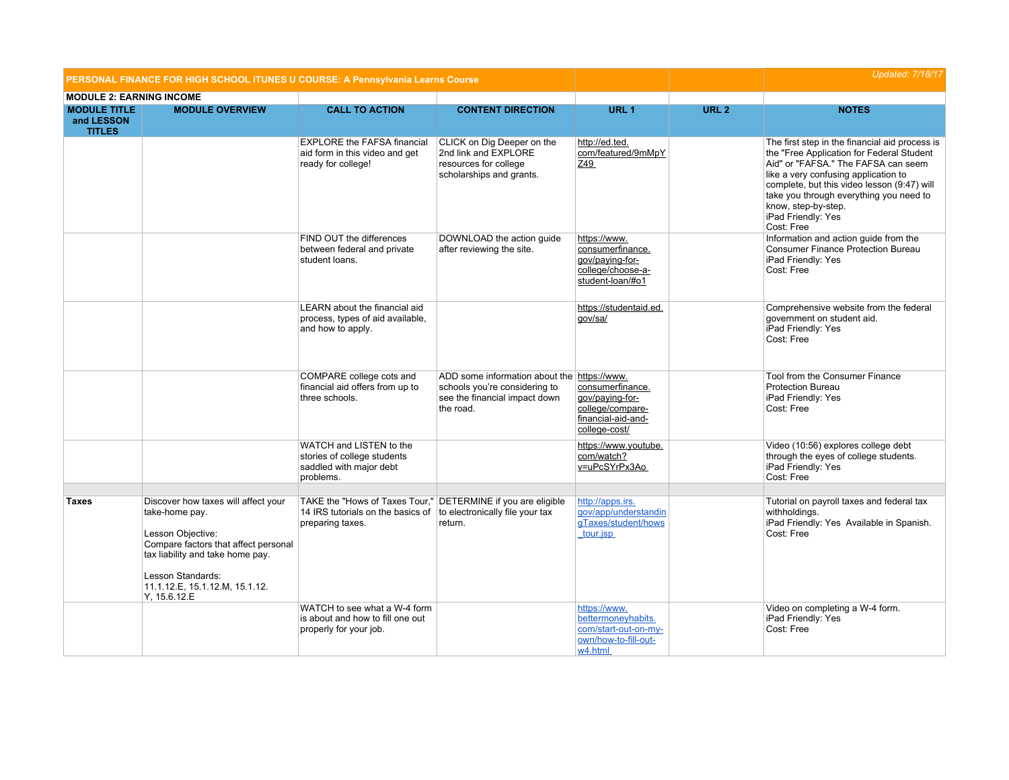|                                                    | PERSONAL FINANCE FOR HIGH SCHOOL ITUNES U COURSE: A Pennsylvania Learns Course                                                                                                                                                |                                                                                                                                                       |                                                                                                                            |                                                                                                | <b>Updated: 7/18/17</b> |                                                                                                                                                                                                                                                                                                                                 |
|----------------------------------------------------|-------------------------------------------------------------------------------------------------------------------------------------------------------------------------------------------------------------------------------|-------------------------------------------------------------------------------------------------------------------------------------------------------|----------------------------------------------------------------------------------------------------------------------------|------------------------------------------------------------------------------------------------|-------------------------|---------------------------------------------------------------------------------------------------------------------------------------------------------------------------------------------------------------------------------------------------------------------------------------------------------------------------------|
| <b>MODULE 2: EARNING INCOME</b>                    |                                                                                                                                                                                                                               |                                                                                                                                                       |                                                                                                                            |                                                                                                |                         |                                                                                                                                                                                                                                                                                                                                 |
| <b>MODULE TITLE</b><br>and LESSON<br><b>TITLES</b> | <b>MODULE OVERVIEW</b>                                                                                                                                                                                                        | <b>CALL TO ACTION</b>                                                                                                                                 | <b>CONTENT DIRECTION</b>                                                                                                   | URL <sub>1</sub>                                                                               | URL <sub>2</sub>        | <b>NOTES</b>                                                                                                                                                                                                                                                                                                                    |
|                                                    |                                                                                                                                                                                                                               | <b>EXPLORE the FAFSA financial</b><br>aid form in this video and get<br>ready for college!                                                            | CLICK on Dig Deeper on the<br>2nd link and EXPLORE<br>resources for college<br>scholarships and grants.                    | http://ed.ted.<br>com/featured/9mMpY<br>Z49                                                    |                         | The first step in the financial aid process is<br>the "Free Application for Federal Student<br>Aid" or "FAFSA." The FAFSA can seem<br>like a very confusing application to<br>complete, but this video lesson (9:47) will<br>take you through everything you need to<br>know, step-by-step.<br>iPad Friendly: Yes<br>Cost: Free |
|                                                    |                                                                                                                                                                                                                               | FIND OUT the differences<br>between federal and private<br>student loans.                                                                             | DOWNLOAD the action guide<br>after reviewing the site.                                                                     | https://www.<br>consumerfinance.<br>qov/paying-for-<br>college/choose-a-<br>student-loan/#o1   |                         | Information and action guide from the<br><b>Consumer Finance Protection Bureau</b><br>iPad Friendly: Yes<br>Cost: Free                                                                                                                                                                                                          |
|                                                    |                                                                                                                                                                                                                               | LEARN about the financial aid<br>process, types of aid available,<br>and how to apply.                                                                |                                                                                                                            | https://studentaid.ed.<br>gov/sa/                                                              |                         | Comprehensive website from the federal<br>government on student aid.<br>iPad Friendly: Yes<br>Cost: Free                                                                                                                                                                                                                        |
|                                                    |                                                                                                                                                                                                                               | COMPARE college cots and<br>financial aid offers from up to<br>three schools.                                                                         | ADD some information about the https://www.<br>schools you're considering to<br>see the financial impact down<br>the road. | consumerfinance.<br>qov/paying-for-<br>college/compare-<br>financial-aid-and-<br>college-cost/ |                         | Tool from the Consumer Finance<br><b>Protection Bureau</b><br>iPad Friendly: Yes<br>Cost: Free                                                                                                                                                                                                                                  |
|                                                    |                                                                                                                                                                                                                               | WATCH and LISTEN to the<br>stories of college students<br>saddled with major debt<br>problems.                                                        |                                                                                                                            | https://www.youtube.<br>com/watch?<br>v=uPcSYrPx3Ao                                            |                         | Video (10:56) explores college debt<br>through the eyes of college students.<br>iPad Friendly: Yes<br>Cost: Free                                                                                                                                                                                                                |
| <b>Taxes</b>                                       | Discover how taxes will affect your<br>take-home pay.<br>Lesson Obiective:<br>Compare factors that affect personal<br>tax liability and take home pay.<br>Lesson Standards:<br>11.1.12.E, 15.1.12.M, 15.1.12.<br>Y, 15.6.12.E | TAKE the "Hows of Taxes Tour," DETERMINE if you are eligible<br>14 IRS tutorials on the basics of to electronically file your tax<br>preparing taxes. | return.                                                                                                                    | http://apps.irs.<br>qov/app/understandin<br>gTaxes/student/hows<br>tour.jsp                    |                         | Tutorial on payroll taxes and federal tax<br>withholdinas.<br>iPad Friendly: Yes Available in Spanish.<br>Cost: Free                                                                                                                                                                                                            |
|                                                    |                                                                                                                                                                                                                               | WATCH to see what a W-4 form<br>is about and how to fill one out<br>properly for your job.                                                            |                                                                                                                            | https://www.<br>bettermonevhabits.<br>com/start-out-on-my-<br>own/how-to-fill-out-<br>w4.html  |                         | Video on completing a W-4 form.<br>iPad Friendly: Yes<br>Cost: Free                                                                                                                                                                                                                                                             |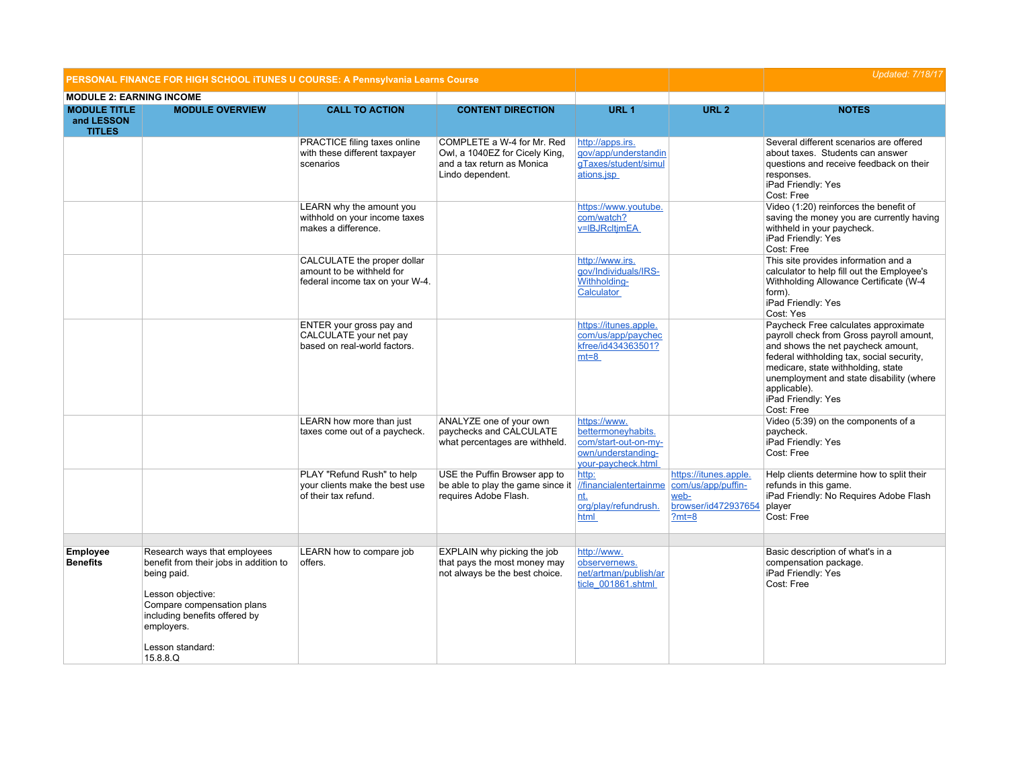|                                                    | PERSONAL FINANCE FOR HIGH SCHOOL ITUNES U COURSE: A Pennsylvania Learns Course                                                                                                                                          |                                                                                             |                                                                                                                |                                                                                                        | <b>Updated: 7/18/17</b>                                                               |                                                                                                                                                                                                                                                                                                           |
|----------------------------------------------------|-------------------------------------------------------------------------------------------------------------------------------------------------------------------------------------------------------------------------|---------------------------------------------------------------------------------------------|----------------------------------------------------------------------------------------------------------------|--------------------------------------------------------------------------------------------------------|---------------------------------------------------------------------------------------|-----------------------------------------------------------------------------------------------------------------------------------------------------------------------------------------------------------------------------------------------------------------------------------------------------------|
| <b>MODULE 2: EARNING INCOME</b>                    |                                                                                                                                                                                                                         |                                                                                             |                                                                                                                |                                                                                                        |                                                                                       |                                                                                                                                                                                                                                                                                                           |
| <b>MODULE TITLE</b><br>and LESSON<br><b>TITLES</b> | <b>MODULE OVERVIEW</b>                                                                                                                                                                                                  | <b>CALL TO ACTION</b>                                                                       | <b>CONTENT DIRECTION</b>                                                                                       | URL <sub>1</sub>                                                                                       | URL <sub>2</sub>                                                                      | <b>NOTES</b>                                                                                                                                                                                                                                                                                              |
|                                                    |                                                                                                                                                                                                                         | PRACTICE filing taxes online<br>with these different taxpayer<br>scenarios                  | COMPLETE a W-4 for Mr. Red<br>Owl, a 1040EZ for Cicely King,<br>and a tax return as Monica<br>Lindo dependent. | http://apps.irs.<br>qov/app/understandin<br>gTaxes/student/simul<br>ations.jsp                         |                                                                                       | Several different scenarios are offered<br>about taxes. Students can answer<br>questions and receive feedback on their<br>responses.<br>iPad Friendly: Yes<br>Cost: Free                                                                                                                                  |
|                                                    |                                                                                                                                                                                                                         | LEARN why the amount you<br>withhold on your income taxes<br>makes a difference.            |                                                                                                                | https://www.youtube.<br>com/watch?<br>v=IBJRcItjmEA                                                    |                                                                                       | Video (1:20) reinforces the benefit of<br>saving the money you are currently having<br>withheld in your paycheck.<br>iPad Friendly: Yes<br>Cost: Free                                                                                                                                                     |
|                                                    |                                                                                                                                                                                                                         | CALCULATE the proper dollar<br>amount to be withheld for<br>federal income tax on your W-4. |                                                                                                                | http://www.irs.<br>qov/Individuals/IRS-<br>Withholding-<br>Calculator                                  |                                                                                       | This site provides information and a<br>calculator to help fill out the Employee's<br>Withholding Allowance Certificate (W-4<br>form).<br>iPad Friendly: Yes<br>Cost: Yes                                                                                                                                 |
|                                                    |                                                                                                                                                                                                                         | ENTER your gross pay and<br>CALCULATE your net pay<br>based on real-world factors.          |                                                                                                                | https://itunes.apple.<br>com/us/app/paychec<br>kfree/id434363501?<br>$mt=8$                            |                                                                                       | Paycheck Free calculates approximate<br>payroll check from Gross payroll amount,<br>and shows the net paycheck amount.<br>federal withholding tax, social security,<br>medicare, state withholding, state<br>unemployment and state disability (where<br>applicable).<br>iPad Friendly: Yes<br>Cost: Free |
|                                                    |                                                                                                                                                                                                                         | LEARN how more than just<br>taxes come out of a paycheck.                                   | ANALYZE one of your own<br>paychecks and CALCULATE<br>what percentages are withheld.                           | https://www.<br>bettermoneyhabits.<br>com/start-out-on-my-<br>own/understanding-<br>your-paycheck.html |                                                                                       | Video (5:39) on the components of a<br>paycheck.<br>iPad Friendly: Yes<br>Cost: Free                                                                                                                                                                                                                      |
|                                                    |                                                                                                                                                                                                                         | PLAY "Refund Rush" to help<br>your clients make the best use<br>of their tax refund.        | USE the Puffin Browser app to<br>be able to play the game since it<br>requires Adobe Flash.                    | http:<br>//financialentertainme<br>nt.<br>org/play/refundrush.<br>html                                 | https://itunes.apple.<br>com/us/app/puffin-<br>web-<br>browser/id472937654<br>$?mt=8$ | Help clients determine how to split their<br>refunds in this game.<br>iPad Friendly: No Requires Adobe Flash<br>player<br>Cost: Free                                                                                                                                                                      |
| <b>Employee</b><br><b>Benefits</b>                 | Research ways that employees<br>benefit from their jobs in addition to<br>being paid.<br>Lesson objective:<br>Compare compensation plans<br>including benefits offered by<br>employers.<br>Lesson standard:<br>15.8.8.Q | LEARN how to compare job<br>offers.                                                         | EXPLAIN why picking the job<br>that pays the most money may<br>not always be the best choice.                  | http://www.<br>observernews.<br>net/artman/publish/ar<br>ticle 001861.shtml                            |                                                                                       | Basic description of what's in a<br>compensation package.<br>iPad Friendly: Yes<br>Cost: Free                                                                                                                                                                                                             |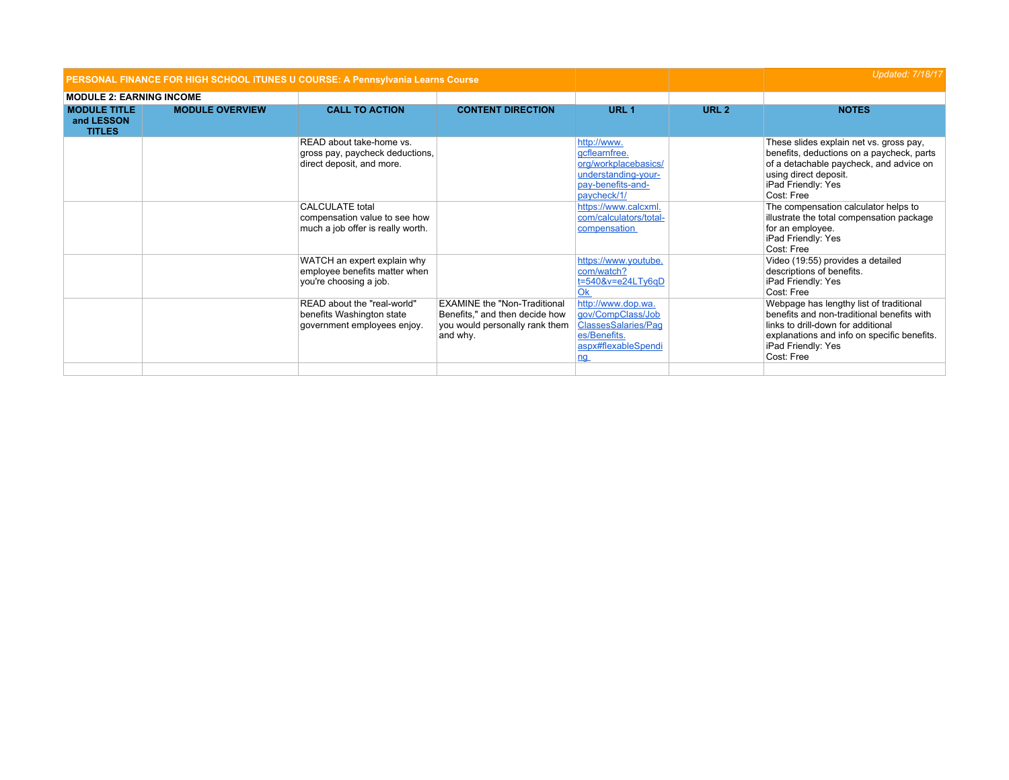|                                                    | PERSONAL FINANCE FOR HIGH SCHOOL ITUNES U COURSE: A Pennsylvania Learns Course |                                                                                              |                                                                                                                     |                                                                                                                           | <b>Updated: 7/18/17</b> |                                                                                                                                                                                                                |
|----------------------------------------------------|--------------------------------------------------------------------------------|----------------------------------------------------------------------------------------------|---------------------------------------------------------------------------------------------------------------------|---------------------------------------------------------------------------------------------------------------------------|-------------------------|----------------------------------------------------------------------------------------------------------------------------------------------------------------------------------------------------------------|
| <b>MODULE 2: EARNING INCOME</b>                    |                                                                                |                                                                                              |                                                                                                                     |                                                                                                                           |                         |                                                                                                                                                                                                                |
| <b>MODULE TITLE</b><br>and LESSON<br><b>TITLES</b> | <b>MODULE OVERVIEW</b>                                                         | <b>CALL TO ACTION</b>                                                                        | <b>CONTENT DIRECTION</b>                                                                                            | URL <sub>1</sub>                                                                                                          | URL <sub>2</sub>        | <b>NOTES</b>                                                                                                                                                                                                   |
|                                                    |                                                                                | READ about take-home vs.<br>gross pay, paycheck deductions,<br>direct deposit, and more.     |                                                                                                                     | http://www.<br>gcflearnfree.<br>org/workplacebasics/<br>understanding-your-<br>pay-benefits-and-<br>paycheck/1/           |                         | These slides explain net vs. gross pay,<br>benefits, deductions on a paycheck, parts<br>of a detachable paycheck, and advice on<br>using direct deposit.<br>iPad Friendly: Yes<br>Cost: Free                   |
|                                                    |                                                                                | <b>CALCULATE</b> total<br>compensation value to see how<br>much a job offer is really worth. |                                                                                                                     | https://www.calcxml.<br>com/calculators/total-<br>compensation                                                            |                         | The compensation calculator helps to<br>illustrate the total compensation package<br>for an employee.<br>iPad Friendly: Yes<br>Cost: Free                                                                      |
|                                                    |                                                                                | WATCH an expert explain why<br>employee benefits matter when<br>you're choosing a job.       |                                                                                                                     | https://www.youtube.<br>com/watch?<br>$t = 540$ &v=e24LTy6qD<br>Ok                                                        |                         | Video (19:55) provides a detailed<br>descriptions of benefits.<br>iPad Friendly: Yes<br>Cost: Free                                                                                                             |
|                                                    |                                                                                | READ about the "real-world"<br>benefits Washington state<br>government employees enjoy.      | <b>EXAMINE the "Non-Traditional</b><br>Benefits," and then decide how<br>you would personally rank them<br>and why. | http://www.dop.wa.<br>gov/CompClass/Job<br><b>ClassesSalaries/Pag</b><br>es/Benefits.<br>aspx#flexableSpendi<br><u>ng</u> |                         | Webpage has lengthy list of traditional<br>benefits and non-traditional benefits with<br>links to drill-down for additional<br>explanations and info on specific benefits.<br>iPad Friendly: Yes<br>Cost: Free |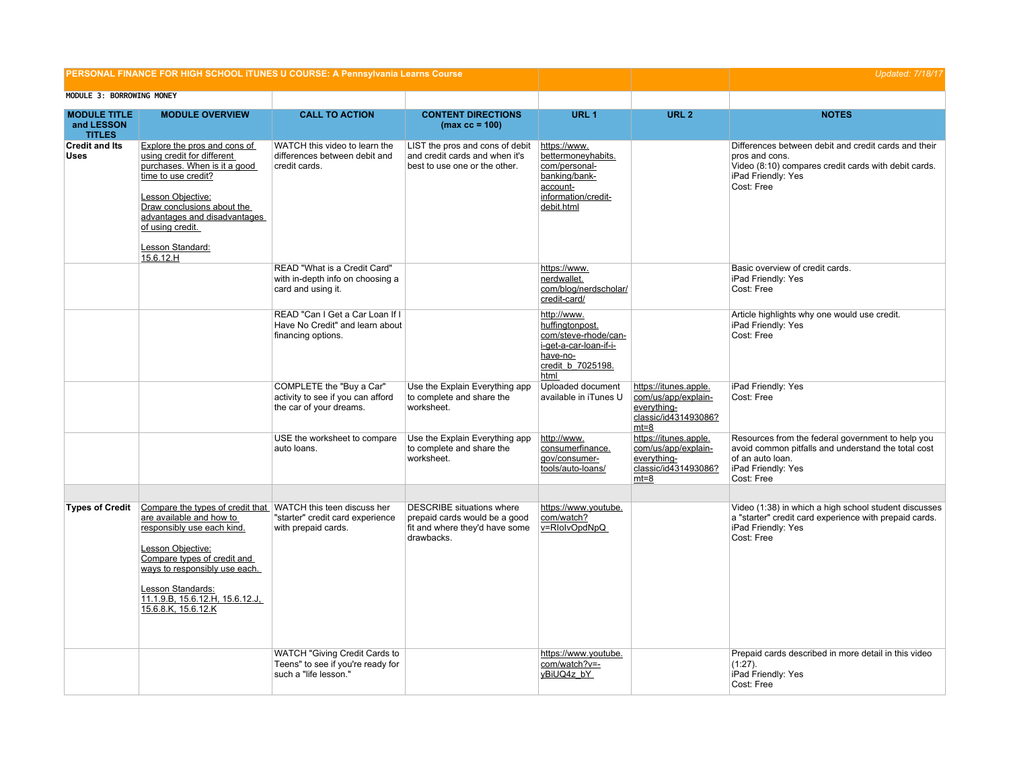|                                                    |                                                                                                                                                                                                                                                                                            | PERSONAL FINANCE FOR HIGH SCHOOL ITUNES U COURSE: A Pennsylvania Learns Course              |                                                                                                                   |                                                                                                                           | <b>Updated: 7/18/17</b>                                                                       |                                                                                                                                                                    |
|----------------------------------------------------|--------------------------------------------------------------------------------------------------------------------------------------------------------------------------------------------------------------------------------------------------------------------------------------------|---------------------------------------------------------------------------------------------|-------------------------------------------------------------------------------------------------------------------|---------------------------------------------------------------------------------------------------------------------------|-----------------------------------------------------------------------------------------------|--------------------------------------------------------------------------------------------------------------------------------------------------------------------|
| MODULE 3: BORROWING MONEY                          |                                                                                                                                                                                                                                                                                            |                                                                                             |                                                                                                                   |                                                                                                                           |                                                                                               |                                                                                                                                                                    |
| <b>MODULE TITLE</b><br>and LESSON<br><b>TITLES</b> | <b>MODULE OVERVIEW</b>                                                                                                                                                                                                                                                                     | <b>CALL TO ACTION</b>                                                                       | <b>CONTENT DIRECTIONS</b><br>$(max cc = 100)$                                                                     | URL <sub>1</sub>                                                                                                          | URL <sub>2</sub>                                                                              | <b>NOTES</b>                                                                                                                                                       |
| <b>Credit and Its</b><br><b>Uses</b>               | Explore the pros and cons of<br>using credit for different<br>purchases. When is it a good<br>time to use credit?<br>Lesson Objective:<br>Draw conclusions about the<br>advantages and disadvantages<br>of using credit.<br>Lesson Standard:<br>15.6.12.H                                  | WATCH this video to learn the<br>differences between debit and<br>credit cards.             | LIST the pros and cons of debit<br>and credit cards and when it's<br>best to use one or the other.                | https://www.<br>bettermoneyhabits.<br>com/personal-<br>banking/bank-<br>account-<br>information/credit-<br>debit.html     |                                                                                               | Differences between debit and credit cards and their<br>pros and cons.<br>Video (8:10) compares credit cards with debit cards.<br>iPad Friendly: Yes<br>Cost: Free |
|                                                    |                                                                                                                                                                                                                                                                                            | READ "What is a Credit Card"<br>with in-depth info on choosing a<br>card and using it.      |                                                                                                                   | https://www.<br>nerdwallet.<br>com/blog/nerdscholar/<br>credit-card/                                                      |                                                                                               | Basic overview of credit cards.<br>iPad Friendly: Yes<br>Cost: Free                                                                                                |
|                                                    |                                                                                                                                                                                                                                                                                            | READ "Can I Get a Car Loan If I<br>Have No Credit" and learn about<br>financing options.    |                                                                                                                   | http://www.<br>huffingtonpost.<br>com/steve-rhode/can-<br>i-get-a-car-loan-if-i-<br>have-no-<br>credit_b_7025198.<br>html |                                                                                               | Article highlights why one would use credit.<br>iPad Friendly: Yes<br>Cost: Free                                                                                   |
|                                                    |                                                                                                                                                                                                                                                                                            | COMPLETE the "Buy a Car"<br>activity to see if you can afford<br>the car of your dreams.    | Use the Explain Everything app<br>to complete and share the<br>worksheet.                                         | Uploaded document<br>available in iTunes U                                                                                | https://itunes.apple.<br>com/us/app/explain-<br>everything-<br>classic/id431493086?<br>$mt=8$ | iPad Friendly: Yes<br>Cost: Free                                                                                                                                   |
|                                                    |                                                                                                                                                                                                                                                                                            | USE the worksheet to compare<br>auto loans.                                                 | Use the Explain Everything app<br>to complete and share the<br>worksheet.                                         | http://www.<br>consumerfinance.<br>gov/consumer-<br>tools/auto-loans/                                                     | https://itunes.apple.<br>com/us/app/explain-<br>everything-<br>classic/id431493086?<br>mt=8   | Resources from the federal government to help you<br>avoid common pitfalls and understand the total cost<br>of an auto loan.<br>iPad Friendly: Yes<br>Cost: Free   |
| <b>Types of Credit</b>                             | Compare the types of credit that WATCH this teen discuss her<br>are available and how to<br>responsibly use each kind.<br>Lesson Objective:<br>Compare types of credit and<br>ways to responsibly use each.<br>Lesson Standards:<br>11.1.9.B, 15.6.12.H, 15.6.12.J,<br>15.6.8.K, 15.6.12.K | "starter" credit card experience<br>with prepaid cards.                                     | <b>DESCRIBE</b> situations where<br>prepaid cards would be a good<br>fit and where they'd have some<br>drawbacks. | https://www.youtube.<br>com/watch?<br>v=RlolvOpdNpQ                                                                       |                                                                                               | Video (1:38) in which a high school student discusses<br>a "starter" credit card experience with prepaid cards.<br>iPad Friendly: Yes<br>Cost: Free                |
|                                                    |                                                                                                                                                                                                                                                                                            | WATCH "Giving Credit Cards to<br>Teens" to see if you're ready for<br>such a "life lesson." |                                                                                                                   | https://www.youtube.<br>com/watch?v=-<br>yBiUQ4z bY                                                                       |                                                                                               | Prepaid cards described in more detail in this video<br>$(1:27)$ .<br>iPad Friendly: Yes<br>Cost: Free                                                             |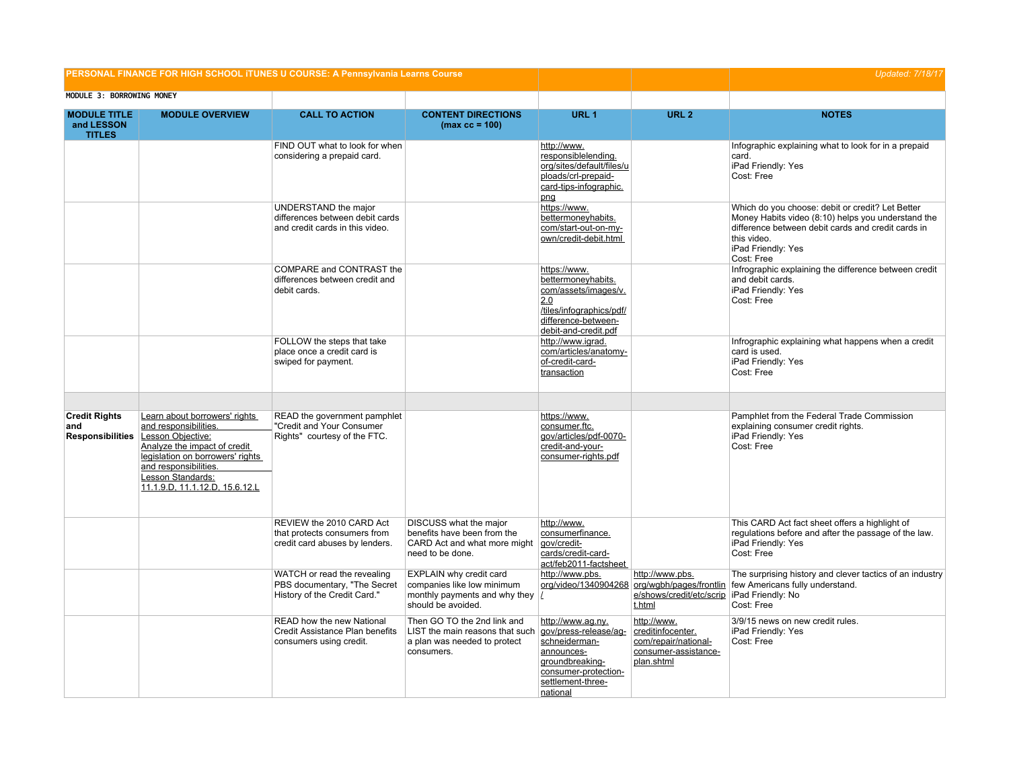|                                                        |                                                                                                                                                                                                                                 | PERSONAL FINANCE FOR HIGH SCHOOL ITUNES U COURSE: A Pennsylvania Learns Course              |                                                                                                              |                                                                                                                                                       |                                                                                                       | <b>Updated: 7/18/17</b>                                                                                                                                                                                         |
|--------------------------------------------------------|---------------------------------------------------------------------------------------------------------------------------------------------------------------------------------------------------------------------------------|---------------------------------------------------------------------------------------------|--------------------------------------------------------------------------------------------------------------|-------------------------------------------------------------------------------------------------------------------------------------------------------|-------------------------------------------------------------------------------------------------------|-----------------------------------------------------------------------------------------------------------------------------------------------------------------------------------------------------------------|
| MODULE 3: BORROWING MONEY                              |                                                                                                                                                                                                                                 |                                                                                             |                                                                                                              |                                                                                                                                                       |                                                                                                       |                                                                                                                                                                                                                 |
| <b>MODULE TITLE</b><br>and LESSON<br><b>TITLES</b>     | <b>MODULE OVERVIEW</b>                                                                                                                                                                                                          | <b>CALL TO ACTION</b>                                                                       | <b>CONTENT DIRECTIONS</b><br>$(max cc = 100)$                                                                | URL <sub>1</sub>                                                                                                                                      | URL <sub>2</sub>                                                                                      | <b>NOTES</b>                                                                                                                                                                                                    |
|                                                        |                                                                                                                                                                                                                                 | FIND OUT what to look for when<br>considering a prepaid card.                               |                                                                                                              | http://www.<br>responsiblelending.<br>org/sites/default/files/u<br>ploads/crl-prepaid-<br>card-tips-infographic.<br>png                               |                                                                                                       | Infographic explaining what to look for in a prepaid<br>card.<br>iPad Friendly: Yes<br>Cost: Free                                                                                                               |
|                                                        |                                                                                                                                                                                                                                 | UNDERSTAND the major<br>differences between debit cards<br>and credit cards in this video.  |                                                                                                              | https://www.<br>bettermoneyhabits.<br>com/start-out-on-my-<br>own/credit-debit.html                                                                   |                                                                                                       | Which do you choose: debit or credit? Let Better<br>Money Habits video (8:10) helps you understand the<br>difference between debit cards and credit cards in<br>this video.<br>iPad Friendly: Yes<br>Cost: Free |
|                                                        |                                                                                                                                                                                                                                 | COMPARE and CONTRAST the<br>differences between credit and<br>debit cards.                  |                                                                                                              | https://www.<br>bettermoneyhabits.<br>com/assets/images/v.<br>2.0<br>/tiles/infographics/pdf/<br>difference-between-<br>debit-and-credit.pdf          |                                                                                                       | Infrographic explaining the difference between credit<br>and debit cards.<br>iPad Friendly: Yes<br>Cost: Free                                                                                                   |
|                                                        |                                                                                                                                                                                                                                 | FOLLOW the steps that take<br>place once a credit card is<br>swiped for payment.            |                                                                                                              | http://www.igrad.<br>com/articles/anatomy-<br>of-credit-card-<br>transaction                                                                          |                                                                                                       | Infrographic explaining what happens when a credit<br>card is used.<br>iPad Friendly: Yes<br>Cost: Free                                                                                                         |
| <b>Credit Rights</b><br>and<br><b>Responsibilities</b> | Learn about borrowers' rights<br>and responsibilities.<br>Lesson Objective:<br>Analyze the impact of credit<br>legislation on borrowers' rights<br>and responsibilities.<br>Lesson Standards:<br>11.1.9.D, 11.1.12.D, 15.6.12.L | READ the government pamphlet<br>"Credit and Your Consumer<br>Rights" courtesy of the FTC.   |                                                                                                              | https://www.<br>consumer.ftc.<br>gov/articles/pdf-0070-<br>credit-and-your-<br>consumer-rights.pdf                                                    |                                                                                                       | Pamphlet from the Federal Trade Commission<br>explaining consumer credit rights.<br>iPad Friendly: Yes<br>Cost: Free                                                                                            |
|                                                        |                                                                                                                                                                                                                                 | REVIEW the 2010 CARD Act<br>that protects consumers from<br>credit card abuses by lenders.  | DISCUSS what the major<br>benefits have been from the<br>CARD Act and what more might<br>need to be done.    | http://www.<br>consumerfinance.<br>gov/credit-<br>cards/credit-card-<br>act/feb2011-factsheet                                                         |                                                                                                       | This CARD Act fact sheet offers a highlight of<br>regulations before and after the passage of the law.<br>iPad Friendly: Yes<br>Cost: Free                                                                      |
|                                                        |                                                                                                                                                                                                                                 | WATCH or read the revealing<br>PBS documentary, "The Secret<br>History of the Credit Card." | EXPLAIN why credit card<br>companies like low minimum<br>monthly payments and why they<br>should be avoided. | http://www.pbs.                                                                                                                                       | http://www.pbs.<br>org/video/1340904268 org/wgbh/pages/frontlin<br>e/shows/credit/etc/scrip<br>t.html | The surprising history and clever tactics of an industry<br>few Americans fully understand.<br>iPad Friendly: No<br>Cost: Free                                                                                  |
|                                                        |                                                                                                                                                                                                                                 | READ how the new National<br>Credit Assistance Plan benefits<br>consumers using credit.     | Then GO TO the 2nd link and<br>LIST the main reasons that such<br>a plan was needed to protect<br>consumers. | http://www.aq.ny.<br>gov/press-release/ag-<br>schneiderman-<br>announces-<br>groundbreaking-<br>consumer-protection-<br>settlement-three-<br>national | http://www.<br>creditinfocenter.<br>com/repair/national-<br>consumer-assistance-<br>plan.shtml        | 3/9/15 news on new credit rules.<br>iPad Friendly: Yes<br>Cost: Free                                                                                                                                            |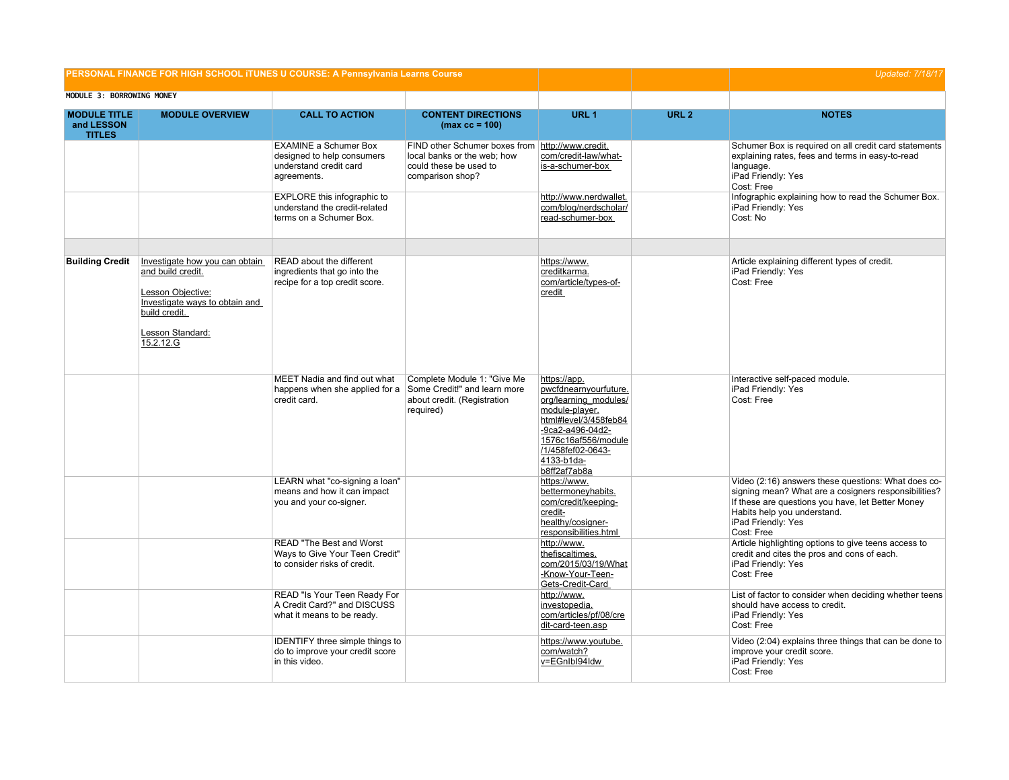| PERSONAL FINANCE FOR HIGH SCHOOL ITUNES U COURSE: A Pennsylvania Learns Course |                                                                                                                                                              |                                                                                                             |                                                                                                            |                                                                                                                                                                                                         |                  | <b>Updated: 7/18/17</b>                                                                                                                                                                                                             |
|--------------------------------------------------------------------------------|--------------------------------------------------------------------------------------------------------------------------------------------------------------|-------------------------------------------------------------------------------------------------------------|------------------------------------------------------------------------------------------------------------|---------------------------------------------------------------------------------------------------------------------------------------------------------------------------------------------------------|------------------|-------------------------------------------------------------------------------------------------------------------------------------------------------------------------------------------------------------------------------------|
| MODULE 3: BORROWING MONEY                                                      |                                                                                                                                                              |                                                                                                             |                                                                                                            |                                                                                                                                                                                                         |                  |                                                                                                                                                                                                                                     |
| <b>MODULE TITLE</b><br>and LESSON<br><b>TITLES</b>                             | <b>MODULE OVERVIEW</b>                                                                                                                                       | <b>CALL TO ACTION</b>                                                                                       | <b>CONTENT DIRECTIONS</b><br>$(max cc = 100)$                                                              | URL <sub>1</sub>                                                                                                                                                                                        | URL <sub>2</sub> | <b>NOTES</b>                                                                                                                                                                                                                        |
|                                                                                |                                                                                                                                                              | <b>EXAMINE a Schumer Box</b><br>designed to help consumers<br>understand credit card<br>agreements.         | FIND other Schumer boxes from<br>local banks or the web; how<br>could these be used to<br>comparison shop? | http://www.credit.<br>com/credit-law/what-<br>is-a-schumer-box                                                                                                                                          |                  | Schumer Box is required on all credit card statements<br>explaining rates, fees and terms in easy-to-read<br>language.<br>iPad Friendly: Yes<br>Cost: Free                                                                          |
|                                                                                |                                                                                                                                                              | EXPLORE this infographic to<br>understand the credit-related<br>terms on a Schumer Box.                     |                                                                                                            | http://www.nerdwallet.<br>com/blog/nerdscholar/<br>read-schumer-box                                                                                                                                     |                  | Infographic explaining how to read the Schumer Box.<br>iPad Friendly: Yes<br>Cost: No                                                                                                                                               |
| <b>Building Credit</b>                                                         | Investigate how you can obtain<br>and build credit.<br>Lesson Objective:<br>Investigate ways to obtain and<br>build credit.<br>Lesson Standard:<br>15.2.12.G | READ about the different<br>ingredients that go into the<br>recipe for a top credit score.                  |                                                                                                            | https://www.<br>creditkarma.<br>com/article/types-of-<br>credit                                                                                                                                         |                  | Article explaining different types of credit.<br>iPad Friendly: Yes<br>Cost: Free                                                                                                                                                   |
|                                                                                |                                                                                                                                                              | MEET Nadia and find out what<br>happens when she applied for a Some Credit!" and learn more<br>credit card. | Complete Module 1: "Give Me<br>about credit. (Registration<br>required)                                    | https://app.<br>pwcfdnearnyourfuture.<br>org/learning_modules/<br>module-player.<br>html#level/3/458feb84<br>-9ca2-a496-04d2-<br>1576c16af556/module<br>/1/458fef02-0643-<br>4133-b1da-<br>b8ff2af7ab8a |                  | Interactive self-paced module.<br>iPad Friendly: Yes<br>Cost: Free                                                                                                                                                                  |
|                                                                                |                                                                                                                                                              | LEARN what "co-signing a loan"<br>means and how it can impact<br>you and your co-signer.                    |                                                                                                            | https://www.<br>bettermoneyhabits.<br>com/credit/keeping-<br>credit-<br>healthy/cosigner-<br>responsibilities.html                                                                                      |                  | Video (2:16) answers these questions: What does co-<br>signing mean? What are a cosigners responsibilities?<br>If these are questions you have, let Better Money<br>Habits help you understand.<br>iPad Friendly: Yes<br>Cost: Free |
|                                                                                |                                                                                                                                                              | READ "The Best and Worst<br>Ways to Give Your Teen Credit"<br>to consider risks of credit.                  |                                                                                                            | http://www.<br>thefiscaltimes.<br>com/2015/03/19/What<br>-Know-Your-Teen-<br>Gets-Credit-Card                                                                                                           |                  | Article highlighting options to give teens access to<br>credit and cites the pros and cons of each.<br>iPad Friendly: Yes<br>Cost: Free                                                                                             |
|                                                                                |                                                                                                                                                              | READ "Is Your Teen Ready For<br>A Credit Card?" and DISCUSS<br>what it means to be ready.                   |                                                                                                            | http://www.<br>investopedia.<br>com/articles/pf/08/cre<br>dit-card-teen.asp                                                                                                                             |                  | List of factor to consider when deciding whether teens<br>should have access to credit.<br>iPad Friendly: Yes<br>Cost: Free                                                                                                         |
|                                                                                |                                                                                                                                                              | IDENTIFY three simple things to<br>do to improve your credit score<br>in this video.                        |                                                                                                            | https://www.youtube.<br>com/watch?<br>v=EGnIbI94Idw                                                                                                                                                     |                  | Video (2:04) explains three things that can be done to<br>improve your credit score.<br>iPad Friendly: Yes<br>Cost: Free                                                                                                            |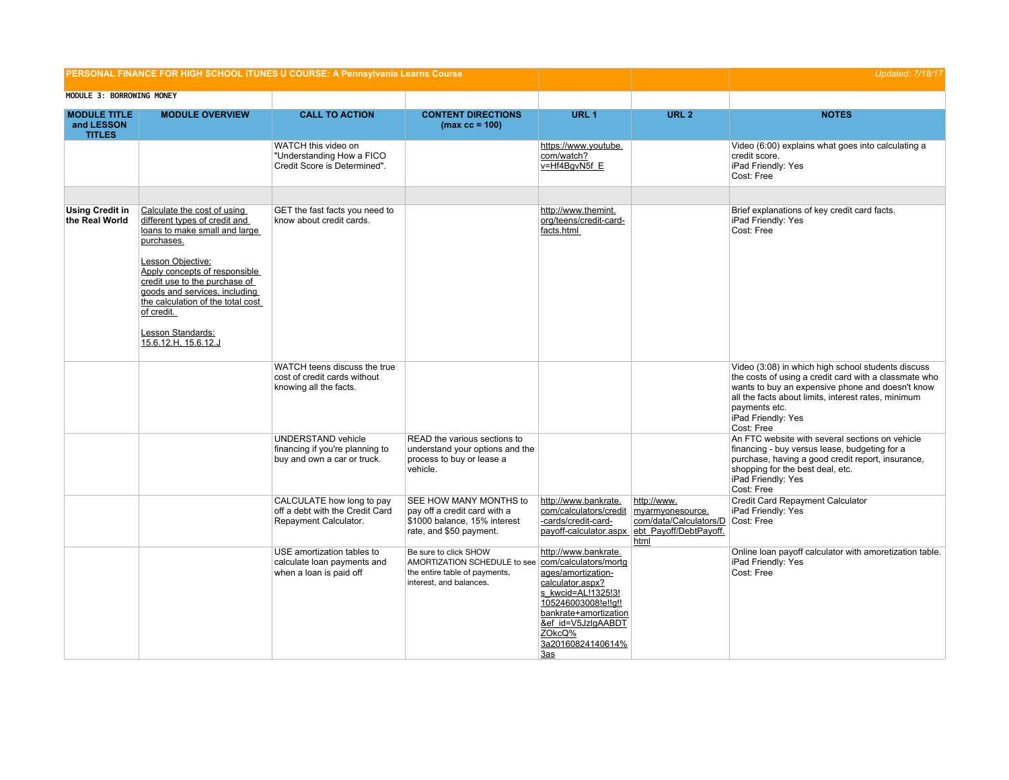|                                                    |                                                                                                                                                                                                                                                                                                                                     | PERSONAL FINANCE FOR HIGH SCHOOL ITUNES U COURSE: A Pennsylvania Learns Course              |                                                                                                                   |                                                                                                                                                                                                                                       |                                                                                                                               | <b>Updated: 7/18/17</b>                                                                                                                                                                                                                                                     |
|----------------------------------------------------|-------------------------------------------------------------------------------------------------------------------------------------------------------------------------------------------------------------------------------------------------------------------------------------------------------------------------------------|---------------------------------------------------------------------------------------------|-------------------------------------------------------------------------------------------------------------------|---------------------------------------------------------------------------------------------------------------------------------------------------------------------------------------------------------------------------------------|-------------------------------------------------------------------------------------------------------------------------------|-----------------------------------------------------------------------------------------------------------------------------------------------------------------------------------------------------------------------------------------------------------------------------|
| MODULE 3: BORROWING MONEY                          |                                                                                                                                                                                                                                                                                                                                     |                                                                                             |                                                                                                                   |                                                                                                                                                                                                                                       |                                                                                                                               |                                                                                                                                                                                                                                                                             |
| <b>MODULE TITLE</b><br>and LESSON<br><b>TITLES</b> | <b>MODULE OVERVIEW</b>                                                                                                                                                                                                                                                                                                              | <b>CALL TO ACTION</b>                                                                       | <b>CONTENT DIRECTIONS</b><br>$(max cc = 100)$                                                                     | URL <sub>1</sub>                                                                                                                                                                                                                      | URL <sub>2</sub>                                                                                                              | <b>NOTES</b>                                                                                                                                                                                                                                                                |
|                                                    |                                                                                                                                                                                                                                                                                                                                     | WATCH this video on<br>"Understanding How a FICO<br>Credit Score is Determined".            |                                                                                                                   | https://www.youtube.<br>com/watch?<br>v=Hf4BqvN5f E                                                                                                                                                                                   |                                                                                                                               | Video (6:00) explains what goes into calculating a<br>credit score.<br>iPad Friendly: Yes<br>Cost: Free                                                                                                                                                                     |
|                                                    |                                                                                                                                                                                                                                                                                                                                     |                                                                                             |                                                                                                                   |                                                                                                                                                                                                                                       |                                                                                                                               |                                                                                                                                                                                                                                                                             |
| <b>Using Credit in</b><br>the Real World           | Calculate the cost of using<br>different types of credit and<br>loans to make small and large<br>purchases.<br>Lesson Objective:<br>Apply concepts of responsible<br>credit use to the purchase of<br>goods and services, including<br>the calculation of the total cost<br>of credit.<br>Lesson Standards:<br>15.6.12.H, 15.6.12.J | GET the fast facts you need to<br>know about credit cards.                                  |                                                                                                                   | http://www.themint.<br>org/teens/credit-card-<br>facts.html                                                                                                                                                                           |                                                                                                                               | Brief explanations of key credit card facts.<br>iPad Friendly: Yes<br>Cost: Free                                                                                                                                                                                            |
|                                                    |                                                                                                                                                                                                                                                                                                                                     | WATCH teens discuss the true<br>cost of credit cards without<br>knowing all the facts.      |                                                                                                                   |                                                                                                                                                                                                                                       |                                                                                                                               | Video (3:08) in which high school students discuss<br>the costs of using a credit card with a classmate who<br>wants to buy an expensive phone and doesn't know<br>all the facts about limits, interest rates, minimum<br>payments etc.<br>iPad Friendly: Yes<br>Cost: Free |
|                                                    |                                                                                                                                                                                                                                                                                                                                     | <b>UNDERSTAND vehicle</b><br>financing if you're planning to<br>buy and own a car or truck. | READ the various sections to<br>understand your options and the<br>process to buy or lease a<br>vehicle.          |                                                                                                                                                                                                                                       |                                                                                                                               | An FTC website with several sections on vehicle<br>financing - buy versus lease, budgeting for a<br>purchase, having a good credit report, insurance,<br>shopping for the best deal, etc.<br>iPad Friendly: Yes<br>Cost: Free                                               |
|                                                    |                                                                                                                                                                                                                                                                                                                                     | CALCULATE how long to pay<br>off a debt with the Credit Card<br>Repayment Calculator.       | SEE HOW MANY MONTHS to<br>pay off a credit card with a<br>\$1000 balance, 15% interest<br>rate, and \$50 payment. | http://www.bankrate.<br>com/calculators/credit<br>-cards/credit-card-                                                                                                                                                                 | http://www.<br>myarmyonesource.<br>com/data/Calculators/D Cost: Free<br>payoff-calculator.aspx ebt Payoff/DebtPayoff.<br>html | Credit Card Repayment Calculator<br>iPad Friendly: Yes                                                                                                                                                                                                                      |
|                                                    |                                                                                                                                                                                                                                                                                                                                     | USE amortization tables to<br>calculate loan payments and<br>when a loan is paid off        | Be sure to click SHOW<br>AMORTIZATION SCHEDULE to see<br>the entire table of payments,<br>interest, and balances. | http://www.bankrate.<br>com/calculators/mortg<br>ages/amortization-<br>calculator.aspx?<br>s kwcid=AL!1325!3!<br>105246003008!e!!g!!<br>bankrate+amortization<br>&ef id=V5JzlgAABDT<br>ZOkcQ%<br>3a20160824140614%<br>3a <sub>S</sub> |                                                                                                                               | Online loan payoff calculator with amoretization table.<br>iPad Friendly: Yes<br>Cost: Free                                                                                                                                                                                 |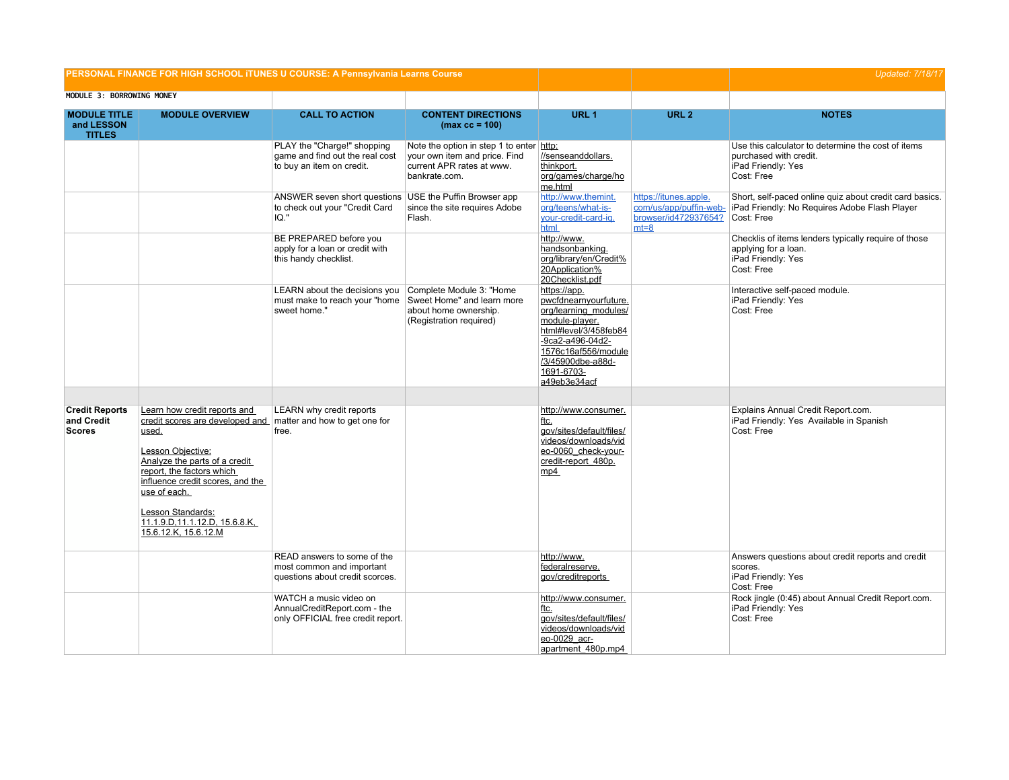| PERSONAL FINANCE FOR HIGH SCHOOL ITUNES U COURSE: A Pennsylvania Learns Course |                                                                                                                                                                                                                                                 |                                                                                                   |                                                                                                                         |                                                                                                                                                                                                         | <b>Updated: 7/18/17</b>                                                             |                                                                                                                        |
|--------------------------------------------------------------------------------|-------------------------------------------------------------------------------------------------------------------------------------------------------------------------------------------------------------------------------------------------|---------------------------------------------------------------------------------------------------|-------------------------------------------------------------------------------------------------------------------------|---------------------------------------------------------------------------------------------------------------------------------------------------------------------------------------------------------|-------------------------------------------------------------------------------------|------------------------------------------------------------------------------------------------------------------------|
| MODULE 3: BORROWING MONEY                                                      |                                                                                                                                                                                                                                                 |                                                                                                   |                                                                                                                         |                                                                                                                                                                                                         |                                                                                     |                                                                                                                        |
| <b>MODULE TITLE</b><br>and LESSON<br><b>TITLES</b>                             | <b>MODULE OVERVIEW</b>                                                                                                                                                                                                                          | <b>CALL TO ACTION</b>                                                                             | <b>CONTENT DIRECTIONS</b><br>$(max cc = 100)$                                                                           | URL <sub>1</sub>                                                                                                                                                                                        | URL <sub>2</sub>                                                                    | <b>NOTES</b>                                                                                                           |
|                                                                                |                                                                                                                                                                                                                                                 | PLAY the "Charge!" shopping<br>game and find out the real cost<br>to buy an item on credit.       | Note the option in step 1 to enter http:<br>vour own item and price. Find<br>current APR rates at www.<br>bankrate.com. | //senseanddollars.<br>thinkport.<br>org/games/charge/ho<br>me.html                                                                                                                                      |                                                                                     | Use this calculator to determine the cost of items<br>purchased with credit.<br>iPad Friendly: Yes<br>Cost: Free       |
|                                                                                |                                                                                                                                                                                                                                                 | ANSWER seven short questions USE the Puffin Browser app<br>to check out your "Credit Card<br>IO." | since the site requires Adobe<br>Flash.                                                                                 | http://www.themint.<br>org/teens/what-is-<br>your-credit-card-ig.<br>html                                                                                                                               | https://itunes.apple.<br>com/us/app/puffin-web-<br>browser/id472937654?<br>$mt = 8$ | Short, self-paced online quiz about credit card basics.<br>iPad Friendly: No Requires Adobe Flash Player<br>Cost: Free |
|                                                                                |                                                                                                                                                                                                                                                 | BE PREPARED before you<br>apply for a loan or credit with<br>this handy checklist.                |                                                                                                                         | http://www.<br>handsonbanking.<br>org/library/en/Credit%<br>20Application%<br>20Checklist.pdf                                                                                                           |                                                                                     | Checklis of items lenders typically require of those<br>applying for a loan.<br>iPad Friendly: Yes<br>Cost: Free       |
|                                                                                |                                                                                                                                                                                                                                                 | LEARN about the decisions you<br>must make to reach your "home<br>sweet home."                    | Complete Module 3: "Home<br>Sweet Home" and learn more<br>about home ownership.<br>(Registration required)              | https://app.<br>pwcfdnearnyourfuture.<br>org/learning modules/<br>module-player.<br>html#level/3/458feb84<br>-9ca2-a496-04d2-<br>1576c16af556/module<br>/3/45900dbe-a88d-<br>1691-6703-<br>a49eb3e34acf |                                                                                     | Interactive self-paced module.<br>iPad Friendly: Yes<br>Cost: Free                                                     |
| <b>Credit Reports</b><br>and Credit<br><b>Scores</b>                           | Learn how credit reports and<br>credit scores are developed and   matter and how to get one for<br>used.<br>Lesson Objective:<br>Analyze the parts of a credit<br>report, the factors which<br>influence credit scores, and the<br>use of each. | <b>LEARN</b> why credit reports<br>free.                                                          |                                                                                                                         | http://www.consumer.<br>ftc.<br>gov/sites/default/files/<br>videos/downloads/vid<br>eo-0060_check-your-<br>credit-report 480p.<br>mp4                                                                   |                                                                                     | Explains Annual Credit Report.com.<br>iPad Friendly: Yes Available in Spanish<br>Cost: Free                            |
|                                                                                | Lesson Standards:<br>11.1.9.D, 11.1.12.D, 15.6.8.K,<br>15.6.12.K, 15.6.12.M                                                                                                                                                                     |                                                                                                   |                                                                                                                         |                                                                                                                                                                                                         |                                                                                     |                                                                                                                        |
|                                                                                |                                                                                                                                                                                                                                                 | READ answers to some of the<br>most common and important<br>questions about credit scorces.       |                                                                                                                         | http://www.<br>federalreserve.<br>gov/creditreports                                                                                                                                                     |                                                                                     | Answers questions about credit reports and credit<br>scores.<br>iPad Friendly: Yes<br>Cost: Free                       |
|                                                                                |                                                                                                                                                                                                                                                 | WATCH a music video on<br>AnnualCreditReport.com - the<br>only OFFICIAL free credit report.       |                                                                                                                         | http://www.consumer.<br>ftc.<br>gov/sites/default/files/<br>videos/downloads/vid<br>eo-0029 acr-<br>apartment 480p.mp4                                                                                  |                                                                                     | Rock jingle (0:45) about Annual Credit Report.com.<br>iPad Friendly: Yes<br>Cost: Free                                 |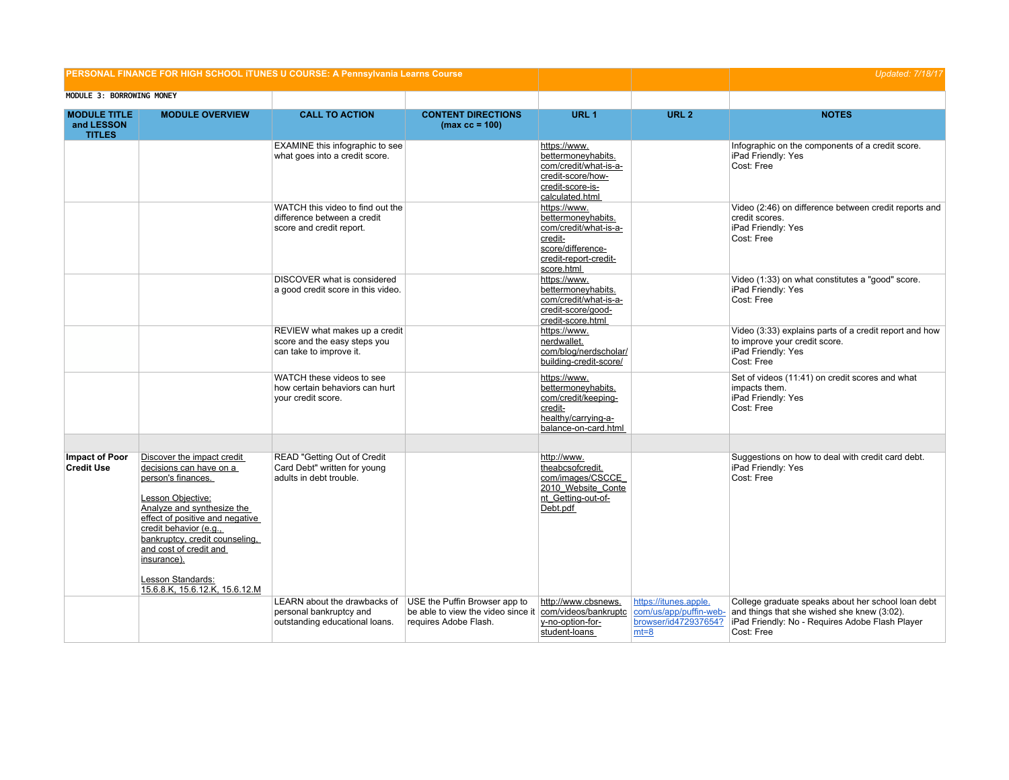| PERSONAL FINANCE FOR HIGH SCHOOL ITUNES U COURSE: A Pennsylvania Learns Course |                                                                                                                                                                                                                                                                                                                               |                                                                                             |                                                                                              |                                                                                                                                    |                                                                                   | Updated: 7/18/17                                                                                                                                                   |
|--------------------------------------------------------------------------------|-------------------------------------------------------------------------------------------------------------------------------------------------------------------------------------------------------------------------------------------------------------------------------------------------------------------------------|---------------------------------------------------------------------------------------------|----------------------------------------------------------------------------------------------|------------------------------------------------------------------------------------------------------------------------------------|-----------------------------------------------------------------------------------|--------------------------------------------------------------------------------------------------------------------------------------------------------------------|
| MODULE 3: BORROWING MONEY                                                      |                                                                                                                                                                                                                                                                                                                               |                                                                                             |                                                                                              |                                                                                                                                    |                                                                                   |                                                                                                                                                                    |
| <b>MODULE TITLE</b><br>and LESSON<br><b>TITLES</b>                             | <b>MODULE OVERVIEW</b>                                                                                                                                                                                                                                                                                                        | <b>CALL TO ACTION</b>                                                                       | <b>CONTENT DIRECTIONS</b><br>$(max cc = 100)$                                                | URL <sub>1</sub>                                                                                                                   | URL <sub>2</sub>                                                                  | <b>NOTES</b>                                                                                                                                                       |
|                                                                                |                                                                                                                                                                                                                                                                                                                               | <b>EXAMINE</b> this infographic to see<br>what goes into a credit score.                    |                                                                                              | https://www.<br>bettermoneyhabits.<br>com/credit/what-is-a-<br>credit-score/how-<br>credit-score-is-<br>calculated.html            |                                                                                   | Infographic on the components of a credit score.<br>iPad Friendly: Yes<br>Cost: Free                                                                               |
|                                                                                |                                                                                                                                                                                                                                                                                                                               | WATCH this video to find out the<br>difference between a credit<br>score and credit report. |                                                                                              | https://www.<br>bettermoneyhabits.<br>com/credit/what-is-a-<br>credit-<br>score/difference-<br>credit-report-credit-<br>score.html |                                                                                   | Video (2:46) on difference between credit reports and<br>credit scores.<br>iPad Friendly: Yes<br>Cost: Free                                                        |
|                                                                                |                                                                                                                                                                                                                                                                                                                               | DISCOVER what is considered<br>a good credit score in this video.                           |                                                                                              | https://www.<br>bettermoneyhabits.<br>com/credit/what-is-a-<br>credit-score/good-<br>credit-score.html                             |                                                                                   | Video (1:33) on what constitutes a "good" score.<br>iPad Friendly: Yes<br>Cost: Free                                                                               |
|                                                                                |                                                                                                                                                                                                                                                                                                                               | REVIEW what makes up a credit<br>score and the easy steps you<br>can take to improve it.    |                                                                                              | https://www.<br>nerdwallet.<br>com/blog/nerdscholar/<br>building-credit-score/                                                     |                                                                                   | Video (3:33) explains parts of a credit report and how<br>to improve your credit score.<br>iPad Friendly: Yes<br>Cost: Free                                        |
|                                                                                |                                                                                                                                                                                                                                                                                                                               | WATCH these videos to see<br>how certain behaviors can hurt<br>your credit score.           |                                                                                              | https://www.<br>bettermoneyhabits.<br>com/credit/keeping-<br>credit-<br>healthy/carrying-a-<br>balance-on-card.html                |                                                                                   | Set of videos (11:41) on credit scores and what<br>impacts them.<br>iPad Friendly: Yes<br>Cost: Free                                                               |
|                                                                                |                                                                                                                                                                                                                                                                                                                               |                                                                                             |                                                                                              |                                                                                                                                    |                                                                                   |                                                                                                                                                                    |
| <b>Impact of Poor</b><br><b>Credit Use</b>                                     | Discover the impact credit<br>decisions can have on a<br>person's finances.<br>Lesson Objective:<br>Analyze and synthesize the<br>effect of positive and negative<br>credit behavior (e.g.,<br>bankruptcy, credit counseling,<br>and cost of credit and<br>insurance).<br>Lesson Standards:<br>15.6.8.K, 15.6.12.K, 15.6.12.M | READ "Getting Out of Credit<br>Card Debt" written for young<br>adults in debt trouble.      |                                                                                              | http://www.<br>theabcsofcredit.<br>com/images/CSCCE<br>2010 Website Conte<br>nt Getting-out-of-<br>Debt.pdf                        |                                                                                   | Suggestions on how to deal with credit card debt.<br>iPad Friendly: Yes<br>Cost: Free                                                                              |
|                                                                                |                                                                                                                                                                                                                                                                                                                               | LEARN about the drawbacks of<br>personal bankruptcy and<br>outstanding educational loans.   | USE the Puffin Browser app to<br>be able to view the video since it<br>requires Adobe Flash. | http://www.cbsnews.<br>com/videos/bankruptc<br>y-no-option-for-<br>student-loans                                                   | https://itunes.apple.<br>com/us/app/puffin-web-<br>browser/id472937654?<br>$mt=8$ | College graduate speaks about her school loan debt<br>and things that she wished she knew (3:02).<br>iPad Friendly: No - Requires Adobe Flash Player<br>Cost: Free |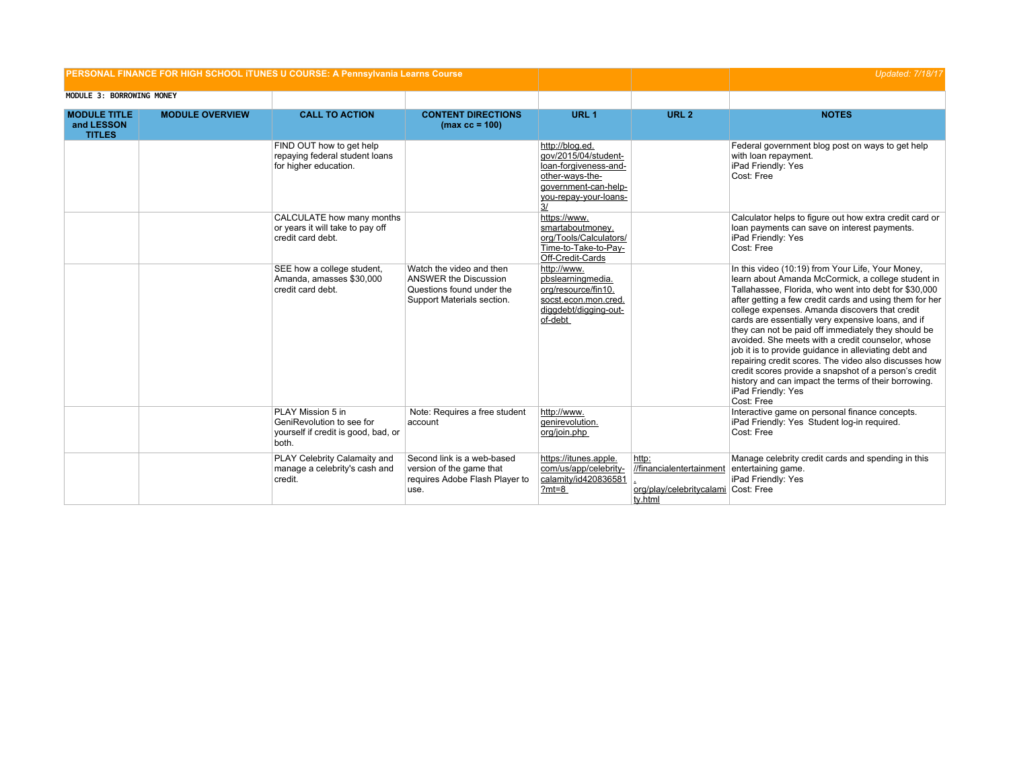| PERSONAL FINANCE FOR HIGH SCHOOL ITUNES U COURSE: A Pennsylvania Learns Course |                        |                                                                                                |                                                                                                                     |                                                                                                                                            |                                                                          | <b>Updated: 7/18/17</b>                                                                                                                                                                                                                                                                                                                                                                                                                                                                                                                                                                                                                                                                                                |
|--------------------------------------------------------------------------------|------------------------|------------------------------------------------------------------------------------------------|---------------------------------------------------------------------------------------------------------------------|--------------------------------------------------------------------------------------------------------------------------------------------|--------------------------------------------------------------------------|------------------------------------------------------------------------------------------------------------------------------------------------------------------------------------------------------------------------------------------------------------------------------------------------------------------------------------------------------------------------------------------------------------------------------------------------------------------------------------------------------------------------------------------------------------------------------------------------------------------------------------------------------------------------------------------------------------------------|
| MODULE 3: BORROWING MONEY                                                      |                        |                                                                                                |                                                                                                                     |                                                                                                                                            |                                                                          |                                                                                                                                                                                                                                                                                                                                                                                                                                                                                                                                                                                                                                                                                                                        |
| <b>MODULE TITLE</b><br>and LESSON<br><b>TITLES</b>                             | <b>MODULE OVERVIEW</b> | <b>CALL TO ACTION</b>                                                                          | <b>CONTENT DIRECTIONS</b><br>$(max cc = 100)$                                                                       | URL <sub>1</sub>                                                                                                                           | URL <sub>2</sub>                                                         | <b>NOTES</b>                                                                                                                                                                                                                                                                                                                                                                                                                                                                                                                                                                                                                                                                                                           |
|                                                                                |                        | FIND OUT how to get help<br>repaying federal student loans<br>for higher education.            |                                                                                                                     | http://blog.ed.<br>qov/2015/04/student-<br>loan-forgiveness-and-<br>other-ways-the-<br>qovernment-can-help-<br>you-repay-your-loans-<br>3/ |                                                                          | Federal government blog post on ways to get help<br>with loan repayment.<br>iPad Friendly: Yes<br>Cost: Free                                                                                                                                                                                                                                                                                                                                                                                                                                                                                                                                                                                                           |
|                                                                                |                        | CALCULATE how many months<br>or years it will take to pay off<br>credit card debt.             |                                                                                                                     | https://www.<br>smartaboutmoney.<br>org/Tools/Calculators/<br>Time-to-Take-to-Pay-<br>Off-Credit-Cards                                     |                                                                          | Calculator helps to figure out how extra credit card or<br>loan payments can save on interest payments.<br>iPad Friendly: Yes<br>Cost: Free                                                                                                                                                                                                                                                                                                                                                                                                                                                                                                                                                                            |
|                                                                                |                        | SEE how a college student,<br>Amanda, amasses \$30,000<br>credit card debt.                    | Watch the video and then<br><b>ANSWER the Discussion</b><br>Questions found under the<br>Support Materials section. | http://www.<br>pbslearningmedia.<br>org/resource/fin10.<br>socst.econ.mon.cred.<br>diggdebt/digging-out-<br>of-debt                        |                                                                          | In this video (10:19) from Your Life, Your Money,<br>learn about Amanda McCormick, a college student in<br>Tallahassee, Florida, who went into debt for \$30,000<br>after getting a few credit cards and using them for her<br>college expenses. Amanda discovers that credit<br>cards are essentially very expensive loans, and if<br>they can not be paid off immediately they should be<br>avoided. She meets with a credit counselor, whose<br>job it is to provide quidance in alleviating debt and<br>repairing credit scores. The video also discusses how<br>credit scores provide a snapshot of a person's credit<br>history and can impact the terms of their borrowing.<br>iPad Friendly: Yes<br>Cost: Free |
|                                                                                |                        | PLAY Mission 5 in<br>GeniRevolution to see for<br>yourself if credit is good, bad, or<br>both. | Note: Requires a free student<br>account                                                                            | http://www.<br>genirevolution.<br>org/join.php                                                                                             |                                                                          | Interactive game on personal finance concepts.<br>iPad Friendly: Yes Student log-in required.<br>Cost: Free                                                                                                                                                                                                                                                                                                                                                                                                                                                                                                                                                                                                            |
|                                                                                |                        | PLAY Celebrity Calamaity and<br>manage a celebrity's cash and<br>credit.                       | Second link is a web-based<br>version of the game that<br>requires Adobe Flash Player to<br>use.                    | https://itunes.apple.<br>com/us/app/celebrity-<br>calamity/id420836581<br>$?mt=8$                                                          | http:<br>//financialentertainment<br>org/play/celebritycalami<br>ty.html | Manage celebrity credit cards and spending in this<br>entertaining game.<br>iPad Friendly: Yes<br>Cost: Free                                                                                                                                                                                                                                                                                                                                                                                                                                                                                                                                                                                                           |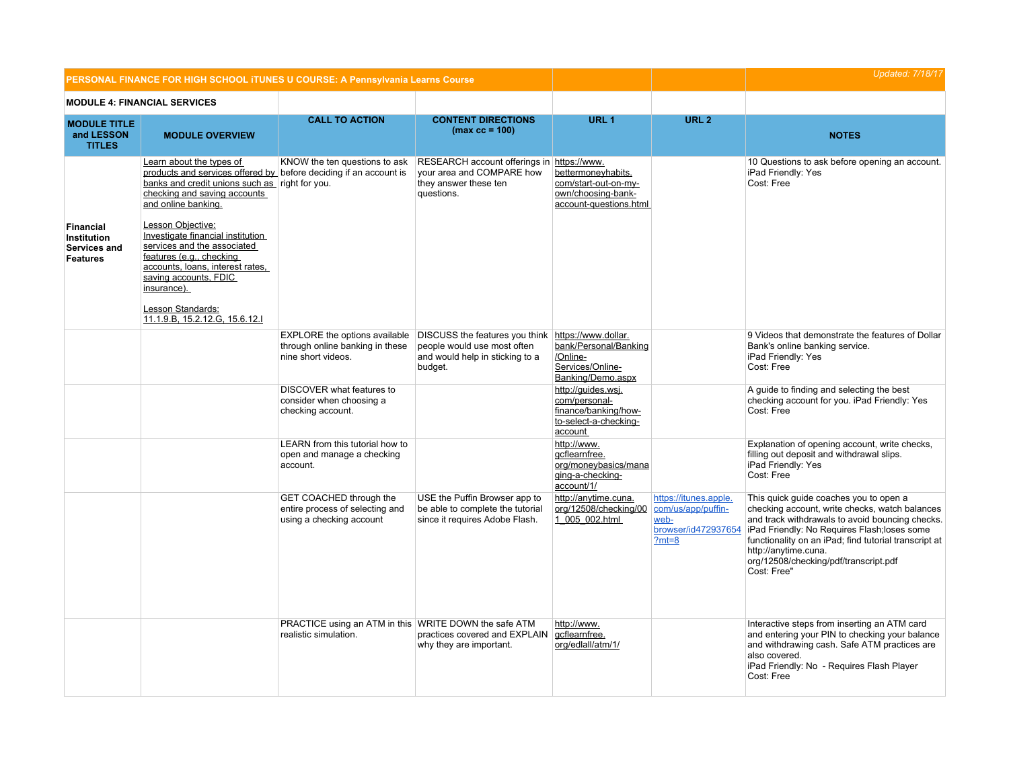|                                                                           | PERSONAL FINANCE FOR HIGH SCHOOL ITUNES U COURSE: A Pennsylvania Learns Course                                                                                                                                                                                                                                                                                                                                                                                 |                                                                                        |                                                                                                                                                               |                                                                                                  | <b>Updated: 7/18/17</b>                                         |                                                                                                                                                                                                                                                                                                                                      |
|---------------------------------------------------------------------------|----------------------------------------------------------------------------------------------------------------------------------------------------------------------------------------------------------------------------------------------------------------------------------------------------------------------------------------------------------------------------------------------------------------------------------------------------------------|----------------------------------------------------------------------------------------|---------------------------------------------------------------------------------------------------------------------------------------------------------------|--------------------------------------------------------------------------------------------------|-----------------------------------------------------------------|--------------------------------------------------------------------------------------------------------------------------------------------------------------------------------------------------------------------------------------------------------------------------------------------------------------------------------------|
|                                                                           | <b>MODULE 4: FINANCIAL SERVICES</b>                                                                                                                                                                                                                                                                                                                                                                                                                            |                                                                                        |                                                                                                                                                               |                                                                                                  |                                                                 |                                                                                                                                                                                                                                                                                                                                      |
| <b>MODULE TITLE</b><br>and LESSON<br><b>TITLES</b>                        | <b>MODULE OVERVIEW</b>                                                                                                                                                                                                                                                                                                                                                                                                                                         | <b>CALL TO ACTION</b>                                                                  | <b>CONTENT DIRECTIONS</b><br>$(max cc = 100)$                                                                                                                 | URL <sub>1</sub>                                                                                 | URL <sub>2</sub>                                                | <b>NOTES</b>                                                                                                                                                                                                                                                                                                                         |
| <b>Financial</b><br><b>Institution</b><br>Services and<br><b>Features</b> | Learn about the types of<br>products and services offered by before deciding if an account is<br>banks and credit unions such as right for you.<br>checking and saving accounts<br>and online banking.<br>Lesson Objective:<br>Investigate financial institution<br>services and the associated<br>features (e.g., checking<br>accounts, loans, interest rates,<br>saving accounts, FDIC<br>insurance).<br>Lesson Standards:<br>11.1.9.B, 15.2.12.G, 15.6.12.I | KNOW the ten questions to ask                                                          | RESEARCH account offerings in https://www.<br>your area and COMPARE how<br>they answer these ten<br>questions.                                                | bettermoneyhabits.<br>com/start-out-on-my-<br>own/choosing-bank-<br>account-questions.html       |                                                                 | 10 Questions to ask before opening an account.<br>iPad Friendly: Yes<br>Cost: Free                                                                                                                                                                                                                                                   |
|                                                                           |                                                                                                                                                                                                                                                                                                                                                                                                                                                                | through online banking in these<br>nine short videos.                                  | EXPLORE the options available DISCUSS the features you think https://www.dollar.<br>people would use most often<br>and would help in sticking to a<br>budget. | bank/Personal/Banking<br>/Online-<br>Services/Online-<br>Banking/Demo.aspx                       |                                                                 | 9 Videos that demonstrate the features of Dollar<br>Bank's online banking service.<br>iPad Friendly: Yes<br>Cost: Free                                                                                                                                                                                                               |
|                                                                           |                                                                                                                                                                                                                                                                                                                                                                                                                                                                | DISCOVER what features to<br>consider when choosing a<br>checking account.             |                                                                                                                                                               | http://guides.wsj.<br>com/personal-<br>finance/banking/how-<br>to-select-a-checking-<br>account  |                                                                 | A guide to finding and selecting the best<br>checking account for you. iPad Friendly: Yes<br>Cost: Free                                                                                                                                                                                                                              |
|                                                                           |                                                                                                                                                                                                                                                                                                                                                                                                                                                                | LEARN from this tutorial how to<br>open and manage a checking<br>account.              |                                                                                                                                                               | http://www.<br>gcflearnfree.<br>org/moneybasics/mana<br>ging-a-checking-<br>$\frac{account/1}{}$ |                                                                 | Explanation of opening account, write checks,<br>filling out deposit and withdrawal slips.<br>iPad Friendly: Yes<br>Cost: Free                                                                                                                                                                                                       |
|                                                                           |                                                                                                                                                                                                                                                                                                                                                                                                                                                                | GET COACHED through the<br>entire process of selecting and<br>using a checking account | USE the Puffin Browser app to<br>be able to complete the tutorial<br>since it requires Adobe Flash.                                                           | http://anytime.cuna.<br>org/12508/checking/00 com/us/app/puffin-<br>1 005 002.html               | https://itunes.apple.<br>web-<br>browser/id472937654<br>$?mt=8$ | This quick quide coaches you to open a<br>checking account, write checks, watch balances<br>and track withdrawals to avoid bouncing checks.<br>iPad Friendly: No Requires Flash; loses some<br>functionality on an iPad; find tutorial transcript at<br>http://anytime.cuna.<br>org/12508/checking/pdf/transcript.pdf<br>Cost: Free" |
|                                                                           |                                                                                                                                                                                                                                                                                                                                                                                                                                                                | PRACTICE using an ATM in this WRITE DOWN the safe ATM<br>realistic simulation.         | practices covered and EXPLAIN<br>why they are important.                                                                                                      | http://www.<br>gcflearnfree.<br>org/ediall/atm/1/                                                |                                                                 | Interactive steps from inserting an ATM card<br>and entering your PIN to checking your balance<br>and withdrawing cash. Safe ATM practices are<br>also covered.<br>iPad Friendly: No - Requires Flash Player<br>Cost: Free                                                                                                           |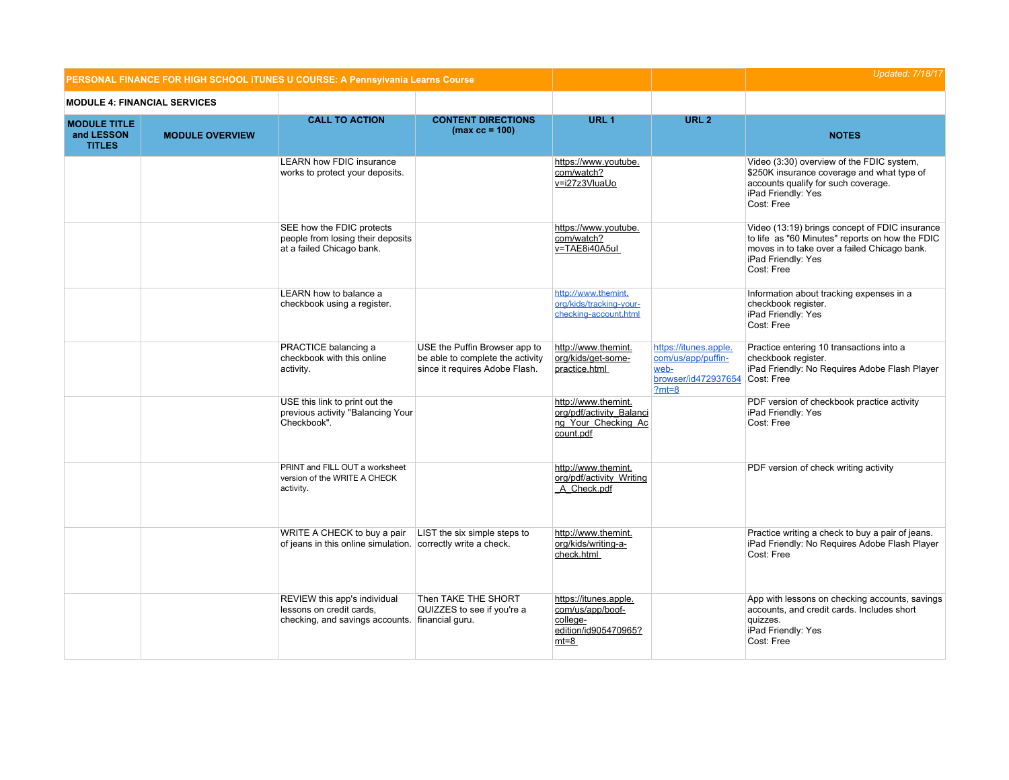| PERSONAL FINANCE FOR HIGH SCHOOL ITUNES U COURSE: A Pennsylvania Learns Course |                                     |                                                                                                             |                                                                                                     |                                                                                         |                                                                                       | <b>Updated: 7/18/17</b>                                                                                                                                                               |
|--------------------------------------------------------------------------------|-------------------------------------|-------------------------------------------------------------------------------------------------------------|-----------------------------------------------------------------------------------------------------|-----------------------------------------------------------------------------------------|---------------------------------------------------------------------------------------|---------------------------------------------------------------------------------------------------------------------------------------------------------------------------------------|
|                                                                                | <b>MODULE 4: FINANCIAL SERVICES</b> |                                                                                                             |                                                                                                     |                                                                                         |                                                                                       |                                                                                                                                                                                       |
| <b>MODULE TITLE</b><br>and LESSON<br><b>TITLES</b>                             | <b>MODULE OVERVIEW</b>              | <b>CALL TO ACTION</b>                                                                                       | <b>CONTENT DIRECTIONS</b><br>$(max cc = 100)$                                                       | URL <sub>1</sub>                                                                        | URL <sub>2</sub>                                                                      | <b>NOTES</b>                                                                                                                                                                          |
|                                                                                |                                     | <b>LEARN how FDIC insurance</b><br>works to protect your deposits.                                          |                                                                                                     | https://www.youtube.<br>com/watch?<br>v=i27z3VluaUo                                     |                                                                                       | Video (3:30) overview of the FDIC system,<br>\$250K insurance coverage and what type of<br>accounts qualify for such coverage.<br>iPad Friendly: Yes<br>Cost: Free                    |
|                                                                                |                                     | SEE how the FDIC protects<br>people from losing their deposits<br>at a failed Chicago bank.                 |                                                                                                     | https://www.youtube.<br>com/watch?<br>v=TAE8i40A5ul                                     |                                                                                       | Video (13:19) brings concept of FDIC insurance<br>to life as "60 Minutes" reports on how the FDIC<br>moves in to take over a failed Chicago bank.<br>iPad Friendly: Yes<br>Cost: Free |
|                                                                                |                                     | LEARN how to balance a<br>checkbook using a register.                                                       |                                                                                                     | http://www.themint.<br>org/kids/tracking-your-<br>checking-account.html                 |                                                                                       | Information about tracking expenses in a<br>checkbook register.<br>iPad Friendly: Yes<br>Cost: Free                                                                                   |
|                                                                                |                                     | PRACTICE balancing a<br>checkbook with this online<br>activity.                                             | USE the Puffin Browser app to<br>be able to complete the activity<br>since it requires Adobe Flash. | http://www.themint.<br>org/kids/get-some-<br>practice.html                              | https://itunes.apple.<br>com/us/app/puffin-<br>web-<br>browser/id472937654<br>$?mt=8$ | Practice entering 10 transactions into a<br>checkbook register.<br>iPad Friendly: No Requires Adobe Flash Player<br>Cost: Free                                                        |
|                                                                                |                                     | USE this link to print out the<br>previous activity "Balancing Your<br>Checkbook".                          |                                                                                                     | http://www.themint.<br>org/pdf/activity Balanci<br>ng Your Checking Ac<br>count.pdf     |                                                                                       | PDF version of checkbook practice activity<br>iPad Friendly: Yes<br>Cost: Free                                                                                                        |
|                                                                                |                                     | PRINT and FILL OUT a worksheet<br>version of the WRITE A CHECK<br>activity.                                 |                                                                                                     | http://www.themint.<br>org/pdf/activity Writing<br>A Check.pdf                          |                                                                                       | PDF version of check writing activity                                                                                                                                                 |
|                                                                                |                                     | WRITE A CHECK to buy a pair<br>of jeans in this online simulation. correctly write a check.                 | LIST the six simple steps to                                                                        | http://www.themint.<br>org/kids/writing-a-<br>check.html                                |                                                                                       | Practice writing a check to buy a pair of jeans.<br>iPad Friendly: No Requires Adobe Flash Player<br>Cost: Free                                                                       |
|                                                                                |                                     | REVIEW this app's individual<br>lessons on credit cards,<br>checking, and savings accounts. financial guru. | Then TAKE THE SHORT<br>QUIZZES to see if you're a                                                   | https://itunes.apple.<br>com/us/app/boof-<br>college-<br>edition/id905470965?<br>$mt=8$ |                                                                                       | App with lessons on checking accounts, savings<br>accounts, and credit cards. Includes short<br>quizzes.<br>iPad Friendly: Yes<br>Cost: Free                                          |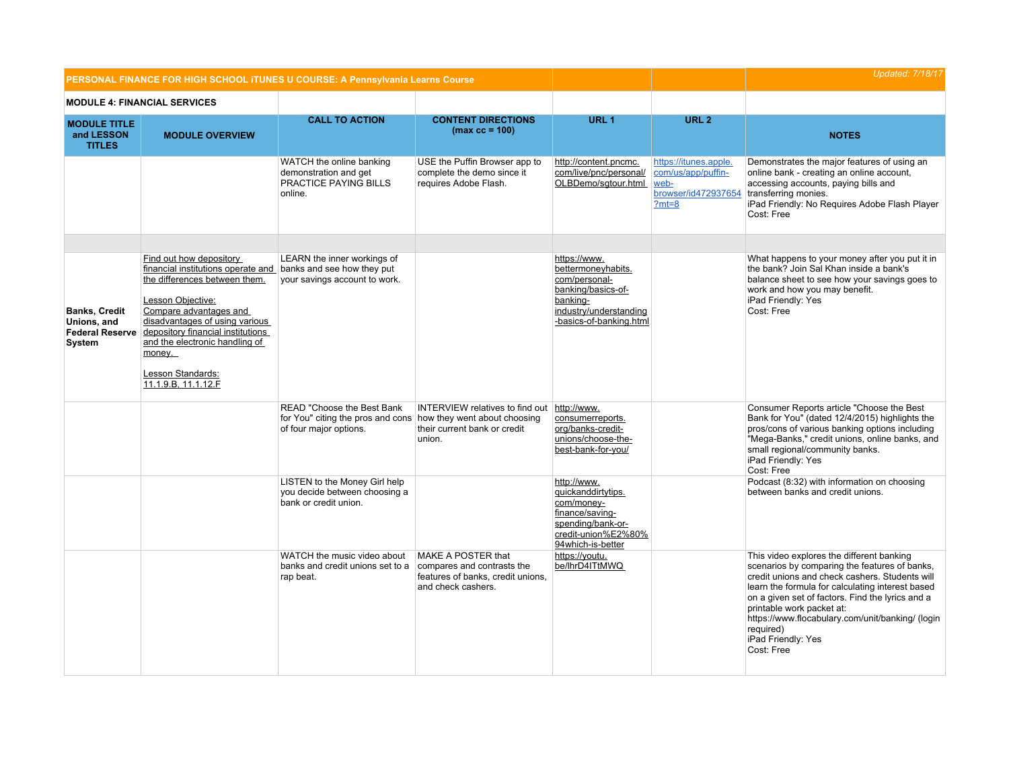|                                                                         | PERSONAL FINANCE FOR HIGH SCHOOL ITUNES U COURSE: A Pennsylvania Learns Course                                                                                                                                                                                                                               |                                                                                                                                                                                                                   |                                                                                      |                                                                                                                                                                                                                                         | <b>Updated: 7/18/17</b>                                                               |                                                                                                                                                                                                                                                                                                                                                                                        |
|-------------------------------------------------------------------------|--------------------------------------------------------------------------------------------------------------------------------------------------------------------------------------------------------------------------------------------------------------------------------------------------------------|-------------------------------------------------------------------------------------------------------------------------------------------------------------------------------------------------------------------|--------------------------------------------------------------------------------------|-----------------------------------------------------------------------------------------------------------------------------------------------------------------------------------------------------------------------------------------|---------------------------------------------------------------------------------------|----------------------------------------------------------------------------------------------------------------------------------------------------------------------------------------------------------------------------------------------------------------------------------------------------------------------------------------------------------------------------------------|
|                                                                         | <b>MODULE 4: FINANCIAL SERVICES</b>                                                                                                                                                                                                                                                                          |                                                                                                                                                                                                                   |                                                                                      |                                                                                                                                                                                                                                         |                                                                                       |                                                                                                                                                                                                                                                                                                                                                                                        |
| <b>MODULE TITLE</b><br>and LESSON<br><b>TITLES</b>                      | <b>MODULE OVERVIEW</b>                                                                                                                                                                                                                                                                                       | <b>CALL TO ACTION</b>                                                                                                                                                                                             | <b>CONTENT DIRECTIONS</b><br>$(max cc = 100)$                                        | URL <sub>1</sub>                                                                                                                                                                                                                        | URL <sub>2</sub>                                                                      | <b>NOTES</b>                                                                                                                                                                                                                                                                                                                                                                           |
|                                                                         |                                                                                                                                                                                                                                                                                                              | WATCH the online banking<br>demonstration and get<br>PRACTICE PAYING BILLS<br>online.                                                                                                                             | USE the Puffin Browser app to<br>complete the demo since it<br>requires Adobe Flash. | http://content.pncmc.<br>com/live/pnc/personal/<br>OLBDemo/sqtour.html                                                                                                                                                                  | https://itunes.apple.<br>com/us/app/puffin-<br>web-<br>browser/id472937654<br>$?mt=8$ | Demonstrates the major features of using an<br>online bank - creating an online account,<br>accessing accounts, paying bills and<br>transferring monies.<br>iPad Friendly: No Requires Adobe Flash Player<br>Cost: Free                                                                                                                                                                |
| <b>Banks, Credit</b><br>Unions, and<br><b>Federal Reserve</b><br>System | Find out how depository<br>financial institutions operate and<br>the differences between them.<br>Lesson Objective:<br>Compare advantages and<br>disadvantages of using various<br>depository financial institutions<br>and the electronic handling of<br>money.<br>Lesson Standards:<br>11.1.9.B, 11.1.12.F | LEARN the inner workings of<br>banks and see how they put<br>your savings account to work.                                                                                                                        |                                                                                      | https://www.<br>bettermoneyhabits.<br>com/personal-<br>banking/basics-of-<br>banking-<br>industry/understanding<br>-basics-of-banking.html                                                                                              |                                                                                       | What happens to your money after you put it in<br>the bank? Join Sal Khan inside a bank's<br>balance sheet to see how your savings goes to<br>work and how you may benefit.<br>iPad Friendly: Yes<br>Cost: Free                                                                                                                                                                        |
|                                                                         |                                                                                                                                                                                                                                                                                                              | READ "Choose the Best Bank<br>for You" citing the pros and cons how they went about choosing<br>of four major options.<br>LISTEN to the Money Girl help<br>you decide between choosing a<br>bank or credit union. | <b>INTERVIEW relatives to find out</b><br>their current bank or credit<br>union.     | http://www.<br>consumerreports.<br>org/banks-credit-<br>unions/choose-the-<br>best-bank-for-you/<br>http://www.<br>quickanddirtytips.<br>com/money-<br>finance/saving-<br>spending/bank-or-<br>credit-union%E2%80%<br>94which-is-better |                                                                                       | Consumer Reports article "Choose the Best<br>Bank for You" (dated 12/4/2015) highlights the<br>pros/cons of various banking options including<br>"Mega-Banks," credit unions, online banks, and<br>small regional/community banks.<br>iPad Friendly: Yes<br>Cost: Free<br>Podcast (8:32) with information on choosing<br>between banks and credit unions.                              |
|                                                                         |                                                                                                                                                                                                                                                                                                              | WATCH the music video about<br>banks and credit unions set to a compares and contrasts the<br>rap beat.                                                                                                           | <b>MAKE A POSTER that</b><br>features of banks, credit unions,<br>and check cashers. | https://youtu.<br>be/lhrD4ITtMWQ                                                                                                                                                                                                        |                                                                                       | This video explores the different banking<br>scenarios by comparing the features of banks,<br>credit unions and check cashers. Students will<br>learn the formula for calculating interest based<br>on a given set of factors. Find the lyrics and a<br>printable work packet at:<br>https://www.flocabulary.com/unit/banking/ (login<br>required)<br>iPad Friendly: Yes<br>Cost: Free |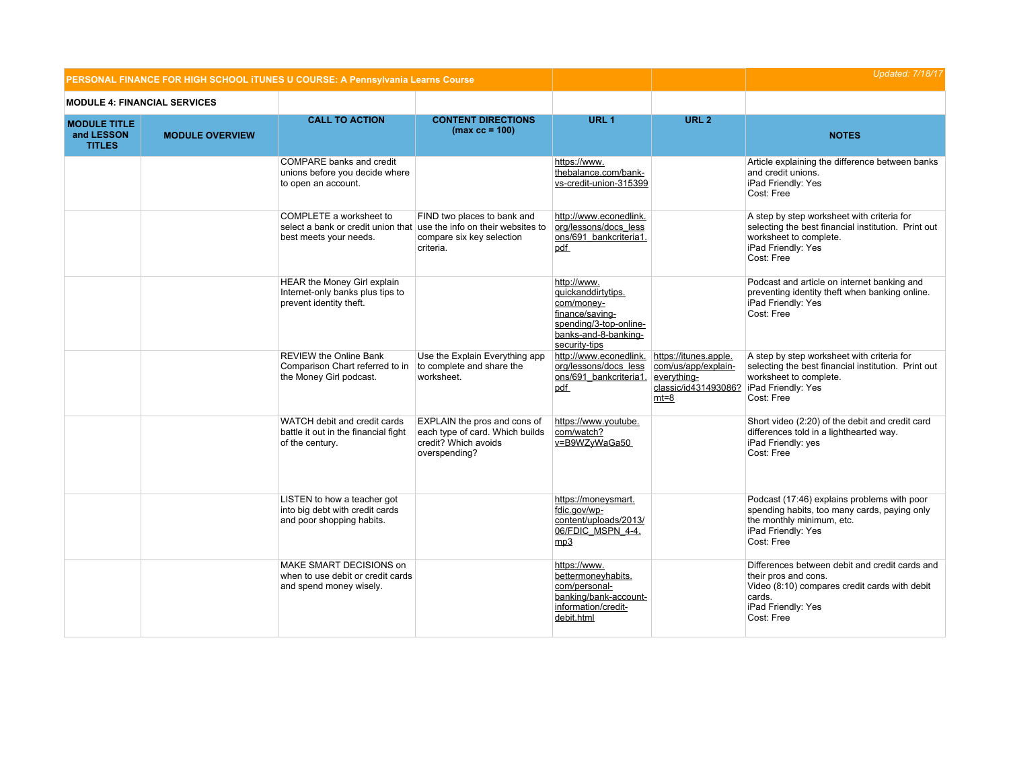|                                                    | PERSONAL FINANCE FOR HIGH SCHOOL ITUNES U COURSE: A Pennsylvania Learns Course |                                                                                                                           |                                                                                                          |                                                                                                                                       |                                                                                                                    | <b>Updated: 7/18/17</b>                                                                                                                                               |
|----------------------------------------------------|--------------------------------------------------------------------------------|---------------------------------------------------------------------------------------------------------------------------|----------------------------------------------------------------------------------------------------------|---------------------------------------------------------------------------------------------------------------------------------------|--------------------------------------------------------------------------------------------------------------------|-----------------------------------------------------------------------------------------------------------------------------------------------------------------------|
| <b>MODULE 4: FINANCIAL SERVICES</b>                |                                                                                |                                                                                                                           |                                                                                                          |                                                                                                                                       |                                                                                                                    |                                                                                                                                                                       |
| <b>MODULE TITLE</b><br>and LESSON<br><b>TITLES</b> | <b>MODULE OVERVIEW</b>                                                         | <b>CALL TO ACTION</b>                                                                                                     | <b>CONTENT DIRECTIONS</b><br>$(max cc = 100)$                                                            | URL <sub>1</sub>                                                                                                                      | URL <sub>2</sub>                                                                                                   | <b>NOTES</b>                                                                                                                                                          |
|                                                    |                                                                                | COMPARE banks and credit<br>unions before you decide where<br>to open an account.                                         |                                                                                                          | https://www.<br>thebalance.com/bank-<br>vs-credit-union-315399                                                                        |                                                                                                                    | Article explaining the difference between banks<br>and credit unions.<br>iPad Friendly: Yes<br>Cost: Free                                                             |
|                                                    |                                                                                | COMPLETE a worksheet to<br>select a bank or credit union that use the info on their websites to<br>best meets your needs. | FIND two places to bank and<br>compare six key selection<br>criteria.                                    | http://www.econedlink.<br>org/lessons/docs_less<br>ons/691 bankcriteria1.<br>pdf                                                      |                                                                                                                    | A step by step worksheet with criteria for<br>selecting the best financial institution. Print out<br>worksheet to complete.<br>iPad Friendly: Yes<br>Cost: Free       |
|                                                    |                                                                                | HEAR the Money Girl explain<br>Internet-only banks plus tips to<br>prevent identity theft.                                |                                                                                                          | http://www.<br>quickanddirtytips.<br>com/money-<br>finance/saving-<br>spending/3-top-online-<br>banks-and-8-banking-<br>security-tips |                                                                                                                    | Podcast and article on internet banking and<br>preventing identity theft when banking online.<br>iPad Friendly: Yes<br>Cost: Free                                     |
|                                                    |                                                                                | <b>REVIEW the Online Bank</b><br>Comparison Chart referred to in<br>the Money Girl podcast.                               | Use the Explain Everything app<br>to complete and share the<br>worksheet.                                | http://www.econedlink.<br>org/lessons/docs_less<br>ons/691 bankcriteria1.<br>pdf                                                      | https://itunes.apple.<br>com/us/app/explain-<br>everything-<br>classic/id431493086?   iPad Friendly: Yes<br>$mt=8$ | A step by step worksheet with criteria for<br>selecting the best financial institution. Print out<br>worksheet to complete.<br>Cost: Free                             |
|                                                    |                                                                                | WATCH debit and credit cards<br>battle it out in the financial fight<br>of the century.                                   | EXPLAIN the pros and cons of<br>each type of card. Which builds<br>credit? Which avoids<br>overspending? | https://www.youtube.<br>com/watch?<br>v=B9WZyWaGa50                                                                                   |                                                                                                                    | Short video (2:20) of the debit and credit card<br>differences told in a lighthearted way.<br>iPad Friendly: yes<br>Cost: Free                                        |
|                                                    |                                                                                | LISTEN to how a teacher got<br>into big debt with credit cards<br>and poor shopping habits.                               |                                                                                                          | https://moneysmart.<br>fdic.gov/wp-<br>content/uploads/2013/<br>06/FDIC_MSPN_4-4.<br>mp3                                              |                                                                                                                    | Podcast (17:46) explains problems with poor<br>spending habits, too many cards, paying only<br>the monthly minimum, etc.<br>iPad Friendly: Yes<br>Cost: Free          |
|                                                    |                                                                                | MAKE SMART DECISIONS on<br>when to use debit or credit cards<br>and spend money wisely.                                   |                                                                                                          | https://www.<br>bettermoneyhabits.<br>com/personal-<br>banking/bank-account-<br>information/credit-<br>debit.html                     |                                                                                                                    | Differences between debit and credit cards and<br>their pros and cons.<br>Video (8:10) compares credit cards with debit<br>cards.<br>iPad Friendly: Yes<br>Cost: Free |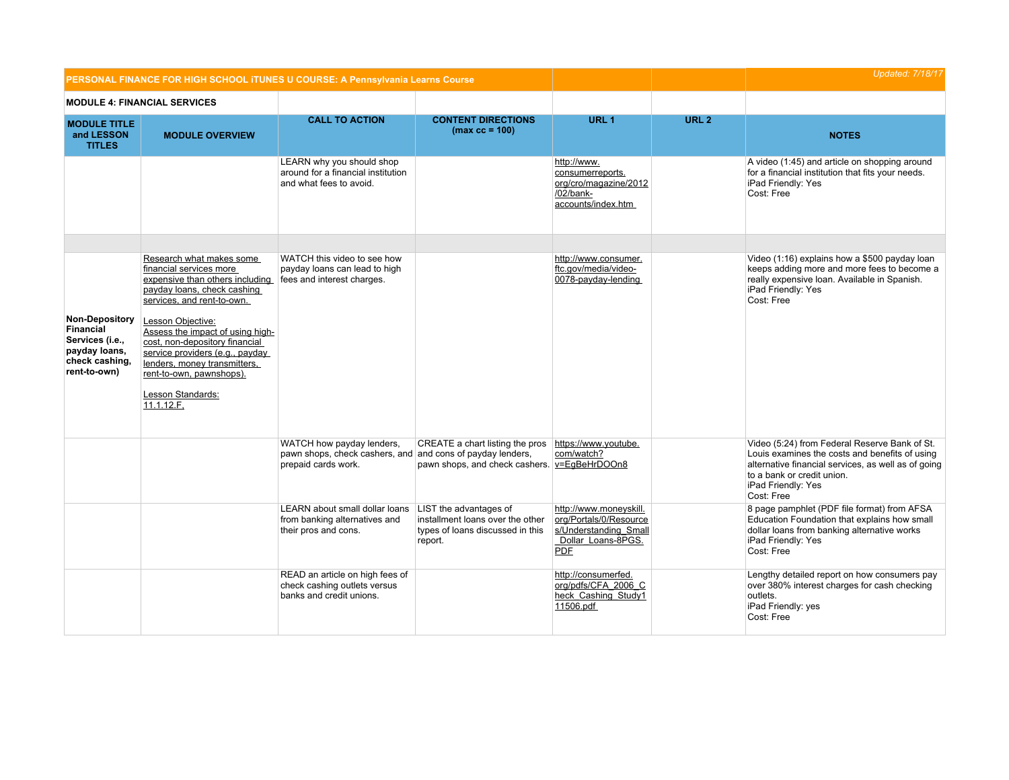|                                                                                                                 |                                                                                                                                                                                                                           | PERSONAL FINANCE FOR HIGH SCHOOL ITUNES U COURSE: A Pennsylvania Learns Course                                 |                                                                                                           |                                                                                                               | <b>Updated: 7/18/17</b> |                                                                                                                                                                                                                          |
|-----------------------------------------------------------------------------------------------------------------|---------------------------------------------------------------------------------------------------------------------------------------------------------------------------------------------------------------------------|----------------------------------------------------------------------------------------------------------------|-----------------------------------------------------------------------------------------------------------|---------------------------------------------------------------------------------------------------------------|-------------------------|--------------------------------------------------------------------------------------------------------------------------------------------------------------------------------------------------------------------------|
|                                                                                                                 | <b>MODULE 4: FINANCIAL SERVICES</b>                                                                                                                                                                                       |                                                                                                                |                                                                                                           |                                                                                                               |                         |                                                                                                                                                                                                                          |
| <b>MODULE TITLE</b><br>and LESSON<br><b>TITLES</b>                                                              | <b>MODULE OVERVIEW</b>                                                                                                                                                                                                    | <b>CALL TO ACTION</b>                                                                                          | <b>CONTENT DIRECTIONS</b><br>$(max cc = 100)$                                                             | URL <sub>1</sub>                                                                                              | URL <sub>2</sub>        | <b>NOTES</b>                                                                                                                                                                                                             |
|                                                                                                                 |                                                                                                                                                                                                                           | LEARN why you should shop<br>around for a financial institution<br>and what fees to avoid.                     |                                                                                                           | http://www.<br>consumerreports.<br>org/cro/magazine/2012<br>/02/bank-<br>accounts/index.htm                   |                         | A video (1:45) and article on shopping around<br>for a financial institution that fits your needs.<br>iPad Friendly: Yes<br>Cost: Free                                                                                   |
|                                                                                                                 |                                                                                                                                                                                                                           |                                                                                                                |                                                                                                           |                                                                                                               |                         |                                                                                                                                                                                                                          |
|                                                                                                                 | Research what makes some<br>financial services more<br>expensive than others including fees and interest charges.<br>payday loans, check cashing<br>services, and rent-to-own.                                            | WATCH this video to see how<br>payday loans can lead to high                                                   |                                                                                                           | http://www.consumer.<br>ftc.gov/media/video-<br>0078-payday-lending                                           |                         | Video (1:16) explains how a \$500 payday loan<br>keeps adding more and more fees to become a<br>really expensive loan. Available in Spanish.<br>iPad Friendly: Yes<br>Cost: Free                                         |
| <b>Non-Depository</b><br><b>Financial</b><br>Services (i.e.,<br>payday loans,<br>check cashing,<br>rent-to-own) | Lesson Objective:<br>Assess the impact of using high-<br>cost, non-depository financial<br>service providers (e.g., payday<br>lenders, money transmitters,<br>rent-to-own, pawnshops).<br>Lesson Standards:<br>11.1.12.F. |                                                                                                                |                                                                                                           |                                                                                                               |                         |                                                                                                                                                                                                                          |
|                                                                                                                 |                                                                                                                                                                                                                           | WATCH how payday lenders,<br>pawn shops, check cashers, and and cons of payday lenders,<br>prepaid cards work. | CREATE a chart listing the pros<br>pawn shops, and check cashers. v=EgBeHrDOOn8                           | https://www.youtube.<br>com/watch?                                                                            |                         | Video (5:24) from Federal Reserve Bank of St.<br>Louis examines the costs and benefits of using<br>alternative financial services, as well as of going<br>to a bank or credit union.<br>iPad Friendly: Yes<br>Cost: Free |
|                                                                                                                 |                                                                                                                                                                                                                           | LEARN about small dollar loans<br>from banking alternatives and<br>their pros and cons.                        | LIST the advantages of<br>installment loans over the other<br>types of loans discussed in this<br>report. | http://www.moneyskill.<br>org/Portals/0/Resource<br>s/Understanding Small<br>Dollar Loans-8PGS.<br><b>PDF</b> |                         | 8 page pamphlet (PDF file format) from AFSA<br>Education Foundation that explains how small<br>dollar loans from banking alternative works<br>iPad Friendly: Yes<br>Cost: Free                                           |
|                                                                                                                 |                                                                                                                                                                                                                           | READ an article on high fees of<br>check cashing outlets versus<br>banks and credit unions.                    |                                                                                                           | http://consumerfed.<br>org/pdfs/CFA 2006 C<br>heck Cashing Study1<br>11506.pdf                                |                         | Lengthy detailed report on how consumers pay<br>over 380% interest charges for cash checking<br>outlets.<br>iPad Friendly: yes<br>Cost: Free                                                                             |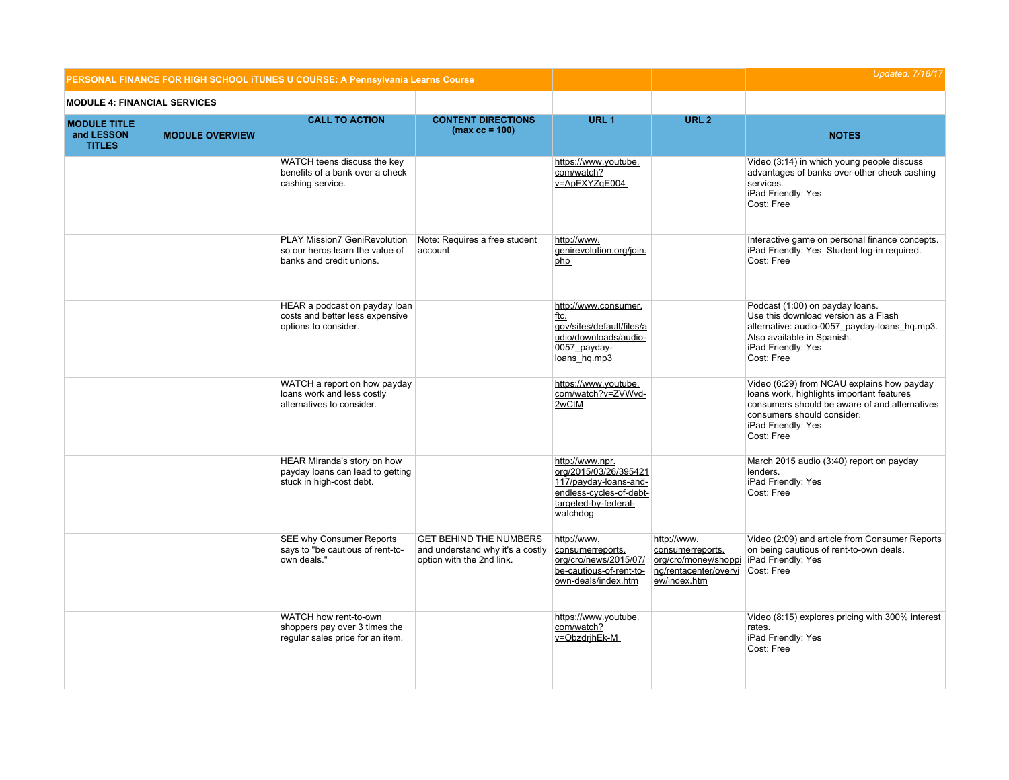|                                                    |                                     | PERSONAL FINANCE FOR HIGH SCHOOL ITUNES U COURSE: A Pennsylvania Learns Course                     |                                                                                                |                                                                                                                                  | <b>Updated: 7/18/17</b>                                                                                               |                                                                                                                                                                                                            |
|----------------------------------------------------|-------------------------------------|----------------------------------------------------------------------------------------------------|------------------------------------------------------------------------------------------------|----------------------------------------------------------------------------------------------------------------------------------|-----------------------------------------------------------------------------------------------------------------------|------------------------------------------------------------------------------------------------------------------------------------------------------------------------------------------------------------|
|                                                    | <b>MODULE 4: FINANCIAL SERVICES</b> |                                                                                                    |                                                                                                |                                                                                                                                  |                                                                                                                       |                                                                                                                                                                                                            |
| <b>MODULE TITLE</b><br>and LESSON<br><b>TITLES</b> | <b>MODULE OVERVIEW</b>              | <b>CALL TO ACTION</b>                                                                              | <b>CONTENT DIRECTIONS</b><br>$(max cc = 100)$                                                  | URL <sub>1</sub>                                                                                                                 | URL <sub>2</sub>                                                                                                      | <b>NOTES</b>                                                                                                                                                                                               |
|                                                    |                                     | WATCH teens discuss the key<br>benefits of a bank over a check<br>cashing service.                 |                                                                                                | https://www.youtube.<br>com/watch?<br>v=ApFXYZqE004                                                                              |                                                                                                                       | Video (3:14) in which young people discuss<br>advantages of banks over other check cashing<br>services.<br>iPad Friendly: Yes<br>Cost: Free                                                                |
|                                                    |                                     | <b>PLAY Mission7 GeniRevolution</b><br>so our heros learn the value of<br>banks and credit unions. | Note: Requires a free student<br>account                                                       | http://www.<br>genirevolution.org/join.<br>php                                                                                   |                                                                                                                       | Interactive game on personal finance concepts.<br>iPad Friendly: Yes Student log-in required.<br>Cost: Free                                                                                                |
|                                                    |                                     | HEAR a podcast on payday loan<br>costs and better less expensive<br>options to consider.           |                                                                                                | http://www.consumer.<br>ftc.<br>gov/sites/default/files/a<br>udio/downloads/audio-<br>0057 payday-<br>loans hq.mp3               |                                                                                                                       | Podcast (1:00) on payday loans.<br>Use this download version as a Flash<br>alternative: audio-0057_payday-loans_hq.mp3.<br>Also available in Spanish.<br>iPad Friendly: Yes<br>Cost: Free                  |
|                                                    |                                     | WATCH a report on how payday<br>loans work and less costly<br>alternatives to consider.            |                                                                                                | https://www.youtube.<br>com/watch?v=ZVWvd-<br>2wCtM                                                                              |                                                                                                                       | Video (6:29) from NCAU explains how payday<br>loans work, highlights important features<br>consumers should be aware of and alternatives<br>consumers should consider.<br>iPad Friendly: Yes<br>Cost: Free |
|                                                    |                                     | HEAR Miranda's story on how<br>payday loans can lead to getting<br>stuck in high-cost debt.        |                                                                                                | http://www.npr.<br>org/2015/03/26/395421<br>117/payday-loans-and-<br>endless-cycles-of-debt-<br>targeted-by-federal-<br>watchdog |                                                                                                                       | March 2015 audio (3:40) report on payday<br>lenders.<br>iPad Friendly: Yes<br>Cost: Free                                                                                                                   |
|                                                    |                                     | SEE why Consumer Reports<br>says to "be cautious of rent-to-<br>own deals."                        | <b>GET BEHIND THE NUMBERS</b><br>and understand why it's a costly<br>option with the 2nd link. | http://www.<br>consumerreports.<br>org/cro/news/2015/07/<br>be-cautious-of-rent-to-<br>own-deals/index.htm                       | http://www.<br>consumerreports.<br>org/cro/money/shoppi   iPad Friendly: Yes<br>ng/rentacenter/overvi<br>ew/index.htm | Video (2:09) and article from Consumer Reports<br>on being cautious of rent-to-own deals.<br>Cost: Free                                                                                                    |
|                                                    |                                     | WATCH how rent-to-own<br>shoppers pay over 3 times the<br>regular sales price for an item.         |                                                                                                | https://www.youtube.<br>com/watch?<br>v=ObzdrjhEk-M                                                                              |                                                                                                                       | Video (8:15) explores pricing with 300% interest<br>rates.<br>iPad Friendly: Yes<br>Cost: Free                                                                                                             |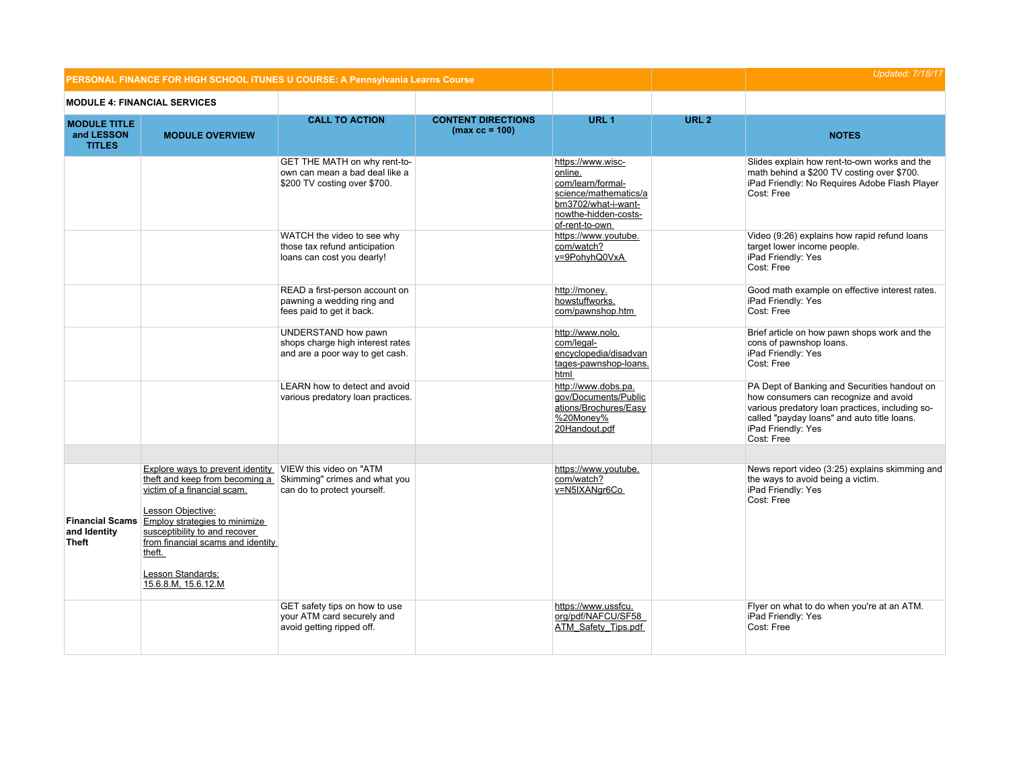|                                                    | PERSONAL FINANCE FOR HIGH SCHOOL ITUNES U COURSE: A Pennsylvania Learns Course                                                                                                                                                                                                                                                                   |                                                                                                |                                               |                                                                                                                                             |                  | <b>Updated: 7/18/17</b>                                                                                                                                                                                                     |
|----------------------------------------------------|--------------------------------------------------------------------------------------------------------------------------------------------------------------------------------------------------------------------------------------------------------------------------------------------------------------------------------------------------|------------------------------------------------------------------------------------------------|-----------------------------------------------|---------------------------------------------------------------------------------------------------------------------------------------------|------------------|-----------------------------------------------------------------------------------------------------------------------------------------------------------------------------------------------------------------------------|
|                                                    | <b>MODULE 4: FINANCIAL SERVICES</b>                                                                                                                                                                                                                                                                                                              |                                                                                                |                                               |                                                                                                                                             |                  |                                                                                                                                                                                                                             |
| <b>MODULE TITLE</b><br>and LESSON<br><b>TITLES</b> | <b>MODULE OVERVIEW</b>                                                                                                                                                                                                                                                                                                                           | <b>CALL TO ACTION</b>                                                                          | <b>CONTENT DIRECTIONS</b><br>$(max cc = 100)$ | URL <sub>1</sub>                                                                                                                            | URL <sub>2</sub> | <b>NOTES</b>                                                                                                                                                                                                                |
|                                                    |                                                                                                                                                                                                                                                                                                                                                  | GET THE MATH on why rent-to-<br>own can mean a bad deal like a<br>\$200 TV costing over \$700. |                                               | https://www.wisc-<br>online.<br>com/learn/formal-<br>science/mathematics/a<br>bm3702/what-i-want-<br>nowthe-hidden-costs-<br>of-rent-to-own |                  | Slides explain how rent-to-own works and the<br>math behind a \$200 TV costing over \$700.<br>iPad Friendly: No Requires Adobe Flash Player<br>Cost: Free                                                                   |
|                                                    |                                                                                                                                                                                                                                                                                                                                                  | WATCH the video to see why<br>those tax refund anticipation<br>loans can cost you dearly!      |                                               | https://www.youtube.<br>com/watch?<br>v=9PohyhQ0VxA                                                                                         |                  | Video (9:26) explains how rapid refund loans<br>target lower income people.<br>iPad Friendly: Yes<br>Cost: Free                                                                                                             |
|                                                    |                                                                                                                                                                                                                                                                                                                                                  | READ a first-person account on<br>pawning a wedding ring and<br>fees paid to get it back.      |                                               | http://money.<br>howstuffworks.<br>com/pawnshop.htm                                                                                         |                  | Good math example on effective interest rates.<br>iPad Friendly: Yes<br>Cost: Free                                                                                                                                          |
|                                                    |                                                                                                                                                                                                                                                                                                                                                  | UNDERSTAND how pawn<br>shops charge high interest rates<br>and are a poor way to get cash.     |                                               | http://www.nolo.<br>com/legal-<br>encyclopedia/disadvan<br>tages-pawnshop-loans.<br>html                                                    |                  | Brief article on how pawn shops work and the<br>cons of pawnshop loans.<br>iPad Friendly: Yes<br>Cost: Free                                                                                                                 |
|                                                    |                                                                                                                                                                                                                                                                                                                                                  | LEARN how to detect and avoid<br>various predatory loan practices.                             |                                               | http://www.dobs.pa.<br>gov/Documents/Public<br>ations/Brochures/Easy<br>%20Money%<br>20Handout.pdf                                          |                  | PA Dept of Banking and Securities handout on<br>how consumers can recognize and avoid<br>various predatory loan practices, including so-<br>called "payday loans" and auto title loans.<br>iPad Friendly: Yes<br>Cost: Free |
| <b>Financial Scams</b><br>and Identity<br>Theft    | Explore ways to prevent identity VIEW this video on "ATM<br>theft and keep from becoming a Skimming" crimes and what you<br>victim of a financial scam.<br>Lesson Objective:<br><b>Employ strategies to minimize</b><br>susceptibility to and recover<br>from financial scams and identity<br>theft.<br>Lesson Standards:<br>15.6.8.M, 15.6.12.M | can do to protect yourself.                                                                    |                                               | https://www.youtube.<br>com/watch?<br>v=N5IXANgr6Co                                                                                         |                  | News report video (3:25) explains skimming and<br>the ways to avoid being a victim.<br>iPad Friendly: Yes<br>Cost: Free                                                                                                     |
|                                                    |                                                                                                                                                                                                                                                                                                                                                  | GET safety tips on how to use<br>your ATM card securely and<br>avoid getting ripped off.       |                                               | https://www.ussfcu.<br>org/pdf/NAFCU/SF58<br>ATM Safety Tips.pdf                                                                            |                  | Flyer on what to do when you're at an ATM.<br>iPad Friendly: Yes<br>Cost: Free                                                                                                                                              |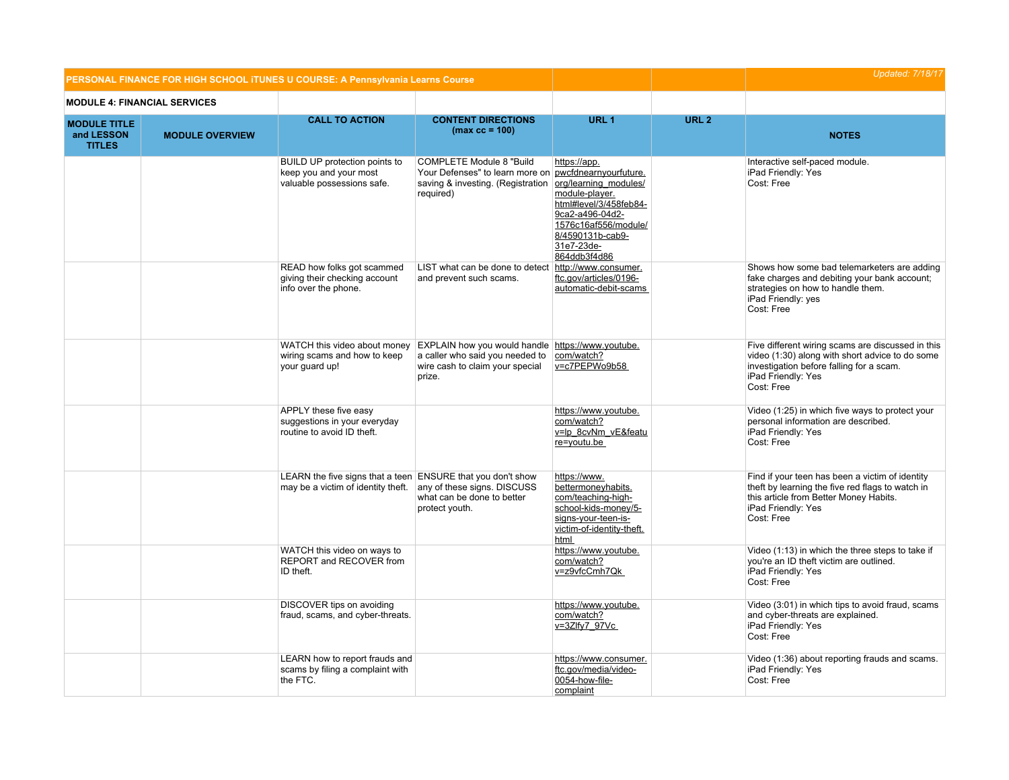|                                                    |                                     | PERSONAL FINANCE FOR HIGH SCHOOL ITUNES U COURSE: A Pennsylvania Learns Course                    |                                                                                                                                                                  |                                                                                                                                                       | <b>Updated: 7/18/17</b> |                                                                                                                                                                                      |
|----------------------------------------------------|-------------------------------------|---------------------------------------------------------------------------------------------------|------------------------------------------------------------------------------------------------------------------------------------------------------------------|-------------------------------------------------------------------------------------------------------------------------------------------------------|-------------------------|--------------------------------------------------------------------------------------------------------------------------------------------------------------------------------------|
|                                                    | <b>MODULE 4: FINANCIAL SERVICES</b> |                                                                                                   |                                                                                                                                                                  |                                                                                                                                                       |                         |                                                                                                                                                                                      |
| <b>MODULE TITLE</b><br>and LESSON<br><b>TITLES</b> | <b>MODULE OVERVIEW</b>              | <b>CALL TO ACTION</b>                                                                             | <b>CONTENT DIRECTIONS</b><br>$(max cc = 100)$                                                                                                                    | URL <sub>1</sub>                                                                                                                                      | URL <sub>2</sub>        | <b>NOTES</b>                                                                                                                                                                         |
|                                                    |                                     | BUILD UP protection points to<br>keep you and your most<br>valuable possessions safe.             | <b>COMPLETE Module 8 "Build</b><br>Your Defenses" to learn more on pwcfdnearnyourfuture.<br>saving & investing. (Registration org/learning modules/<br>required) | https://app.<br>module-player.<br>html#level/3/458feb84-<br>9ca2-a496-04d2-<br>1576c16af556/module/<br>8/4590131b-cab9-<br>31e7-23de-<br>864ddb3f4d86 |                         | Interactive self-paced module.<br>iPad Friendly: Yes<br>Cost: Free                                                                                                                   |
|                                                    |                                     | READ how folks got scammed<br>giving their checking account<br>info over the phone.               | LIST what can be done to detect<br>and prevent such scams.                                                                                                       | http://www.consumer.<br>ftc.gov/articles/0196-<br>automatic-debit-scams                                                                               |                         | Shows how some bad telemarketers are adding<br>fake charges and debiting your bank account;<br>strategies on how to handle them.<br>iPad Friendly: yes<br>Cost: Free                 |
|                                                    |                                     | wiring scams and how to keep<br>your guard up!                                                    | WATCH this video about money EXPLAIN how you would handle https://www.youtube.<br>a caller who said you needed to<br>wire cash to claim your special<br>prize.   | com/watch?<br>v=c7PEPWo9b58                                                                                                                           |                         | Five different wiring scams are discussed in this<br>video (1:30) along with short advice to do some<br>investigation before falling for a scam.<br>iPad Friendly: Yes<br>Cost: Free |
|                                                    |                                     | APPLY these five easy<br>suggestions in your everyday<br>routine to avoid ID theft.               |                                                                                                                                                                  | https://www.youtube.<br>com/watch?<br>v=lp 8cvNm vE&featu<br>re=youtu.be                                                                              |                         | Video (1:25) in which five ways to protect your<br>personal information are described.<br>iPad Friendly: Yes<br>Cost: Free                                                           |
|                                                    |                                     | LEARN the five signs that a teen ENSURE that you don't show<br>may be a victim of identity theft. | any of these signs. DISCUSS<br>what can be done to better<br>protect youth.                                                                                      | https://www.<br>bettermoneyhabits.<br>com/teaching-high-<br>school-kids-money/5-<br>signs-your-teen-is-<br>victim-of-identity-theft.<br>html          |                         | Find if your teen has been a victim of identity<br>theft by learning the five red flags to watch in<br>this article from Better Money Habits.<br>iPad Friendly: Yes<br>Cost: Free    |
|                                                    |                                     | WATCH this video on ways to<br>REPORT and RECOVER from<br>ID theft.                               |                                                                                                                                                                  | https://www.youtube.<br>com/watch?<br>v=z9vfcCmh7Qk                                                                                                   |                         | Video (1:13) in which the three steps to take if<br>you're an ID theft victim are outlined.<br>iPad Friendly: Yes<br>Cost: Free                                                      |
|                                                    |                                     | DISCOVER tips on avoiding<br>fraud, scams, and cyber-threats.                                     |                                                                                                                                                                  | https://www.youtube.<br>com/watch?<br>v=3Zlfy7 97Vc                                                                                                   |                         | Video (3:01) in which tips to avoid fraud, scams<br>and cyber-threats are explained.<br>iPad Friendly: Yes<br>Cost: Free                                                             |
|                                                    |                                     | LEARN how to report frauds and<br>scams by filing a complaint with<br>the FTC.                    |                                                                                                                                                                  | https://www.consumer.<br>ftc.gov/media/video-<br>0054-how-file-<br>complaint                                                                          |                         | Video (1:36) about reporting frauds and scams.<br>iPad Friendly: Yes<br>Cost: Free                                                                                                   |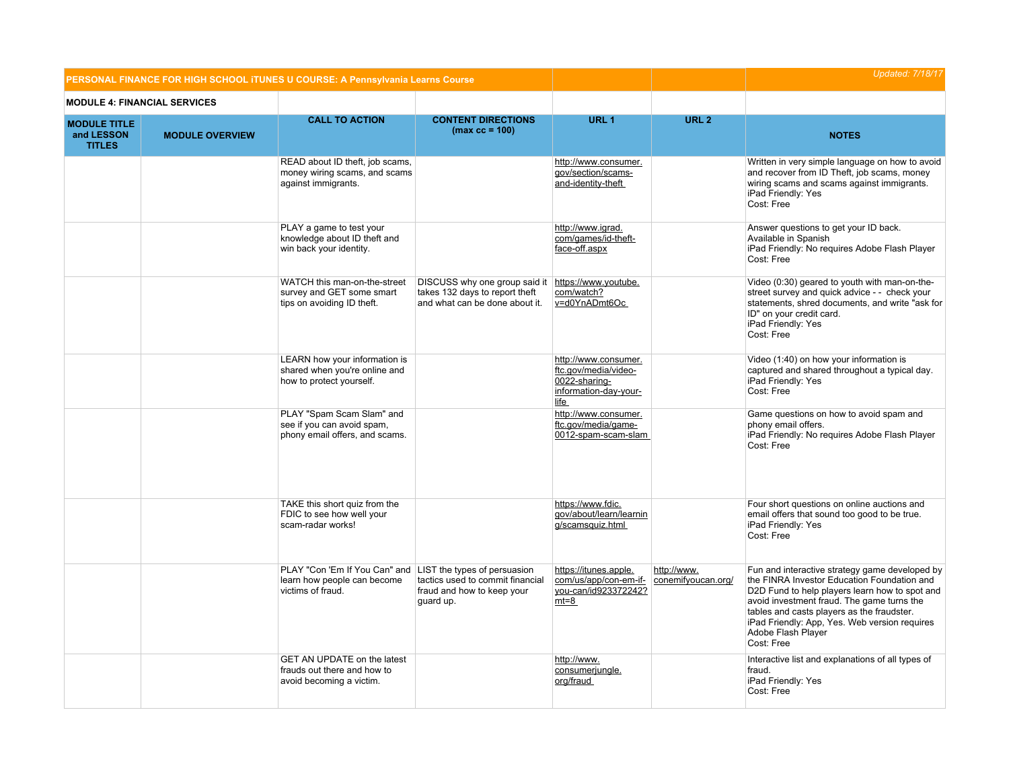| PERSONAL FINANCE FOR HIGH SCHOOL ITUNES U COURSE: A Pennsylvania Learns Course |                                     |                                                                                                                |                                                                                                                        |                                                                                                | <b>Updated: 7/18/17</b>           |                                                                                                                                                                                                                                                                                                                                  |
|--------------------------------------------------------------------------------|-------------------------------------|----------------------------------------------------------------------------------------------------------------|------------------------------------------------------------------------------------------------------------------------|------------------------------------------------------------------------------------------------|-----------------------------------|----------------------------------------------------------------------------------------------------------------------------------------------------------------------------------------------------------------------------------------------------------------------------------------------------------------------------------|
|                                                                                | <b>MODULE 4: FINANCIAL SERVICES</b> |                                                                                                                |                                                                                                                        |                                                                                                |                                   |                                                                                                                                                                                                                                                                                                                                  |
| <b>MODULE TITLE</b><br>and LESSON<br><b>TITLES</b>                             | <b>MODULE OVERVIEW</b>              | <b>CALL TO ACTION</b>                                                                                          | <b>CONTENT DIRECTIONS</b><br>$(max cc = 100)$                                                                          | URL <sub>1</sub>                                                                               | URL <sub>2</sub>                  | <b>NOTES</b>                                                                                                                                                                                                                                                                                                                     |
|                                                                                |                                     | READ about ID theft, job scams,<br>money wiring scams, and scams<br>against immigrants.                        |                                                                                                                        | http://www.consumer.<br>gov/section/scams-<br>and-identity-theft                               |                                   | Written in very simple language on how to avoid<br>and recover from ID Theft, job scams, money<br>wiring scams and scams against immigrants.<br>iPad Friendly: Yes<br>Cost: Free                                                                                                                                                 |
|                                                                                |                                     | PLAY a game to test your<br>knowledge about ID theft and<br>win back your identity.                            |                                                                                                                        | http://www.igrad.<br>com/games/id-theft-<br>face-off.aspx                                      |                                   | Answer questions to get your ID back.<br>Available in Spanish<br>iPad Friendly: No requires Adobe Flash Player<br>Cost: Free                                                                                                                                                                                                     |
|                                                                                |                                     | WATCH this man-on-the-street<br>survey and GET some smart<br>tips on avoiding ID theft.                        | DISCUSS why one group said it https://www.youtube.<br>takes 132 days to report theft<br>and what can be done about it. | com/watch?<br>v=d0YnADmt6Oc                                                                    |                                   | Video (0:30) geared to youth with man-on-the-<br>street survey and quick advice - - check your<br>statements, shred documents, and write "ask for<br>ID" on your credit card.<br>iPad Friendly: Yes<br>Cost: Free                                                                                                                |
|                                                                                |                                     | LEARN how your information is<br>shared when you're online and<br>how to protect yourself.                     |                                                                                                                        | http://www.consumer.<br>ftc.gov/media/video-<br>0022-sharing-<br>information-day-your-<br>life |                                   | Video (1:40) on how your information is<br>captured and shared throughout a typical day.<br>iPad Friendly: Yes<br>Cost: Free                                                                                                                                                                                                     |
|                                                                                |                                     | PLAY "Spam Scam Slam" and<br>see if you can avoid spam.<br>phony email offers, and scams.                      |                                                                                                                        | http://www.consumer.<br>ftc.gov/media/game-<br>0012-spam-scam-slam                             |                                   | Game questions on how to avoid spam and<br>phony email offers.<br>iPad Friendly: No requires Adobe Flash Player<br>Cost: Free                                                                                                                                                                                                    |
|                                                                                |                                     | TAKE this short quiz from the<br>FDIC to see how well your<br>scam-radar works!                                |                                                                                                                        | https://www.fdic.<br>gov/about/learn/learnin<br>g/scamsquiz.html                               |                                   | Four short questions on online auctions and<br>email offers that sound too good to be true.<br>iPad Friendly: Yes<br>Cost: Free                                                                                                                                                                                                  |
|                                                                                |                                     | PLAY "Con 'Em If You Can" and LIST the types of persuasion<br>learn how people can become<br>victims of fraud. | tactics used to commit financial<br>fraud and how to keep your<br>guard up.                                            | https://itunes.apple.<br>com/us/app/con-em-if-<br>you-can/id923372242?<br>$mt=8$               | http://www.<br>conemifyoucan.org/ | Fun and interactive strategy game developed by<br>the FINRA Investor Education Foundation and<br>D2D Fund to help players learn how to spot and<br>avoid investment fraud. The game turns the<br>tables and casts players as the fraudster.<br>iPad Friendly: App, Yes. Web version requires<br>Adobe Flash Player<br>Cost: Free |
|                                                                                |                                     | GET AN UPDATE on the latest<br>frauds out there and how to<br>avoid becoming a victim.                         |                                                                                                                        | http://www.<br>consumerjungle.<br>org/fraud                                                    |                                   | Interactive list and explanations of all types of<br>fraud.<br>iPad Friendly: Yes<br>Cost: Free                                                                                                                                                                                                                                  |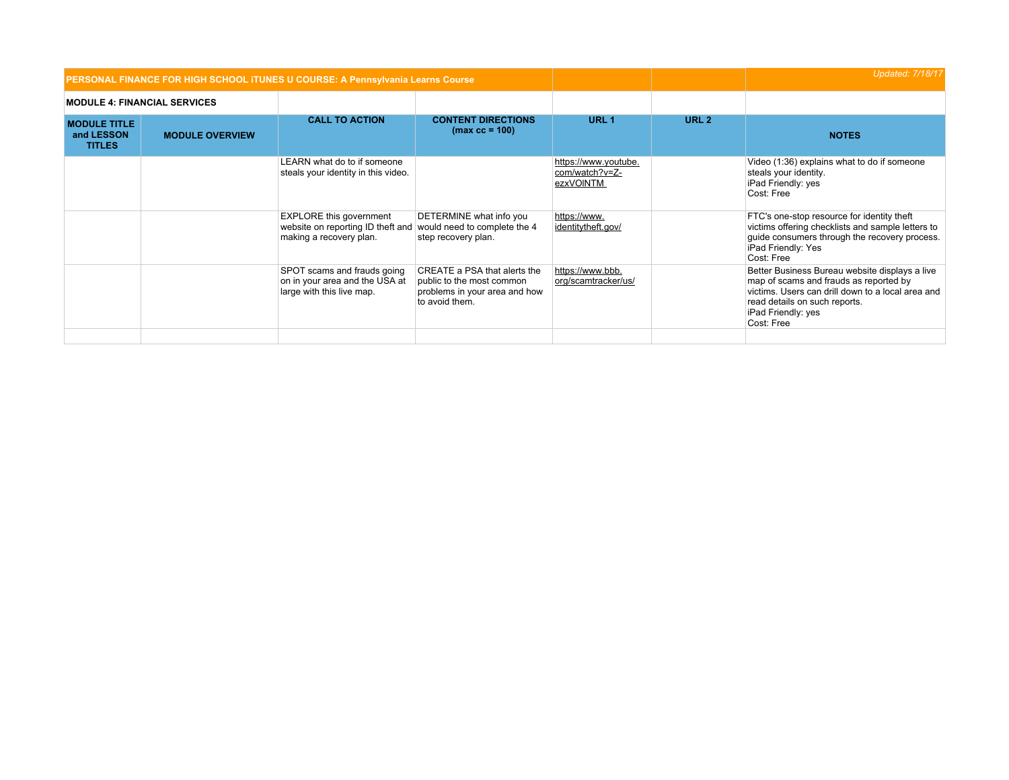|                                                    |                        | PERSONAL FINANCE FOR HIGH SCHOOL ITUNES U COURSE: A Pennsylvania Learns Course                 |                                                                                                              |                                                     | <b>Updated: 7/18/17</b> |                                                                                                                                                                                                                    |
|----------------------------------------------------|------------------------|------------------------------------------------------------------------------------------------|--------------------------------------------------------------------------------------------------------------|-----------------------------------------------------|-------------------------|--------------------------------------------------------------------------------------------------------------------------------------------------------------------------------------------------------------------|
| <b>MODULE 4: FINANCIAL SERVICES</b>                |                        |                                                                                                |                                                                                                              |                                                     |                         |                                                                                                                                                                                                                    |
| <b>MODULE TITLE</b><br>and LESSON<br><b>TITLES</b> | <b>MODULE OVERVIEW</b> | <b>CALL TO ACTION</b>                                                                          | <b>CONTENT DIRECTIONS</b><br>$(max cc = 100)$                                                                | URL <sub>1</sub>                                    | URL <sub>2</sub>        | <b>NOTES</b>                                                                                                                                                                                                       |
|                                                    |                        | LEARN what do to if someone<br>steals your identity in this video.                             |                                                                                                              | https://www.youtube.<br>com/watch?v=Z-<br>ezxVOINTM |                         | Video (1:36) explains what to do if someone<br>steals your identity.<br>iPad Friendly: yes<br>Cost: Free                                                                                                           |
|                                                    |                        | <b>EXPLORE</b> this government<br>website on reporting ID theft and<br>making a recovery plan. | DETERMINE what info you<br>would need to complete the 4<br>step recovery plan.                               | https://www.<br>identitytheft.gov/                  |                         | FTC's one-stop resource for identity theft<br>victims offering checklists and sample letters to<br>guide consumers through the recovery process.<br>iPad Friendly: Yes<br>Cost: Free                               |
|                                                    |                        | SPOT scams and frauds going<br>on in your area and the USA at<br>large with this live map.     | CREATE a PSA that alerts the<br>public to the most common<br>problems in your area and how<br>to avoid them. | https://www.bbb.<br>org/scamtracker/us/             |                         | Better Business Bureau website displays a live<br>map of scams and frauds as reported by<br>victims. Users can drill down to a local area and<br>read details on such reports.<br>iPad Friendly: yes<br>Cost: Free |
|                                                    |                        |                                                                                                |                                                                                                              |                                                     |                         |                                                                                                                                                                                                                    |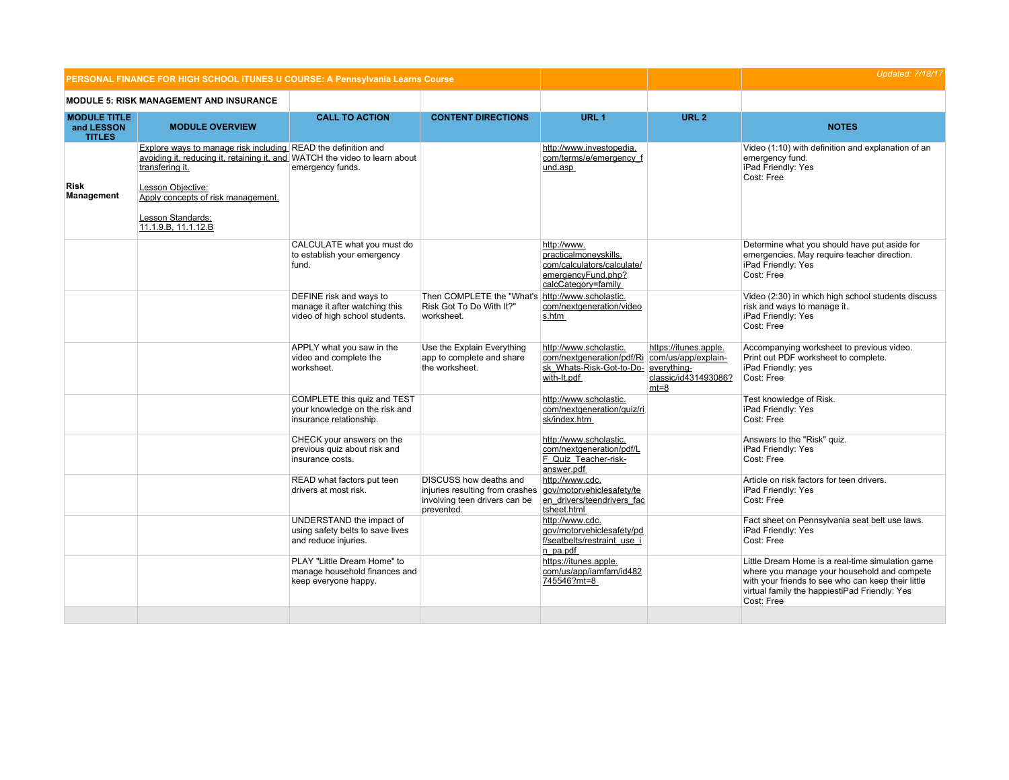|                                                    | PERSONAL FINANCE FOR HIGH SCHOOL ITUNES U COURSE: A Pennsylvania Learns Course                                                                                                                                                                                        |                                                                                            |                                                                                                          |                                                                                                                                |                                                         | <b>Updated: 7/18/17</b>                                                                                                                                                                                              |
|----------------------------------------------------|-----------------------------------------------------------------------------------------------------------------------------------------------------------------------------------------------------------------------------------------------------------------------|--------------------------------------------------------------------------------------------|----------------------------------------------------------------------------------------------------------|--------------------------------------------------------------------------------------------------------------------------------|---------------------------------------------------------|----------------------------------------------------------------------------------------------------------------------------------------------------------------------------------------------------------------------|
|                                                    | <b>MODULE 5: RISK MANAGEMENT AND INSURANCE</b>                                                                                                                                                                                                                        |                                                                                            |                                                                                                          |                                                                                                                                |                                                         |                                                                                                                                                                                                                      |
| <b>MODULE TITLE</b><br>and LESSON<br><b>TITLES</b> | <b>MODULE OVERVIEW</b>                                                                                                                                                                                                                                                | <b>CALL TO ACTION</b>                                                                      | <b>CONTENT DIRECTIONS</b>                                                                                | URL <sub>1</sub>                                                                                                               | URL <sub>2</sub>                                        | <b>NOTES</b>                                                                                                                                                                                                         |
| Risk<br>Management                                 | Explore ways to manage risk including READ the definition and<br>avoiding it, reducing it, retaining it, and WATCH the video to learn about<br>transfering it.<br>Lesson Obiective:<br>Apply concepts of risk management.<br>Lesson Standards:<br>11.1.9.B, 11.1.12.B | emergency funds.                                                                           |                                                                                                          | http://www.investopedia.<br>com/terms/e/emergency f<br>und.asp                                                                 |                                                         | Video (1:10) with definition and explanation of an<br>emergency fund.<br>iPad Friendly: Yes<br>Cost: Free                                                                                                            |
|                                                    |                                                                                                                                                                                                                                                                       | CALCULATE what you must do<br>to establish your emergency<br>fund.                         |                                                                                                          | http://www.<br>practicalmoneyskills.<br>com/calculators/calculate/<br>emergencyFund.php?<br>calcCategory=family                |                                                         | Determine what you should have put aside for<br>emergencies. May require teacher direction.<br>iPad Friendly: Yes<br>Cost: Free                                                                                      |
|                                                    |                                                                                                                                                                                                                                                                       | DEFINE risk and ways to<br>manage it after watching this<br>video of high school students. | Then COMPLETE the "What's http://www.scholastic.<br>Risk Got To Do With It?"<br>worksheet.               | com/nextgeneration/video<br>s.htm                                                                                              |                                                         | Video (2:30) in which high school students discuss<br>risk and ways to manage it.<br>iPad Friendly: Yes<br>Cost: Free                                                                                                |
|                                                    |                                                                                                                                                                                                                                                                       | APPLY what you saw in the<br>video and complete the<br>worksheet.                          | Use the Explain Everything<br>app to complete and share<br>the worksheet.                                | http://www.scholastic.<br>com/nextgeneration/pdf/Ri com/us/app/explain-<br>sk Whats-Risk-Got-to-Do- everything-<br>with-It.pdf | https://itunes.apple.<br>classic/id431493086?<br>$mt=8$ | Accompanying worksheet to previous video.<br>Print out PDF worksheet to complete.<br>iPad Friendly: yes<br>Cost: Free                                                                                                |
|                                                    |                                                                                                                                                                                                                                                                       | COMPLETE this quiz and TEST<br>your knowledge on the risk and<br>insurance relationship.   |                                                                                                          | http://www.scholastic.<br>com/nextgeneration/guiz/ri<br>sk/index.htm                                                           |                                                         | Test knowledge of Risk.<br>iPad Friendly: Yes<br>Cost: Free                                                                                                                                                          |
|                                                    |                                                                                                                                                                                                                                                                       | CHECK your answers on the<br>previous quiz about risk and<br>insurance costs.              |                                                                                                          | http://www.scholastic.<br>com/nextgeneration/pdf/L<br>F Quiz Teacher-risk-<br>answer.pdf                                       |                                                         | Answers to the "Risk" quiz.<br>iPad Friendly: Yes<br>Cost: Free                                                                                                                                                      |
|                                                    |                                                                                                                                                                                                                                                                       | READ what factors put teen<br>drivers at most risk.                                        | DISCUSS how deaths and<br>injuries resulting from crashes<br>involving teen drivers can be<br>prevented. | http://www.cdc.<br>gov/motorvehiclesafety/te<br>en drivers/teendrivers fac<br>tsheet.html                                      |                                                         | Article on risk factors for teen drivers.<br>iPad Friendly: Yes<br>Cost: Free                                                                                                                                        |
|                                                    |                                                                                                                                                                                                                                                                       | UNDERSTAND the impact of<br>using safety belts to save lives<br>and reduce injuries.       |                                                                                                          | http://www.cdc.<br>gov/motorvehiclesafety/pd<br>f/seatbelts/restraint use i<br>n pa.pdf                                        |                                                         | Fact sheet on Pennsylvania seat belt use laws.<br>iPad Friendly: Yes<br>Cost: Free                                                                                                                                   |
|                                                    |                                                                                                                                                                                                                                                                       | PLAY "Little Dream Home" to<br>manage household finances and<br>keep everyone happy.       |                                                                                                          | https://itunes.apple.<br>com/us/app/iamfam/id482<br>745546?mt=8                                                                |                                                         | Little Dream Home is a real-time simulation game<br>where you manage your household and compete<br>with your friends to see who can keep their little<br>virtual family the happiestiPad Friendly: Yes<br>Cost: Free |
|                                                    |                                                                                                                                                                                                                                                                       |                                                                                            |                                                                                                          |                                                                                                                                |                                                         |                                                                                                                                                                                                                      |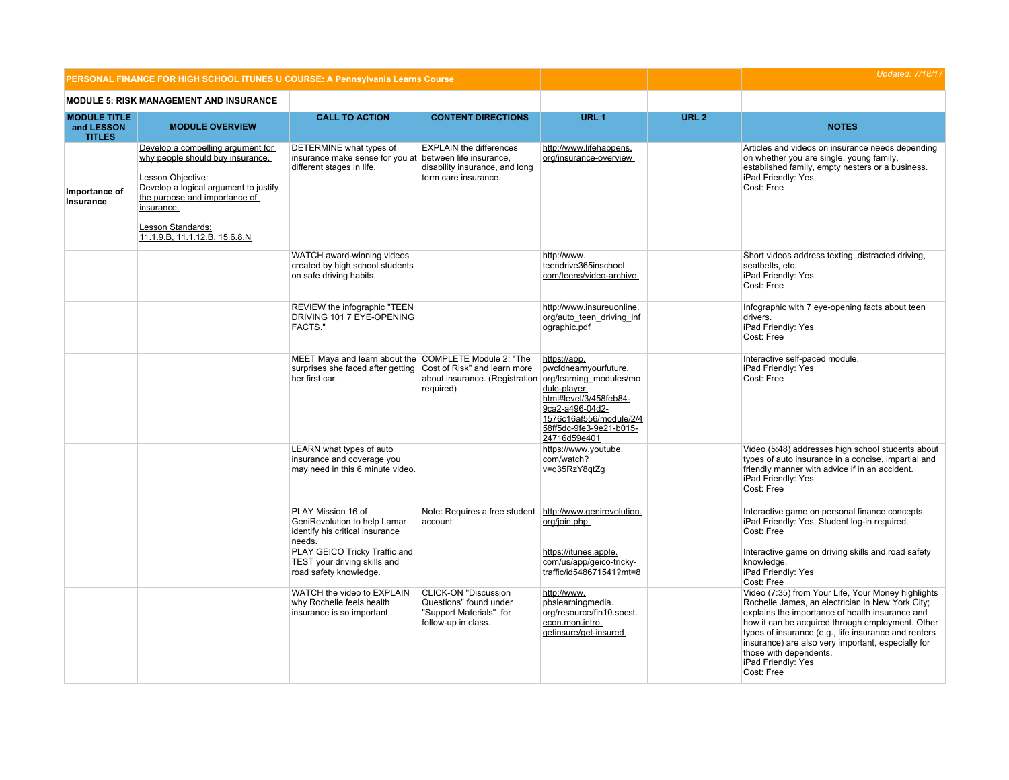|                                                    | PERSONAL FINANCE FOR HIGH SCHOOL ITUNES U COURSE: A Pennsylvania Learns Course                                                                                                                                                           |                                                                                                                                           |                                                                                                         |                                                                                                                                                                                                     | <b>Updated: 7/18/17</b> |                                                                                                                                                                                                                                                                                                                                                                                           |
|----------------------------------------------------|------------------------------------------------------------------------------------------------------------------------------------------------------------------------------------------------------------------------------------------|-------------------------------------------------------------------------------------------------------------------------------------------|---------------------------------------------------------------------------------------------------------|-----------------------------------------------------------------------------------------------------------------------------------------------------------------------------------------------------|-------------------------|-------------------------------------------------------------------------------------------------------------------------------------------------------------------------------------------------------------------------------------------------------------------------------------------------------------------------------------------------------------------------------------------|
|                                                    | <b>MODULE 5: RISK MANAGEMENT AND INSURANCE</b>                                                                                                                                                                                           |                                                                                                                                           |                                                                                                         |                                                                                                                                                                                                     |                         |                                                                                                                                                                                                                                                                                                                                                                                           |
| <b>MODULE TITLE</b><br>and LESSON<br><b>TITLES</b> | <b>MODULE OVERVIEW</b>                                                                                                                                                                                                                   | <b>CALL TO ACTION</b>                                                                                                                     | <b>CONTENT DIRECTIONS</b>                                                                               | URL <sub>1</sub>                                                                                                                                                                                    | URL <sub>2</sub>        | <b>NOTES</b>                                                                                                                                                                                                                                                                                                                                                                              |
| Importance of<br>Insurance                         | Develop a compelling argument for<br>why people should buy insurance.<br>Lesson Objective:<br>Develop a logical argument to justify<br>the purpose and importance of<br>insurance.<br>Lesson Standards:<br>11.1.9.B, 11.1.12.B, 15.6.8.N | DETERMINE what types of<br>insurance make sense for you at between life insurance,<br>different stages in life.                           | <b>EXPLAIN the differences</b><br>disability insurance, and long<br>term care insurance.                | http://www.lifehappens.<br>org/insurance-overview                                                                                                                                                   |                         | Articles and videos on insurance needs depending<br>on whether you are single, young family,<br>established family, empty nesters or a business.<br>iPad Friendly: Yes<br>Cost: Free                                                                                                                                                                                                      |
|                                                    |                                                                                                                                                                                                                                          | WATCH award-winning videos<br>created by high school students<br>on safe driving habits.                                                  |                                                                                                         | http://www.<br>teendrive365inschool.<br>com/teens/video-archive                                                                                                                                     |                         | Short videos address texting, distracted driving,<br>seatbelts, etc.<br>iPad Friendly: Yes<br>Cost: Free                                                                                                                                                                                                                                                                                  |
|                                                    |                                                                                                                                                                                                                                          | REVIEW the infographic "TEEN<br>DRIVING 101 7 EYE-OPENING<br><b>FACTS."</b>                                                               |                                                                                                         | http://www.insureuonline.<br>org/auto_teen_driving_inf<br>ographic.pdf                                                                                                                              |                         | Infographic with 7 eye-opening facts about teen<br>drivers.<br>iPad Friendly: Yes<br>Cost: Free                                                                                                                                                                                                                                                                                           |
|                                                    |                                                                                                                                                                                                                                          | MEET Maya and learn about the COMPLETE Module 2: "The<br>surprises she faced after getting Cost of Risk" and learn more<br>her first car. | about insurance. (Registration<br>required)                                                             | https://app.<br>pwcfdnearnyourfuture.<br>org/learning modules/mo<br>dule-player.<br>html#level/3/458feb84-<br>9ca2-a496-04d2-<br>1576c16af556/module/2/4<br>58ff5dc-9fe3-9e21-b015-<br>24716d59e401 |                         | Interactive self-paced module.<br>iPad Friendly: Yes<br>Cost: Free                                                                                                                                                                                                                                                                                                                        |
|                                                    |                                                                                                                                                                                                                                          | LEARN what types of auto<br>insurance and coverage you<br>may need in this 6 minute video.                                                |                                                                                                         | https://www.youtube.<br>com/watch?<br>v=g35RzY8gtZg                                                                                                                                                 |                         | Video (5:48) addresses high school students about<br>types of auto insurance in a concise, impartial and<br>friendly manner with advice if in an accident.<br>iPad Friendly: Yes<br>Cost: Free                                                                                                                                                                                            |
|                                                    |                                                                                                                                                                                                                                          | PLAY Mission 16 of<br>GeniRevolution to help Lamar<br>identify his critical insurance<br>needs.                                           | Note: Requires a free student http://www.genirevolution.<br>account                                     | org/join.php                                                                                                                                                                                        |                         | Interactive game on personal finance concepts.<br>iPad Friendly: Yes Student log-in required.<br>Cost: Free                                                                                                                                                                                                                                                                               |
|                                                    |                                                                                                                                                                                                                                          | PLAY GEICO Tricky Traffic and<br>TEST your driving skills and<br>road safety knowledge.                                                   |                                                                                                         | https://itunes.apple.<br>com/us/app/geico-tricky-<br>traffic/id548671541?mt=8                                                                                                                       |                         | Interactive game on driving skills and road safety<br>knowledge.<br>iPad Friendly: Yes<br>Cost: Free                                                                                                                                                                                                                                                                                      |
|                                                    |                                                                                                                                                                                                                                          | WATCH the video to EXPLAIN<br>why Rochelle feels health<br>insurance is so important.                                                     | <b>CLICK-ON "Discussion</b><br>Questions" found under<br>"Support Materials" for<br>follow-up in class. | http://www.<br>pbslearningmedia.<br>org/resource/fin10.socst.<br>econ.mon.intro.<br>getinsure/get-insured                                                                                           |                         | Video (7:35) from Your Life, Your Money highlights<br>Rochelle James, an electrician in New York City;<br>explains the importance of health insurance and<br>how it can be acquired through employment. Other<br>types of insurance (e.g., life insurance and renters<br>insurance) are also very important, especially for<br>those with dependents.<br>iPad Friendly: Yes<br>Cost: Free |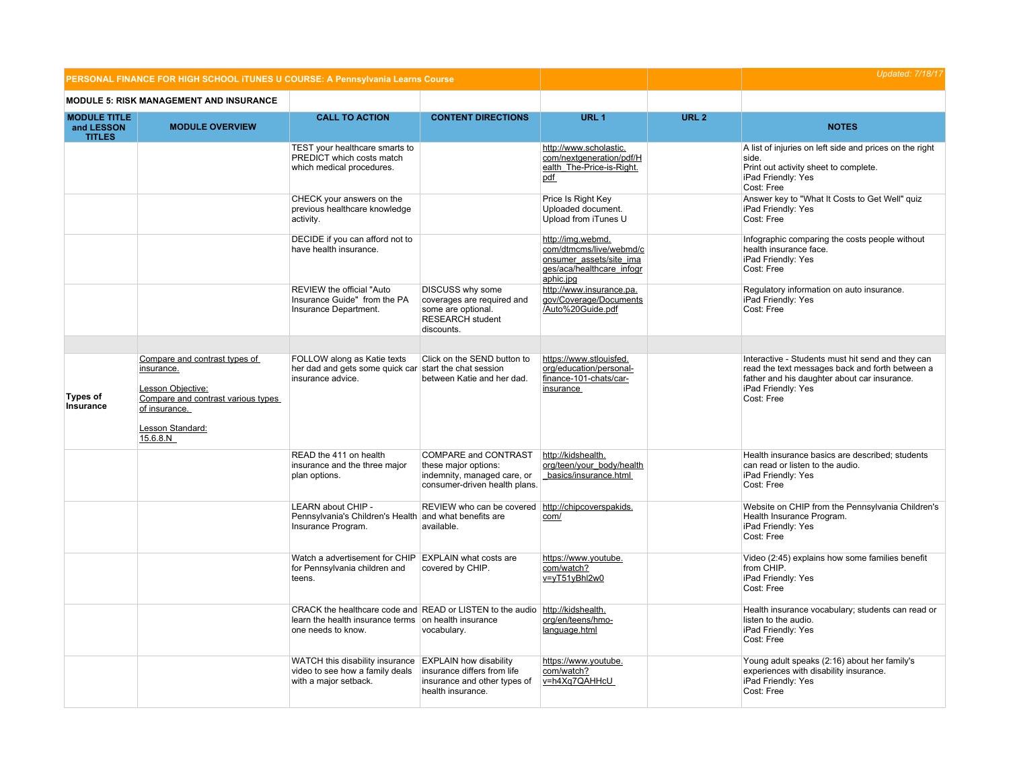|                                                    | PERSONAL FINANCE FOR HIGH SCHOOL ITUNES U COURSE: A Pennsylvania Learns Course      |                                                                                                                                                            |                                                                                                                   |                                                                                                                   | <b>Updated: 7/18/17</b> |                                                                                                                                                                            |
|----------------------------------------------------|-------------------------------------------------------------------------------------|------------------------------------------------------------------------------------------------------------------------------------------------------------|-------------------------------------------------------------------------------------------------------------------|-------------------------------------------------------------------------------------------------------------------|-------------------------|----------------------------------------------------------------------------------------------------------------------------------------------------------------------------|
|                                                    | MODULE 5: RISK MANAGEMENT AND INSURANCE                                             |                                                                                                                                                            |                                                                                                                   |                                                                                                                   |                         |                                                                                                                                                                            |
| <b>MODULE TITLE</b><br>and LESSON<br><b>TITLES</b> | <b>MODULE OVERVIEW</b>                                                              | <b>CALL TO ACTION</b>                                                                                                                                      | <b>CONTENT DIRECTIONS</b>                                                                                         | URL <sub>1</sub>                                                                                                  | URL <sub>2</sub>        | <b>NOTES</b>                                                                                                                                                               |
|                                                    |                                                                                     | TEST your healthcare smarts to<br>PREDICT which costs match<br>which medical procedures.                                                                   |                                                                                                                   | http://www.scholastic.<br>com/nextgeneration/pdf/H<br>ealth The-Price-is-Right.<br>pdf                            |                         | A list of injuries on left side and prices on the right<br>side.<br>Print out activity sheet to complete.<br>iPad Friendly: Yes<br>Cost: Free                              |
|                                                    |                                                                                     | CHECK your answers on the<br>previous healthcare knowledge<br>activity.                                                                                    |                                                                                                                   | Price Is Right Key<br>Uploaded document.<br>Upload from iTunes U                                                  |                         | Answer key to "What It Costs to Get Well" quiz<br>iPad Friendly: Yes<br>Cost: Free                                                                                         |
|                                                    |                                                                                     | DECIDE if you can afford not to<br>have health insurance.                                                                                                  |                                                                                                                   | http://img.webmd.<br>com/dtmcms/live/webmd/c<br>onsumer assets/site ima<br>ges/aca/healthcare_infogr<br>aphic.jpg |                         | Infographic comparing the costs people without<br>health insurance face.<br>iPad Friendly: Yes<br>Cost: Free                                                               |
|                                                    |                                                                                     | REVIEW the official "Auto<br>Insurance Guide" from the PA<br>Insurance Department.                                                                         | DISCUSS why some<br>coverages are required and<br>some are optional.<br><b>RESEARCH</b> student<br>discounts.     | http://www.insurance.pa.<br>gov/Coverage/Documents<br>/Auto%20Guide.pdf                                           |                         | Regulatory information on auto insurance.<br>iPad Friendly: Yes<br>Cost: Free                                                                                              |
|                                                    | Compare and contrast types of<br>insurance.<br>Lesson Objective:                    | FOLLOW along as Katie texts<br>her dad and gets some quick car<br>insurance advice.                                                                        | Click on the SEND button to<br>start the chat session<br>between Katie and her dad.                               | https://www.stlouisfed.<br>org/education/personal-<br>finance-101-chats/car-<br>insurance                         |                         | Interactive - Students must hit send and they can<br>read the text messages back and forth between a<br>father and his daughter about car insurance.<br>iPad Friendly: Yes |
| <b>Types of</b><br>Insurance                       | Compare and contrast various types<br>of insurance.<br>Lesson Standard:<br>15.6.8.N |                                                                                                                                                            |                                                                                                                   |                                                                                                                   |                         | Cost: Free                                                                                                                                                                 |
|                                                    |                                                                                     | READ the 411 on health<br>insurance and the three major<br>plan options.                                                                                   | COMPARE and CONTRAST<br>these major options:<br>indemnity, managed care, or<br>consumer-driven health plans.      | http://kidshealth.<br>org/teen/your_body/health<br>basics/insurance.html                                          |                         | Health insurance basics are described; students<br>can read or listen to the audio.<br>iPad Friendly: Yes<br>Cost: Free                                                    |
|                                                    |                                                                                     | LEARN about CHIP -<br>Pennsylvania's Children's Health and what benefits are<br>Insurance Program.                                                         | REVIEW who can be covered http://chipcoverspakids.<br>available.                                                  | com/                                                                                                              |                         | Website on CHIP from the Pennsylvania Children's<br>Health Insurance Program.<br>iPad Friendly: Yes<br>Cost: Free                                                          |
|                                                    |                                                                                     | Watch a advertisement for CHIP EXPLAIN what costs are<br>for Pennsylvania children and<br>teens.                                                           | covered by CHIP.                                                                                                  | https://www.youtube.<br>com/watch?<br>v=yT51yBhl2w0                                                               |                         | Video (2:45) explains how some families benefit<br>from CHIP.<br>iPad Friendly: Yes<br>Cost: Free                                                                          |
|                                                    |                                                                                     | CRACK the healthcare code and READ or LISTEN to the audio http://kidshealth.<br>learn the health insurance terms on health insurance<br>one needs to know. | vocabulary.                                                                                                       | org/en/teens/hmo-<br>language.html                                                                                |                         | Health insurance vocabulary; students can read or<br>listen to the audio.<br>iPad Friendly: Yes<br>Cost: Free                                                              |
|                                                    |                                                                                     | WATCH this disability insurance<br>video to see how a family deals<br>with a major setback.                                                                | <b>EXPLAIN how disability</b><br>insurance differs from life<br>insurance and other types of<br>health insurance. | https://www.youtube.<br>com/watch?<br>v=h4Xq7QAHHcU                                                               |                         | Young adult speaks (2:16) about her family's<br>experiences with disability insurance.<br>iPad Friendly: Yes<br>Cost: Free                                                 |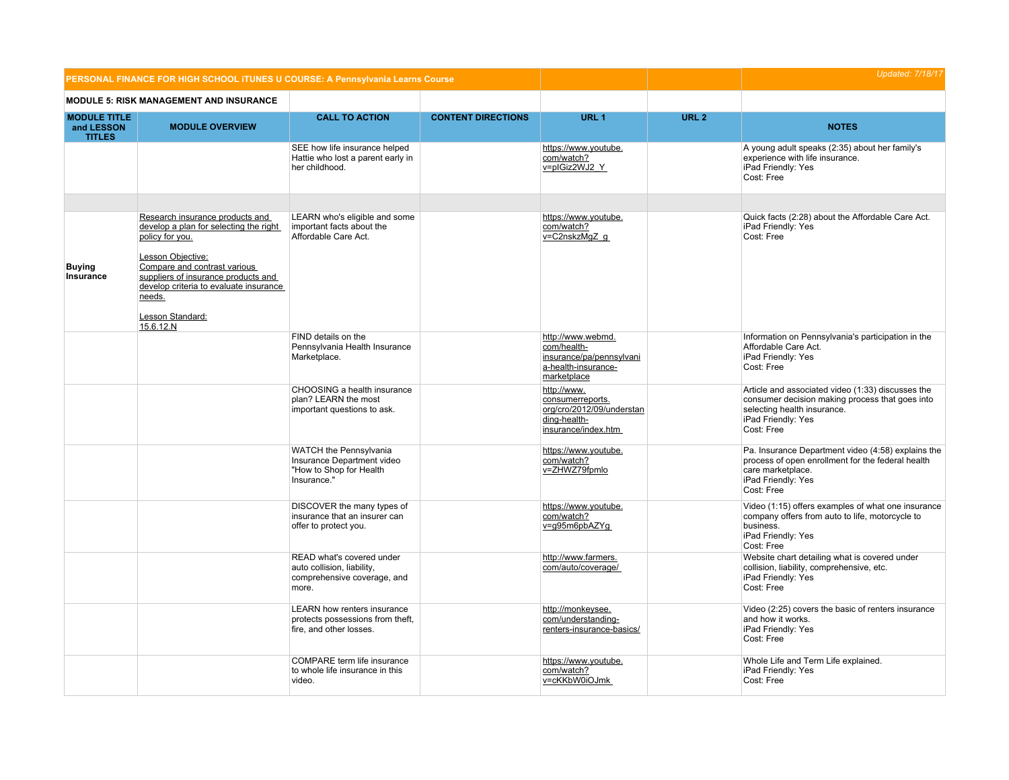| PERSONAL FINANCE FOR HIGH SCHOOL ITUNES U COURSE: A Pennsylvania Learns Course |                                                                                                                                                                                                                                                                               |                                                                                                   |                           |                                                                                                     |                  | <b>Updated: 7/18/17</b>                                                                                                                                                 |
|--------------------------------------------------------------------------------|-------------------------------------------------------------------------------------------------------------------------------------------------------------------------------------------------------------------------------------------------------------------------------|---------------------------------------------------------------------------------------------------|---------------------------|-----------------------------------------------------------------------------------------------------|------------------|-------------------------------------------------------------------------------------------------------------------------------------------------------------------------|
|                                                                                | <b>MODULE 5: RISK MANAGEMENT AND INSURANCE</b>                                                                                                                                                                                                                                |                                                                                                   |                           |                                                                                                     |                  |                                                                                                                                                                         |
| <b>MODULE TITLE</b><br>and LESSON<br><b>TITLES</b>                             | <b>MODULE OVERVIEW</b>                                                                                                                                                                                                                                                        | <b>CALL TO ACTION</b>                                                                             | <b>CONTENT DIRECTIONS</b> | URL <sub>1</sub>                                                                                    | URL <sub>2</sub> | <b>NOTES</b>                                                                                                                                                            |
|                                                                                |                                                                                                                                                                                                                                                                               | SEE how life insurance helped<br>Hattie who lost a parent early in<br>her childhood.              |                           | https://www.youtube.<br>com/watch?<br>v=plGiz2WJ2 Y                                                 |                  | A young adult speaks (2:35) about her family's<br>experience with life insurance.<br>iPad Friendly: Yes<br>Cost: Free                                                   |
|                                                                                |                                                                                                                                                                                                                                                                               |                                                                                                   |                           |                                                                                                     |                  |                                                                                                                                                                         |
| <b>Buying</b><br>Insurance                                                     | Research insurance products and<br>develop a plan for selecting the right<br>policy for you.<br>Lesson Objective:<br>Compare and contrast various<br>suppliers of insurance products and<br>develop criteria to evaluate insurance<br>needs.<br>Lesson Standard:<br>15.6.12.N | LEARN who's eligible and some<br>important facts about the<br>Affordable Care Act.                |                           | https://www.youtube.<br>com/watch?<br>v=C2nskzMgZ g                                                 |                  | Quick facts (2:28) about the Affordable Care Act.<br>iPad Friendly: Yes<br>Cost: Free                                                                                   |
|                                                                                |                                                                                                                                                                                                                                                                               | FIND details on the<br>Pennsylvania Health Insurance<br>Marketplace.                              |                           | http://www.webmd.<br>com/health-<br>insurance/pa/pennsylvani<br>a-health-insurance-<br>marketplace  |                  | Information on Pennsylvania's participation in the<br>Affordable Care Act.<br>iPad Friendly: Yes<br>Cost: Free                                                          |
|                                                                                |                                                                                                                                                                                                                                                                               | CHOOSING a health insurance<br>plan? LEARN the most<br>important questions to ask.                |                           | http://www.<br>consumerreports.<br>org/cro/2012/09/understan<br>ding-health-<br>insurance/index.htm |                  | Article and associated video (1:33) discusses the<br>consumer decision making process that goes into<br>selecting health insurance.<br>iPad Friendly: Yes<br>Cost: Free |
|                                                                                |                                                                                                                                                                                                                                                                               | WATCH the Pennsylvania<br>Insurance Department video<br>"How to Shop for Health<br>Insurance."    |                           | https://www.youtube.<br>com/watch?<br>v=ZHWZ79fpmlo                                                 |                  | Pa. Insurance Department video (4:58) explains the<br>process of open enrollment for the federal health<br>care marketplace.<br>iPad Friendly: Yes<br>Cost: Free        |
|                                                                                |                                                                                                                                                                                                                                                                               | DISCOVER the many types of<br>insurance that an insurer can<br>offer to protect you.              |                           | https://www.youtube.<br>com/watch?<br>v=q95m6pbAZYq                                                 |                  | Video (1:15) offers examples of what one insurance<br>company offers from auto to life, motorcycle to<br>business.<br>iPad Friendly: Yes<br>Cost: Free                  |
|                                                                                |                                                                                                                                                                                                                                                                               | READ what's covered under<br>auto collision, liability,<br>comprehensive coverage, and<br>more.   |                           | http://www.farmers.<br>com/auto/coverage/                                                           |                  | Website chart detailing what is covered under<br>collision, liability, comprehensive, etc.<br>iPad Friendly: Yes<br>Cost: Free                                          |
|                                                                                |                                                                                                                                                                                                                                                                               | <b>LEARN</b> how renters insurance<br>protects possessions from theft,<br>fire, and other losses. |                           | http://monkeysee.<br>com/understanding-<br>renters-insurance-basics/                                |                  | Video (2:25) covers the basic of renters insurance<br>and how it works.<br>iPad Friendly: Yes<br>Cost: Free                                                             |
|                                                                                |                                                                                                                                                                                                                                                                               | COMPARE term life insurance<br>to whole life insurance in this<br>video.                          |                           | https://www.youtube.<br>com/watch?<br>v=cKKbW0iOJmk                                                 |                  | Whole Life and Term Life explained.<br>iPad Friendly: Yes<br>Cost: Free                                                                                                 |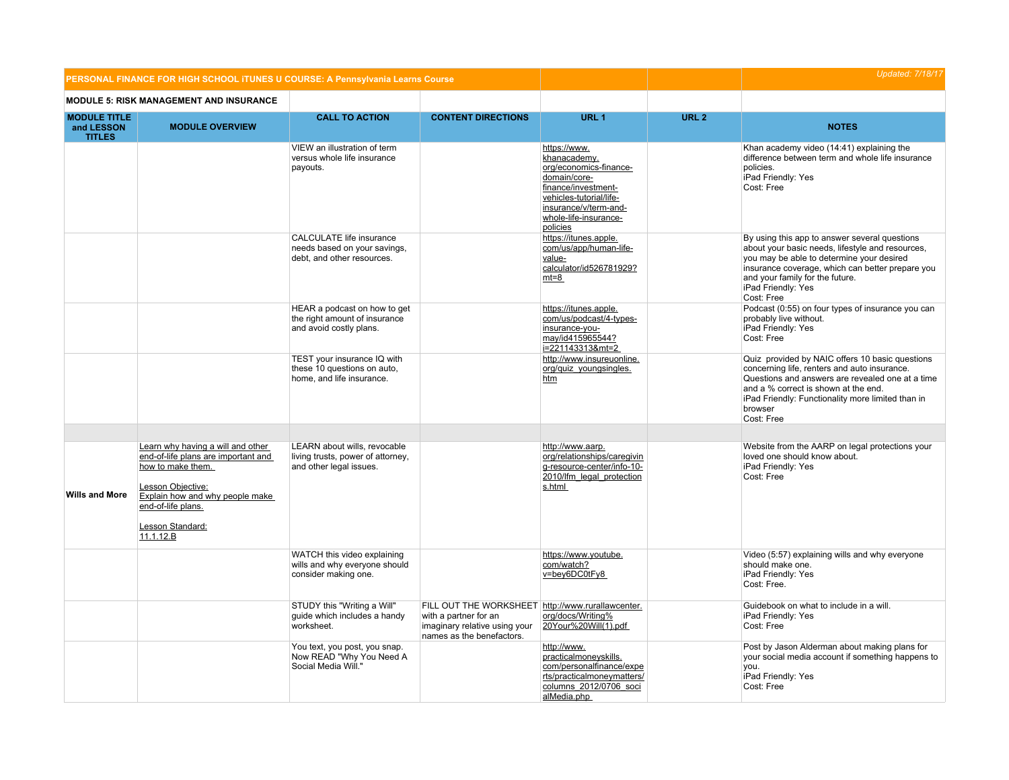|                                                    | PERSONAL FINANCE FOR HIGH SCHOOL ITUNES U COURSE: A Pennsylvania Learns Course                                                                                                                               |                                                                                               |                                                                                                                                          |                                                                                                                                                                                        | <b>Updated: 7/18/17</b> |                                                                                                                                                                                                                                                                           |
|----------------------------------------------------|--------------------------------------------------------------------------------------------------------------------------------------------------------------------------------------------------------------|-----------------------------------------------------------------------------------------------|------------------------------------------------------------------------------------------------------------------------------------------|----------------------------------------------------------------------------------------------------------------------------------------------------------------------------------------|-------------------------|---------------------------------------------------------------------------------------------------------------------------------------------------------------------------------------------------------------------------------------------------------------------------|
|                                                    | <b>MODULE 5: RISK MANAGEMENT AND INSURANCE</b>                                                                                                                                                               |                                                                                               |                                                                                                                                          |                                                                                                                                                                                        |                         |                                                                                                                                                                                                                                                                           |
| <b>MODULE TITLE</b><br>and LESSON<br><b>TITLES</b> | <b>MODULE OVERVIEW</b>                                                                                                                                                                                       | <b>CALL TO ACTION</b>                                                                         | <b>CONTENT DIRECTIONS</b>                                                                                                                | URL <sub>1</sub>                                                                                                                                                                       | URL <sub>2</sub>        | <b>NOTES</b>                                                                                                                                                                                                                                                              |
|                                                    |                                                                                                                                                                                                              | VIEW an illustration of term<br>versus whole life insurance<br>payouts.                       |                                                                                                                                          | https://www.<br>khanacademy.<br>org/economics-finance-<br>domain/core-<br>finance/investment-<br>vehicles-tutorial/life-<br>insurance/v/term-and-<br>whole-life-insurance-<br>policies |                         | Khan academy video (14:41) explaining the<br>difference between term and whole life insurance<br>policies.<br>iPad Friendly: Yes<br>Cost: Free                                                                                                                            |
|                                                    |                                                                                                                                                                                                              | <b>CALCULATE life insurance</b><br>needs based on your savings,<br>debt, and other resources. |                                                                                                                                          | https://itunes.apple.<br>com/us/app/human-life-<br>value-<br>calculator/id526781929?<br>$mt=8$                                                                                         |                         | By using this app to answer several questions<br>about your basic needs, lifestyle and resources,<br>you may be able to determine your desired<br>insurance coverage, which can better prepare you<br>and your family for the future.<br>iPad Friendly: Yes<br>Cost: Free |
|                                                    |                                                                                                                                                                                                              | HEAR a podcast on how to get<br>the right amount of insurance<br>and avoid costly plans.      |                                                                                                                                          | https://itunes.apple.<br>com/us/podcast/4-types-<br>insurance-you-<br>may/id415965544?<br>i=221143313&mt=2                                                                             |                         | Podcast (0:55) on four types of insurance you can<br>probably live without.<br>iPad Friendly: Yes<br>Cost: Free                                                                                                                                                           |
|                                                    |                                                                                                                                                                                                              | TEST your insurance IQ with<br>these 10 questions on auto,<br>home, and life insurance.       |                                                                                                                                          | http://www.insureuonline.<br>org/quiz_youngsingles.<br>htm                                                                                                                             |                         | Quiz provided by NAIC offers 10 basic questions<br>concerning life, renters and auto insurance.<br>Questions and answers are revealed one at a time<br>and a % correct is shown at the end.<br>iPad Friendly: Functionality more limited than in<br>browser<br>Cost: Free |
|                                                    |                                                                                                                                                                                                              |                                                                                               |                                                                                                                                          |                                                                                                                                                                                        |                         |                                                                                                                                                                                                                                                                           |
| <b>Wills and More</b>                              | Learn why having a will and other<br>end-of-life plans are important and<br>how to make them.<br>Lesson Objective:<br>Explain how and why people make<br>end-of-life plans.<br>Lesson Standard:<br>11.1.12.B | LEARN about wills, revocable<br>living trusts, power of attorney,<br>and other legal issues.  |                                                                                                                                          | http://www.aarp.<br>org/relationships/caregivin<br>g-resource-center/info-10-<br>2010/lfm legal protection<br>s.html                                                                   |                         | Website from the AARP on legal protections your<br>loved one should know about.<br>iPad Friendly: Yes<br>Cost: Free                                                                                                                                                       |
|                                                    |                                                                                                                                                                                                              | WATCH this video explaining<br>wills and why everyone should<br>consider making one.          |                                                                                                                                          | https://www.youtube.<br>com/watch?<br>v=bey6DC0tFy8                                                                                                                                    |                         | Video (5:57) explaining wills and why everyone<br>should make one.<br>iPad Friendly: Yes<br>Cost: Free.                                                                                                                                                                   |
|                                                    |                                                                                                                                                                                                              | STUDY this "Writing a Will"<br>quide which includes a handy<br>worksheet.                     | FILL OUT THE WORKSHEET http://www.rurallawcenter.<br>with a partner for an<br>imaginary relative using your<br>names as the benefactors. | org/docs/Writing%<br>20Your%20Will(1).pdf                                                                                                                                              |                         | Guidebook on what to include in a will.<br>iPad Friendly: Yes<br>Cost: Free                                                                                                                                                                                               |
|                                                    |                                                                                                                                                                                                              | You text, you post, you snap.<br>Now READ "Why You Need A<br>Social Media Will."              |                                                                                                                                          | http://www.<br>practicalmoneyskills.<br>com/personalfinance/expe<br>rts/practicalmoneymatters/<br>columns 2012/0706 soci<br>alMedia.php                                                |                         | Post by Jason Alderman about making plans for<br>your social media account if something happens to<br>you.<br>iPad Friendly: Yes<br>Cost: Free                                                                                                                            |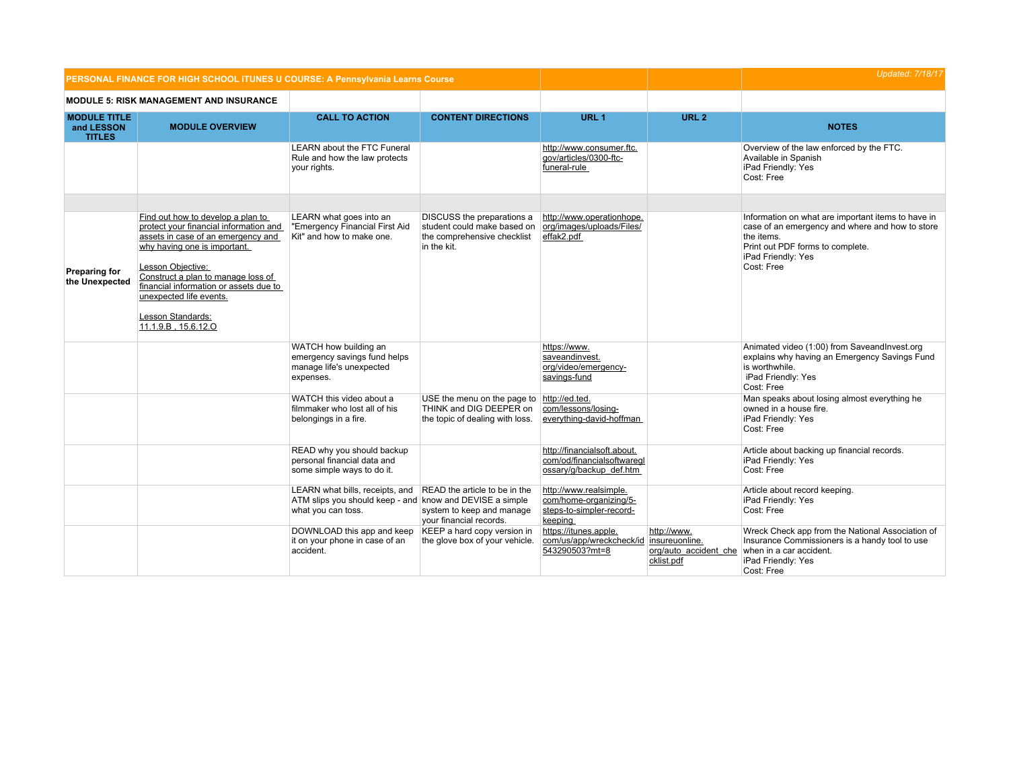|                                                    | PERSONAL FINANCE FOR HIGH SCHOOL ITUNES U COURSE: A Pennsylvania Learns Course                                                                                                                                                                                                                                                |                                                                                                |                                                                                                                   |                                                                                         |                                                                      | <b>Updated: 7/18/17</b>                                                                                                                                                                     |
|----------------------------------------------------|-------------------------------------------------------------------------------------------------------------------------------------------------------------------------------------------------------------------------------------------------------------------------------------------------------------------------------|------------------------------------------------------------------------------------------------|-------------------------------------------------------------------------------------------------------------------|-----------------------------------------------------------------------------------------|----------------------------------------------------------------------|---------------------------------------------------------------------------------------------------------------------------------------------------------------------------------------------|
|                                                    | <b>MODULE 5: RISK MANAGEMENT AND INSURANCE</b>                                                                                                                                                                                                                                                                                |                                                                                                |                                                                                                                   |                                                                                         |                                                                      |                                                                                                                                                                                             |
| <b>MODULE TITLE</b><br>and LESSON<br><b>TITLES</b> | <b>MODULE OVERVIEW</b>                                                                                                                                                                                                                                                                                                        | <b>CALL TO ACTION</b>                                                                          | <b>CONTENT DIRECTIONS</b>                                                                                         | URL <sub>1</sub>                                                                        | URL <sub>2</sub>                                                     | <b>NOTES</b>                                                                                                                                                                                |
|                                                    |                                                                                                                                                                                                                                                                                                                               | <b>LEARN</b> about the FTC Funeral<br>Rule and how the law protects<br>your rights.            |                                                                                                                   | http://www.consumer.ftc.<br>gov/articles/0300-ftc-<br>funeral-rule                      |                                                                      | Overview of the law enforced by the FTC.<br>Available in Spanish<br>iPad Friendly: Yes<br>Cost: Free                                                                                        |
|                                                    |                                                                                                                                                                                                                                                                                                                               |                                                                                                |                                                                                                                   |                                                                                         |                                                                      |                                                                                                                                                                                             |
| <b>Preparing for</b><br>the Unexpected             | Find out how to develop a plan to<br>protect your financial information and<br>assets in case of an emergency and<br>why having one is important.<br>Lesson Objective:<br>Construct a plan to manage loss of<br>financial information or assets due to<br>unexpected life events.<br>Lesson Standards:<br>11.1.9.B, 15.6.12.O | LEARN what goes into an<br>"Emergency Financial First Aid<br>Kit" and how to make one.         | DISCUSS the preparations a<br>student could make based on<br>the comprehensive checklist<br>in the kit.           | http://www.operationhope.<br>org/images/uploads/Files/<br>effak2.pdf                    |                                                                      | Information on what are important items to have in<br>case of an emergency and where and how to store<br>the items.<br>Print out PDF forms to complete.<br>iPad Friendly: Yes<br>Cost: Free |
|                                                    |                                                                                                                                                                                                                                                                                                                               | WATCH how building an<br>emergency savings fund helps<br>manage life's unexpected<br>expenses. |                                                                                                                   | https://www.<br>saveandinvest.<br>org/video/emergency-<br>savings-fund                  |                                                                      | Animated video (1:00) from SaveandInvest.org<br>explains why having an Emergency Savings Fund<br>is worthwhile.<br>iPad Friendly: Yes<br>Cost: Free                                         |
|                                                    |                                                                                                                                                                                                                                                                                                                               | WATCH this video about a<br>filmmaker who lost all of his<br>belongings in a fire.             | USE the menu on the page to<br>THINK and DIG DEEPER on<br>the topic of dealing with loss.                         | http://ed.ted.<br>com/lessons/losing-<br>everything-david-hoffman                       |                                                                      | Man speaks about losing almost everything he<br>owned in a house fire.<br>iPad Friendly: Yes<br>Cost: Free                                                                                  |
|                                                    |                                                                                                                                                                                                                                                                                                                               | READ why you should backup<br>personal financial data and<br>some simple ways to do it.        |                                                                                                                   | http://financialsoft.about.<br>com/od/financialsoftwaregl<br>ossary/g/backup def.htm    |                                                                      | Article about backing up financial records.<br>iPad Friendly: Yes<br>Cost: Free                                                                                                             |
|                                                    |                                                                                                                                                                                                                                                                                                                               | LEARN what bills, receipts, and<br>ATM slips you should keep - and<br>what you can toss.       | READ the article to be in the<br>know and DEVISE a simple<br>system to keep and manage<br>your financial records. | http://www.realsimple.<br>com/home-organizing/5-<br>steps-to-simpler-record-<br>keeping |                                                                      | Article about record keeping.<br>iPad Friendly: Yes<br>Cost: Free                                                                                                                           |
|                                                    |                                                                                                                                                                                                                                                                                                                               | DOWNLOAD this app and keep<br>it on your phone in case of an<br>accident.                      | KEEP a hard copy version in<br>the glove box of your vehicle.                                                     | https://itunes.apple.<br>com/us/app/wreckcheck/id<br>543290503?mt=8                     | http://www.<br>insureuonline.<br>org/auto accident che<br>cklist.pdf | Wreck Check app from the National Association of<br>Insurance Commissioners is a handy tool to use<br>when in a car accident.<br>iPad Friendly: Yes<br>Cost: Free                           |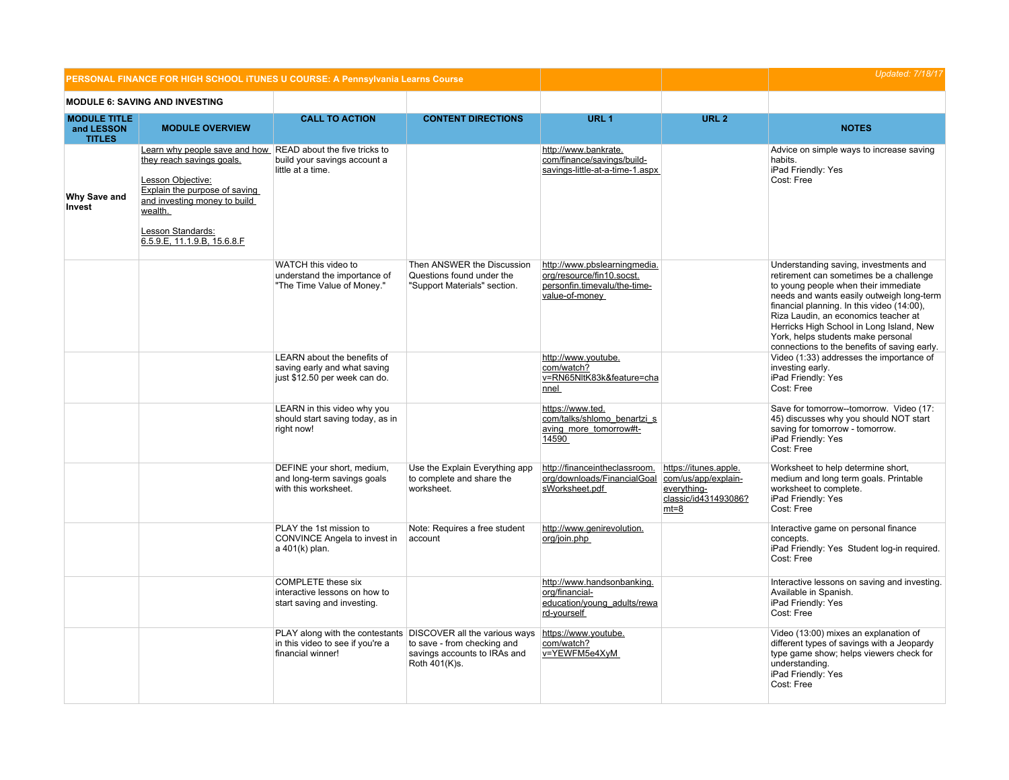|                                                    |                                                                                                                                                                                                                                               | PERSONAL FINANCE FOR HIGH SCHOOL ITUNES U COURSE: A Pennsylvania Learns Course               |                                                                                                                                               |                                                                                                             |                                                                                               | <b>Updated: 7/18/17</b>                                                                                                                                                                                                                                                                                                                                                                       |
|----------------------------------------------------|-----------------------------------------------------------------------------------------------------------------------------------------------------------------------------------------------------------------------------------------------|----------------------------------------------------------------------------------------------|-----------------------------------------------------------------------------------------------------------------------------------------------|-------------------------------------------------------------------------------------------------------------|-----------------------------------------------------------------------------------------------|-----------------------------------------------------------------------------------------------------------------------------------------------------------------------------------------------------------------------------------------------------------------------------------------------------------------------------------------------------------------------------------------------|
|                                                    | <b>MODULE 6: SAVING AND INVESTING</b>                                                                                                                                                                                                         |                                                                                              |                                                                                                                                               |                                                                                                             |                                                                                               |                                                                                                                                                                                                                                                                                                                                                                                               |
| <b>MODULE TITLE</b><br>and LESSON<br><b>TITLES</b> | <b>MODULE OVERVIEW</b>                                                                                                                                                                                                                        | <b>CALL TO ACTION</b>                                                                        | <b>CONTENT DIRECTIONS</b>                                                                                                                     | URL <sub>1</sub>                                                                                            | URL <sub>2</sub>                                                                              | <b>NOTES</b>                                                                                                                                                                                                                                                                                                                                                                                  |
| Why Save and<br>Invest                             | Learn why people save and how READ about the five tricks to<br>they reach savings goals.<br>Lesson Objective:<br>Explain the purpose of saving<br>and investing money to build<br>wealth.<br>Lesson Standards:<br>6.5.9.E, 11.1.9.B, 15.6.8.F | build your savings account a<br>little at a time.                                            |                                                                                                                                               | http://www.bankrate.<br>com/finance/savings/build-<br>savings-little-at-a-time-1.aspx                       |                                                                                               | Advice on simple ways to increase saving<br>habits.<br>iPad Friendly: Yes<br>Cost: Free                                                                                                                                                                                                                                                                                                       |
|                                                    |                                                                                                                                                                                                                                               | WATCH this video to<br>understand the importance of<br>"The Time Value of Money."            | Then ANSWER the Discussion<br>Questions found under the<br>"Support Materials" section.                                                       | http://www.pbslearningmedia.<br>org/resource/fin10.socst.<br>personfin.timevalu/the-time-<br>value-of-money |                                                                                               | Understanding saving, investments and<br>retirement can sometimes be a challenge<br>to young people when their immediate<br>needs and wants easily outweigh long-term<br>financial planning. In this video (14:00),<br>Riza Laudin, an economics teacher at<br>Herricks High School in Long Island, New<br>York, helps students make personal<br>connections to the benefits of saving early. |
|                                                    |                                                                                                                                                                                                                                               | LEARN about the benefits of<br>saving early and what saving<br>just \$12.50 per week can do. |                                                                                                                                               | http://www.youtube.<br>com/watch?<br>v=RN65NltK83k&feature=cha<br>nnel                                      |                                                                                               | Video (1:33) addresses the importance of<br>investing early.<br>iPad Friendly: Yes<br>Cost: Free                                                                                                                                                                                                                                                                                              |
|                                                    |                                                                                                                                                                                                                                               | LEARN in this video why you<br>should start saving today, as in<br>right now!                |                                                                                                                                               | https://www.ted.<br>com/talks/shlomo benartzi s<br>aving more tomorrow#t-<br>14590                          |                                                                                               | Save for tomorrow--tomorrow. Video (17:<br>45) discusses why you should NOT start<br>saving for tomorrow - tomorrow.<br>iPad Friendly: Yes<br>Cost: Free                                                                                                                                                                                                                                      |
|                                                    |                                                                                                                                                                                                                                               | DEFINE your short, medium,<br>and long-term savings goals<br>with this worksheet.            | Use the Explain Everything app<br>to complete and share the<br>worksheet.                                                                     | http://financeintheclassroom.<br>org/downloads/FinancialGoal<br>sWorksheet.pdf                              | https://itunes.apple.<br>com/us/app/explain-<br>everything-<br>classic/id431493086?<br>$mt=8$ | Worksheet to help determine short,<br>medium and long term goals. Printable<br>worksheet to complete.<br>iPad Friendly: Yes<br>Cost: Free                                                                                                                                                                                                                                                     |
|                                                    |                                                                                                                                                                                                                                               | PLAY the 1st mission to<br>CONVINCE Angela to invest in<br>a 401(k) plan.                    | Note: Requires a free student<br>account                                                                                                      | http://www.genirevolution.<br>org/join.php                                                                  |                                                                                               | Interactive game on personal finance<br>concepts.<br>iPad Friendly: Yes Student log-in required.<br>Cost: Free                                                                                                                                                                                                                                                                                |
|                                                    |                                                                                                                                                                                                                                               | <b>COMPLETE</b> these six<br>interactive lessons on how to<br>start saving and investing.    |                                                                                                                                               | http://www.handsonbanking.<br>org/financial-<br>education/young_adults/rewa<br>rd-yourself                  |                                                                                               | Interactive lessons on saving and investing.<br>Available in Spanish.<br>iPad Friendly: Yes<br>Cost: Free                                                                                                                                                                                                                                                                                     |
|                                                    |                                                                                                                                                                                                                                               | in this video to see if you're a<br>financial winner!                                        | PLAY along with the contestants DISCOVER all the various ways<br>to save - from checking and<br>savings accounts to IRAs and<br>Roth 401(K)s. | https://www.youtube.<br>com/watch?<br>v=YEWFM5e4XyM                                                         |                                                                                               | Video (13:00) mixes an explanation of<br>different types of savings with a Jeopardy<br>type game show; helps viewers check for<br>understanding.<br>iPad Friendly: Yes<br>Cost: Free                                                                                                                                                                                                          |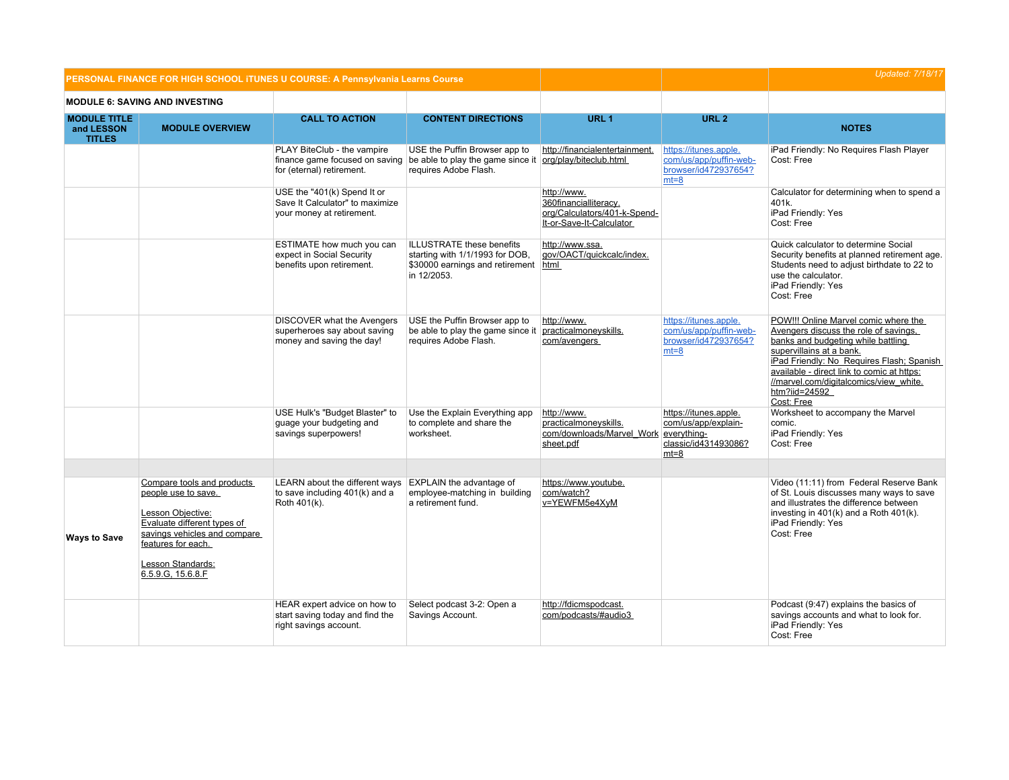|                                                    | PERSONAL FINANCE FOR HIGH SCHOOL ITUNES U COURSE: A Pennsylvania Learns Course                                                                                          |                                                                                             |                                                                                                                            |                                                                                                  |                                                                                   | <b>Updated: 7/18/17</b>                                                                                                                                                                                                                                                                                             |
|----------------------------------------------------|-------------------------------------------------------------------------------------------------------------------------------------------------------------------------|---------------------------------------------------------------------------------------------|----------------------------------------------------------------------------------------------------------------------------|--------------------------------------------------------------------------------------------------|-----------------------------------------------------------------------------------|---------------------------------------------------------------------------------------------------------------------------------------------------------------------------------------------------------------------------------------------------------------------------------------------------------------------|
|                                                    | <b>MODULE 6: SAVING AND INVESTING</b>                                                                                                                                   |                                                                                             |                                                                                                                            |                                                                                                  |                                                                                   |                                                                                                                                                                                                                                                                                                                     |
| <b>MODULE TITLE</b><br>and LESSON<br><b>TITLES</b> | <b>MODULE OVERVIEW</b>                                                                                                                                                  | <b>CALL TO ACTION</b>                                                                       | <b>CONTENT DIRECTIONS</b>                                                                                                  | URL <sub>1</sub>                                                                                 | URL <sub>2</sub>                                                                  | <b>NOTES</b>                                                                                                                                                                                                                                                                                                        |
|                                                    |                                                                                                                                                                         | PLAY BiteClub - the vampire<br>for (eternal) retirement.                                    | USE the Puffin Browser app to<br>finance game focused on saving be able to play the game since it<br>requires Adobe Flash. | http://financialentertainment.<br>org/play/biteclub.html                                         | https://itunes.apple.<br>com/us/app/puffin-web-<br>browser/id472937654?<br>$mt=8$ | iPad Friendly: No Requires Flash Player<br>Cost: Free                                                                                                                                                                                                                                                               |
|                                                    |                                                                                                                                                                         | USE the "401(k) Spend It or<br>Save It Calculator" to maximize<br>your money at retirement. |                                                                                                                            | http://www.<br>360financialliteracy.<br>org/Calculators/401-k-Spend-<br>It-or-Save-It-Calculator |                                                                                   | Calculator for determining when to spend a<br>401k.<br>iPad Friendly: Yes<br>Cost: Free                                                                                                                                                                                                                             |
|                                                    |                                                                                                                                                                         | ESTIMATE how much you can<br>expect in Social Security<br>benefits upon retirement.         | <b>ILLUSTRATE</b> these benefits<br>starting with 1/1/1993 for DOB,<br>\$30000 earnings and retirement html<br>in 12/2053. | http://www.ssa.<br>qov/OACT/quickcalc/index.                                                     |                                                                                   | Quick calculator to determine Social<br>Security benefits at planned retirement age.<br>Students need to adjust birthdate to 22 to<br>use the calculator.<br>iPad Friendly: Yes<br>Cost: Free                                                                                                                       |
|                                                    |                                                                                                                                                                         | DISCOVER what the Avengers<br>superheroes say about saving<br>money and saving the day!     | USE the Puffin Browser app to<br>be able to play the game since it<br>requires Adobe Flash.                                | http://www.<br>practicalmoneyskills.<br>com/avengers                                             | https://itunes.apple.<br>com/us/app/puffin-web-<br>browser/id472937654?<br>$mt=8$ | POW!!! Online Marvel comic where the<br>Avengers discuss the role of savings.<br>banks and budgeting while battling<br>supervillains at a bank.<br>iPad Friendly: No Requires Flash; Spanish<br>available - direct link to comic at https:<br>//marvel.com/digitalcomics/view white.<br>htm?iid=24592<br>Cost: Free |
|                                                    |                                                                                                                                                                         | USE Hulk's "Budget Blaster" to<br>quage your budgeting and<br>savings superpowers!          | Use the Explain Everything app<br>to complete and share the<br>worksheet.                                                  | http://www.<br>practicalmoneyskills.<br>com/downloads/Marvel Work everything-<br>sheet.pdf       | https://itunes.apple.<br>com/us/app/explain-<br>classic/id431493086?<br>$mt=8$    | Worksheet to accompany the Marvel<br>comic.<br>iPad Friendly: Yes<br>Cost: Free                                                                                                                                                                                                                                     |
|                                                    | Compare tools and products                                                                                                                                              | LEARN about the different ways EXPLAIN the advantage of                                     |                                                                                                                            | https://www.youtube.                                                                             |                                                                                   | Video (11:11) from Federal Reserve Bank                                                                                                                                                                                                                                                                             |
| <b>Ways to Save</b>                                | people use to save.<br>Lesson Objective:<br>Evaluate different types of<br>savings vehicles and compare<br>features for each.<br>Lesson Standards:<br>6.5.9.G, 15.6.8.F | to save including 401(k) and a<br>Roth 401(k).                                              | employee-matching in building<br>a retirement fund.                                                                        | com/watch?<br>v=YEWFM5e4XyM                                                                      |                                                                                   | of St. Louis discusses many ways to save<br>and illustrates the difference between<br>investing in $401(k)$ and a Roth $401(k)$ .<br>iPad Friendly: Yes<br>Cost: Free                                                                                                                                               |
|                                                    |                                                                                                                                                                         | HEAR expert advice on how to<br>start saving today and find the<br>right savings account.   | Select podcast 3-2: Open a<br>Savings Account.                                                                             | http://fdicmspodcast.<br>com/podcasts/#audio3                                                    |                                                                                   | Podcast (9:47) explains the basics of<br>savings accounts and what to look for.<br>iPad Friendly: Yes<br>Cost: Free                                                                                                                                                                                                 |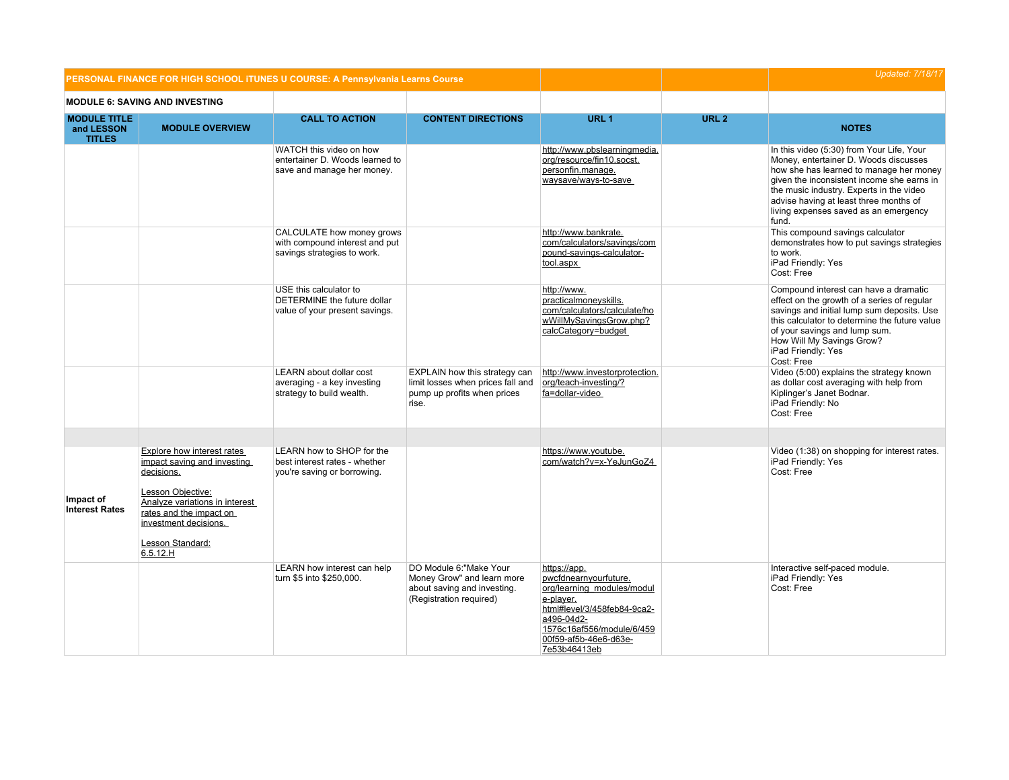|                                                    |                                                                                                                                                                                                                           | PERSONAL FINANCE FOR HIGH SCHOOL ITUNES U COURSE: A Pennsylvania Learns Course             |                                                                                                                 |                                                                                                                                                                                                     |                  | <b>Updated: 7/18/17</b>                                                                                                                                                                                                                                                                                             |
|----------------------------------------------------|---------------------------------------------------------------------------------------------------------------------------------------------------------------------------------------------------------------------------|--------------------------------------------------------------------------------------------|-----------------------------------------------------------------------------------------------------------------|-----------------------------------------------------------------------------------------------------------------------------------------------------------------------------------------------------|------------------|---------------------------------------------------------------------------------------------------------------------------------------------------------------------------------------------------------------------------------------------------------------------------------------------------------------------|
|                                                    | <b>MODULE 6: SAVING AND INVESTING</b>                                                                                                                                                                                     |                                                                                            |                                                                                                                 |                                                                                                                                                                                                     |                  |                                                                                                                                                                                                                                                                                                                     |
| <b>MODULE TITLE</b><br>and LESSON<br><b>TITLES</b> | <b>MODULE OVERVIEW</b>                                                                                                                                                                                                    | <b>CALL TO ACTION</b>                                                                      | <b>CONTENT DIRECTIONS</b>                                                                                       | URL <sub>1</sub>                                                                                                                                                                                    | URL <sub>2</sub> | <b>NOTES</b>                                                                                                                                                                                                                                                                                                        |
|                                                    |                                                                                                                                                                                                                           | WATCH this video on how<br>entertainer D. Woods learned to<br>save and manage her money.   |                                                                                                                 | http://www.pbslearningmedia.<br>org/resource/fin10.socst.<br>personfin.manage.<br>waysave/ways-to-save                                                                                              |                  | In this video (5:30) from Your Life, Your<br>Money, entertainer D. Woods discusses<br>how she has learned to manage her money<br>given the inconsistent income she earns in<br>the music industry. Experts in the video<br>advise having at least three months of<br>living expenses saved as an emergency<br>fund. |
|                                                    |                                                                                                                                                                                                                           | CALCULATE how money grows<br>with compound interest and put<br>savings strategies to work. |                                                                                                                 | http://www.bankrate.<br>com/calculators/savings/com<br>pound-savings-calculator-<br>tool.aspx                                                                                                       |                  | This compound savings calculator<br>demonstrates how to put savings strategies<br>to work.<br>iPad Friendly: Yes<br>Cost: Free                                                                                                                                                                                      |
|                                                    |                                                                                                                                                                                                                           | USE this calculator to<br>DETERMINE the future dollar<br>value of your present savings.    |                                                                                                                 | http://www.<br>practicalmoneyskills.<br>com/calculators/calculate/ho<br>wWillMySavingsGrow.php?<br>calcCategory=budget                                                                              |                  | Compound interest can have a dramatic<br>effect on the growth of a series of regular<br>savings and initial lump sum deposits. Use<br>this calculator to determine the future value<br>of your savings and lump sum.<br>How Will My Savings Grow?<br>iPad Friendly: Yes<br>Cost: Free                               |
|                                                    |                                                                                                                                                                                                                           | LEARN about dollar cost<br>averaging - a key investing<br>strategy to build wealth.        | EXPLAIN how this strategy can<br>limit losses when prices fall and<br>pump up profits when prices<br>rise.      | http://www.investorprotection.<br>org/teach-investing/?<br>fa=dollar-video                                                                                                                          |                  | Video (5:00) explains the strategy known<br>as dollar cost averaging with help from<br>Kiplinger's Janet Bodnar.<br>iPad Friendly: No<br>Cost: Free                                                                                                                                                                 |
|                                                    |                                                                                                                                                                                                                           |                                                                                            |                                                                                                                 |                                                                                                                                                                                                     |                  |                                                                                                                                                                                                                                                                                                                     |
| Impact of<br><b>Interest Rates</b>                 | <b>Explore how interest rates</b><br>impact saving and investing<br>decisions.<br>Lesson Objective:<br>Analyze variations in interest<br>rates and the impact on<br>investment decisions.<br>Lesson Standard:<br>6.5.12.H | LEARN how to SHOP for the<br>best interest rates - whether<br>you're saving or borrowing.  |                                                                                                                 | https://www.youtube.<br>com/watch?v=x-YeJunGoZ4                                                                                                                                                     |                  | Video (1:38) on shopping for interest rates.<br>iPad Friendly: Yes<br>Cost: Free                                                                                                                                                                                                                                    |
|                                                    |                                                                                                                                                                                                                           | LEARN how interest can help<br>turn \$5 into \$250,000.                                    | DO Module 6: "Make Your<br>Money Grow" and learn more<br>about saving and investing.<br>(Registration required) | https://app.<br>pwcfdnearnyourfuture.<br>org/learning modules/modul<br>e-player.<br>html#level/3/458feb84-9ca2-<br>a496-04d2-<br>1576c16af556/module/6/459<br>00f59-af5b-46e6-d63e-<br>7e53b46413eb |                  | Interactive self-paced module.<br>iPad Friendly: Yes<br>Cost: Free                                                                                                                                                                                                                                                  |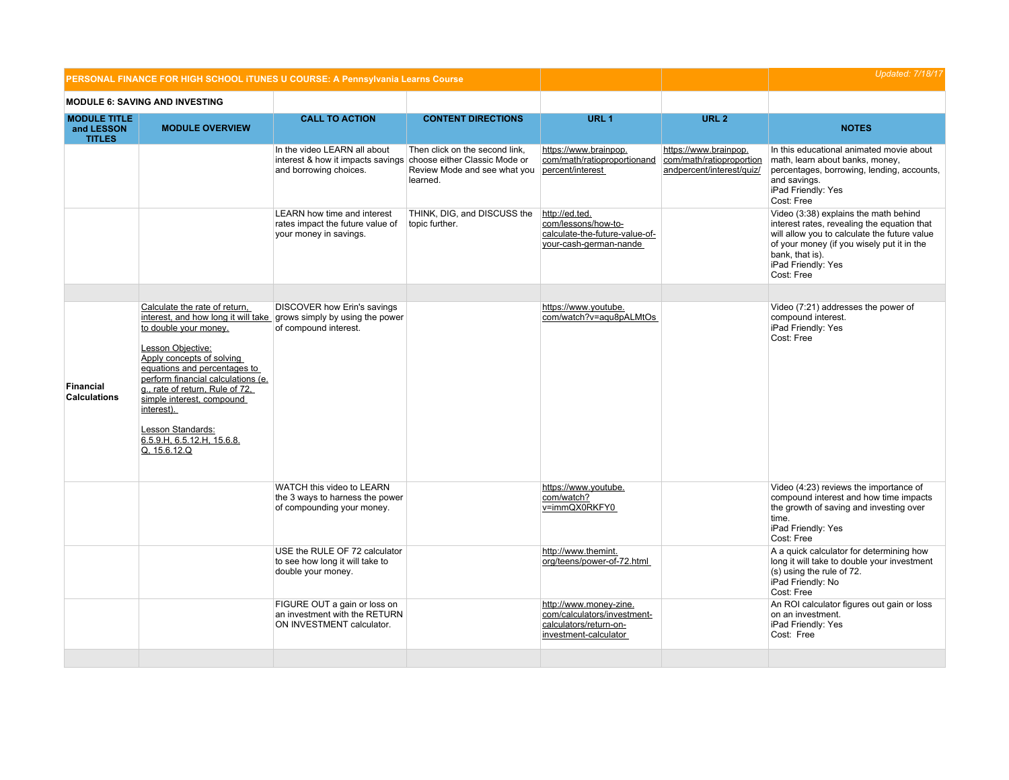|                                                    | PERSONAL FINANCE FOR HIGH SCHOOL ITUNES U COURSE: A Pennsylvania Learns Course                                                                                                                                                                                                                                                                                                                         |                                                                                                                           |                                                                            |                                                                                                          |                                                                                | <b>Updated: 7/18/17</b>                                                                                                                                                                                                                   |
|----------------------------------------------------|--------------------------------------------------------------------------------------------------------------------------------------------------------------------------------------------------------------------------------------------------------------------------------------------------------------------------------------------------------------------------------------------------------|---------------------------------------------------------------------------------------------------------------------------|----------------------------------------------------------------------------|----------------------------------------------------------------------------------------------------------|--------------------------------------------------------------------------------|-------------------------------------------------------------------------------------------------------------------------------------------------------------------------------------------------------------------------------------------|
|                                                    | <b>MODULE 6: SAVING AND INVESTING</b>                                                                                                                                                                                                                                                                                                                                                                  |                                                                                                                           |                                                                            |                                                                                                          |                                                                                |                                                                                                                                                                                                                                           |
| <b>MODULE TITLE</b><br>and LESSON<br><b>TITLES</b> | <b>MODULE OVERVIEW</b>                                                                                                                                                                                                                                                                                                                                                                                 | <b>CALL TO ACTION</b>                                                                                                     | <b>CONTENT DIRECTIONS</b>                                                  | URL <sub>1</sub>                                                                                         | URL <sub>2</sub>                                                               | <b>NOTES</b>                                                                                                                                                                                                                              |
|                                                    |                                                                                                                                                                                                                                                                                                                                                                                                        | In the video LEARN all about<br>interest & how it impacts savings choose either Classic Mode or<br>and borrowing choices. | Then click on the second link,<br>Review Mode and see what you<br>learned. | https://www.brainpop.<br>com/math/ratioproportionand<br>percent/interest                                 | https://www.brainpop.<br>com/math/ratioproportion<br>andpercent/interest/quiz/ | In this educational animated movie about<br>math, learn about banks, money,<br>percentages, borrowing, lending, accounts,<br>and savings.<br>iPad Friendly: Yes<br>Cost: Free                                                             |
|                                                    |                                                                                                                                                                                                                                                                                                                                                                                                        | <b>LEARN</b> how time and interest<br>rates impact the future value of<br>your money in savings.                          | THINK, DIG, and DISCUSS the<br>topic further.                              | http://ed.ted.<br>com/lessons/how-to-<br>calculate-the-future-value-of-<br>your-cash-german-nande        |                                                                                | Video (3:38) explains the math behind<br>interest rates, revealing the equation that<br>will allow you to calculate the future value<br>of your money (if you wisely put it in the<br>bank, that is).<br>iPad Friendly: Yes<br>Cost: Free |
|                                                    |                                                                                                                                                                                                                                                                                                                                                                                                        |                                                                                                                           |                                                                            |                                                                                                          |                                                                                |                                                                                                                                                                                                                                           |
| <b>Financial</b><br><b>Calculations</b>            | Calculate the rate of return,<br>interest, and how long it will take grows simply by using the power<br>to double your money.<br>Lesson Objective:<br>Apply concepts of solving<br>equations and percentages to<br>perform financial calculations (e.<br>g., rate of return, Rule of 72,<br>simple interest, compound<br>interest).<br>Lesson Standards:<br>6.5.9.H, 6.5.12.H, 15.6.8.<br>Q, 15.6.12.Q | DISCOVER how Erin's savings<br>of compound interest.                                                                      |                                                                            | https://www.youtube.<br>com/watch?v=aqu8pALMtOs                                                          |                                                                                | Video (7:21) addresses the power of<br>compound interest.<br>iPad Friendly: Yes<br>Cost: Free                                                                                                                                             |
|                                                    |                                                                                                                                                                                                                                                                                                                                                                                                        | WATCH this video to LEARN<br>the 3 ways to harness the power<br>of compounding your money.                                |                                                                            | https://www.youtube.<br>com/watch?<br>v=immQX0RKFY0                                                      |                                                                                | Video (4:23) reviews the importance of<br>compound interest and how time impacts<br>the growth of saving and investing over<br>time.<br>iPad Friendly: Yes<br>Cost: Free                                                                  |
|                                                    |                                                                                                                                                                                                                                                                                                                                                                                                        | USE the RULE OF 72 calculator<br>to see how long it will take to<br>double your money.                                    |                                                                            | http://www.themint.<br>org/teens/power-of-72.html                                                        |                                                                                | A a quick calculator for determining how<br>long it will take to double your investment<br>(s) using the rule of 72.<br>iPad Friendly: No<br>Cost: Free                                                                                   |
|                                                    |                                                                                                                                                                                                                                                                                                                                                                                                        | FIGURE OUT a gain or loss on<br>an investment with the RETURN<br>ON INVESTMENT calculator.                                |                                                                            | http://www.money-zine.<br>com/calculators/investment-<br>calculators/return-on-<br>investment-calculator |                                                                                | An ROI calculator figures out gain or loss<br>on an investment.<br>iPad Friendly: Yes<br>Cost: Free                                                                                                                                       |
|                                                    |                                                                                                                                                                                                                                                                                                                                                                                                        |                                                                                                                           |                                                                            |                                                                                                          |                                                                                |                                                                                                                                                                                                                                           |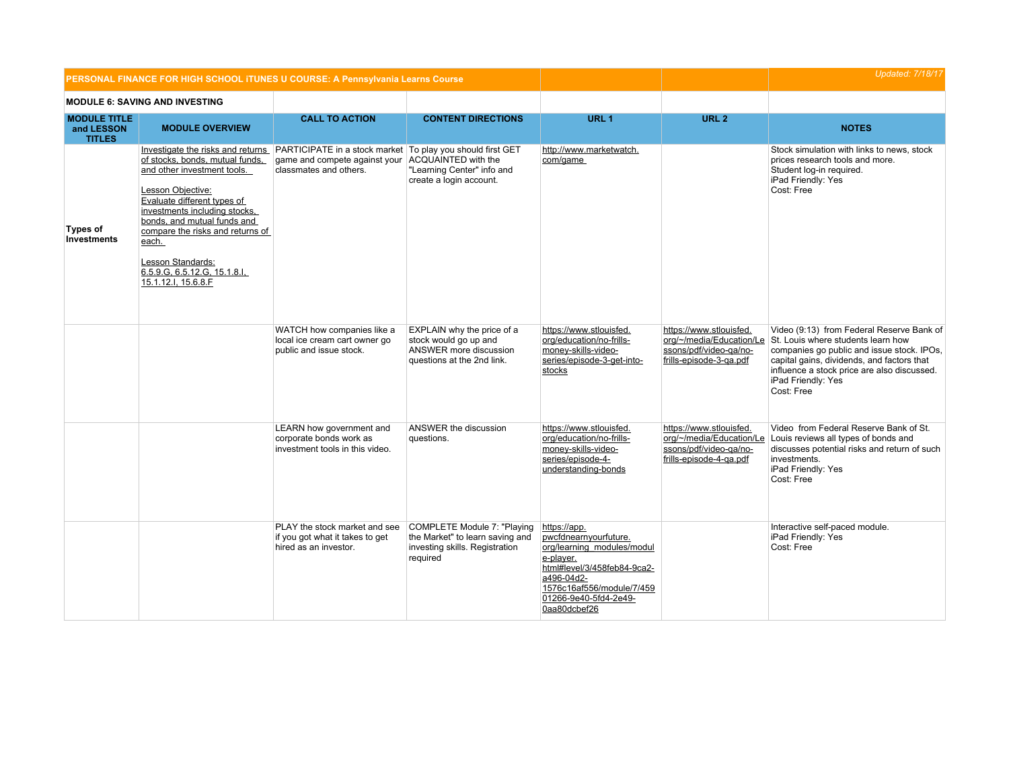|                                                    | PERSONAL FINANCE FOR HIGH SCHOOL ITUNES U COURSE: A Pennsylvania Learns Course                                                                                                                                                                                                                                                                   |                                                                                                                                                  |                                                                                                              |                                                                                                                                                                                                     |                                                                                                          | <b>Updated: 7/18/17</b>                                                                                                                                                                                                                                        |
|----------------------------------------------------|--------------------------------------------------------------------------------------------------------------------------------------------------------------------------------------------------------------------------------------------------------------------------------------------------------------------------------------------------|--------------------------------------------------------------------------------------------------------------------------------------------------|--------------------------------------------------------------------------------------------------------------|-----------------------------------------------------------------------------------------------------------------------------------------------------------------------------------------------------|----------------------------------------------------------------------------------------------------------|----------------------------------------------------------------------------------------------------------------------------------------------------------------------------------------------------------------------------------------------------------------|
|                                                    | <b>MODULE 6: SAVING AND INVESTING</b>                                                                                                                                                                                                                                                                                                            |                                                                                                                                                  |                                                                                                              |                                                                                                                                                                                                     |                                                                                                          |                                                                                                                                                                                                                                                                |
| <b>MODULE TITLE</b><br>and LESSON<br><b>TITLES</b> | <b>MODULE OVERVIEW</b>                                                                                                                                                                                                                                                                                                                           | <b>CALL TO ACTION</b>                                                                                                                            | <b>CONTENT DIRECTIONS</b>                                                                                    | URL <sub>1</sub>                                                                                                                                                                                    | URL <sub>2</sub>                                                                                         | <b>NOTES</b>                                                                                                                                                                                                                                                   |
| Types of<br><b>Investments</b>                     | Investigate the risks and returns<br>of stocks, bonds, mutual funds,<br>and other investment tools.<br>Lesson Objective:<br>Evaluate different types of<br>investments including stocks,<br>bonds, and mutual funds and<br>compare the risks and returns of<br>each.<br>Lesson Standards:<br>6.5.9.G, 6.5.12.G, 15.1.8.I,<br>15.1.12.I, 15.6.8.F | <b>PARTICIPATE</b> in a stock market To play you should first GET<br>game and compete against your ACQUAINTED with the<br>classmates and others. | "Learning Center" info and<br>create a login account.                                                        | http://www.marketwatch.<br>com/game                                                                                                                                                                 |                                                                                                          | Stock simulation with links to news, stock<br>prices research tools and more.<br>Student log-in required.<br>iPad Friendly: Yes<br>Cost: Free                                                                                                                  |
|                                                    |                                                                                                                                                                                                                                                                                                                                                  | WATCH how companies like a<br>local ice cream cart owner go<br>public and issue stock.                                                           | EXPLAIN why the price of a<br>stock would go up and<br>ANSWER more discussion<br>questions at the 2nd link.  | https://www.stlouisfed.<br>org/education/no-frills-<br>money-skills-video-<br>series/episode-3-get-into-<br>stocks                                                                                  | https://www.stlouisfed.<br>org/~/media/Education/Le<br>ssons/pdf/video-ga/no-<br>frills-episode-3-ga.pdf | Video (9:13) from Federal Reserve Bank of<br>St. Louis where students learn how<br>companies go public and issue stock. IPOs,<br>capital gains, dividends, and factors that<br>influence a stock price are also discussed.<br>iPad Friendly: Yes<br>Cost: Free |
|                                                    |                                                                                                                                                                                                                                                                                                                                                  | LEARN how government and<br>corporate bonds work as<br>investment tools in this video.                                                           | ANSWER the discussion<br>questions.                                                                          | https://www.stlouisfed.<br>org/education/no-frills-<br>money-skills-video-<br>series/episode-4-<br>understanding-bonds                                                                              | https://www.stlouisfed.<br>ssons/pdf/video-qa/no-<br>frills-episode-4-ga.pdf                             | Video from Federal Reserve Bank of St.<br>org/~/media/Education/Le Louis reviews all types of bonds and<br>discusses potential risks and return of such<br>investments.<br>iPad Friendly: Yes<br>Cost: Free                                                    |
|                                                    |                                                                                                                                                                                                                                                                                                                                                  | PLAY the stock market and see<br>if you got what it takes to get<br>hired as an investor.                                                        | COMPLETE Module 7: "Playing<br>the Market" to learn saving and<br>investing skills. Registration<br>required | https://app.<br>pwcfdnearnyourfuture.<br>org/learning_modules/modul<br>e-player.<br>html#level/3/458feb84-9ca2-<br>a496-04d2-<br>1576c16af556/module/7/459<br>01266-9e40-5fd4-2e49-<br>0aa80dcbef26 |                                                                                                          | Interactive self-paced module.<br>iPad Friendly: Yes<br>Cost: Free                                                                                                                                                                                             |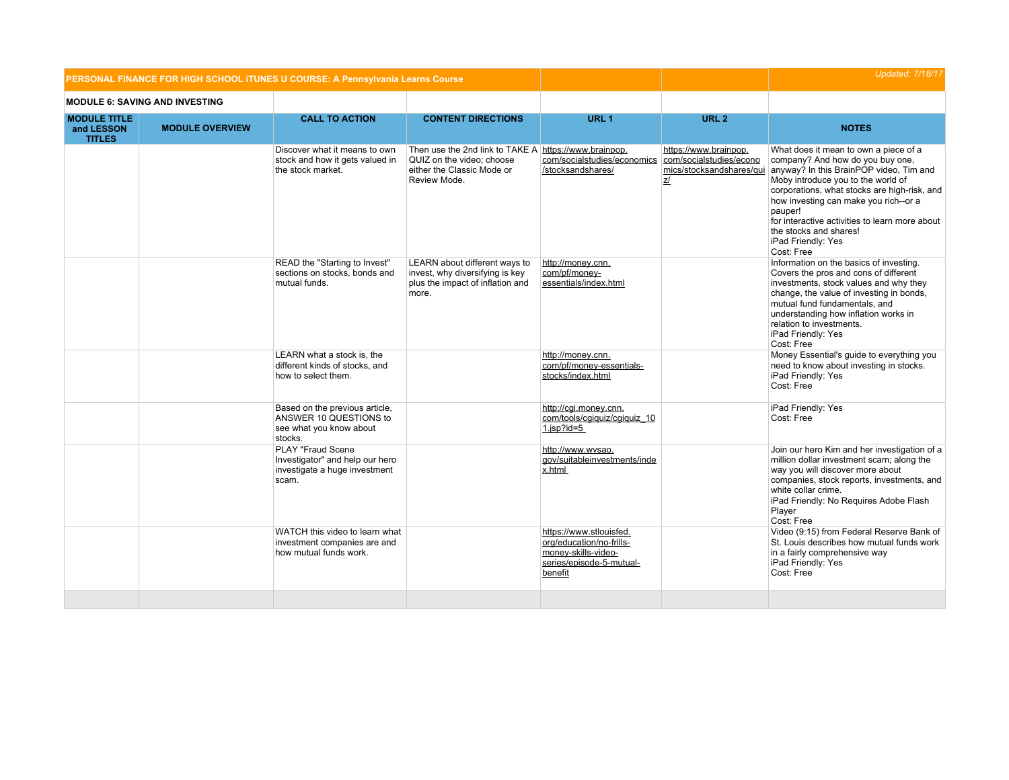|                                                    |                                       | PERSONAL FINANCE FOR HIGH SCHOOL ITUNES U COURSE: A Pennsylvania Learns Course                 |                                                                                                                                  |                                                                                                                   |                                                                                           | <b>Updated: 7/18/17</b>                                                                                                                                                                                                                                                                                                                                                        |
|----------------------------------------------------|---------------------------------------|------------------------------------------------------------------------------------------------|----------------------------------------------------------------------------------------------------------------------------------|-------------------------------------------------------------------------------------------------------------------|-------------------------------------------------------------------------------------------|--------------------------------------------------------------------------------------------------------------------------------------------------------------------------------------------------------------------------------------------------------------------------------------------------------------------------------------------------------------------------------|
|                                                    | <b>MODULE 6: SAVING AND INVESTING</b> |                                                                                                |                                                                                                                                  |                                                                                                                   |                                                                                           |                                                                                                                                                                                                                                                                                                                                                                                |
| <b>MODULE TITLE</b><br>and LESSON<br><b>TITLES</b> | <b>MODULE OVERVIEW</b>                | <b>CALL TO ACTION</b>                                                                          | <b>CONTENT DIRECTIONS</b>                                                                                                        | URL <sub>1</sub>                                                                                                  | URL <sub>2</sub>                                                                          | <b>NOTES</b>                                                                                                                                                                                                                                                                                                                                                                   |
|                                                    |                                       | Discover what it means to own<br>stock and how it gets valued in<br>the stock market.          | Then use the 2nd link to TAKE A https://www.brainpop.<br>QUIZ on the video: choose<br>either the Classic Mode or<br>Review Mode. | com/socialstudies/economics<br>/stocksandshares/                                                                  | https://www.brainpop.<br>com/socialstudies/econo<br>mics/stocksandshares/qui<br><u>z/</u> | What does it mean to own a piece of a<br>company? And how do you buy one,<br>anyway? In this BrainPOP video, Tim and<br>Moby introduce you to the world of<br>corporations, what stocks are high-risk, and<br>how investing can make you rich--or a<br>pauper!<br>for interactive activities to learn more about<br>the stocks and shares!<br>iPad Friendly: Yes<br>Cost: Free |
|                                                    |                                       | READ the "Starting to Invest"<br>sections on stocks, bonds and<br>mutual funds.                | LEARN about different ways to<br>invest, why diversifying is key<br>plus the impact of inflation and<br>more.                    | http://money.cnn.<br>com/pf/money-<br>essentials/index.html                                                       |                                                                                           | Information on the basics of investing.<br>Covers the pros and cons of different<br>investments, stock values and why they<br>change, the value of investing in bonds,<br>mutual fund fundamentals, and<br>understanding how inflation works in<br>relation to investments.<br>iPad Friendly: Yes<br>Cost: Free                                                                |
|                                                    |                                       | LEARN what a stock is, the<br>different kinds of stocks, and<br>how to select them.            |                                                                                                                                  | http://money.cnn.<br>com/pf/money-essentials-<br>stocks/index.html                                                |                                                                                           | Money Essential's guide to everything you<br>need to know about investing in stocks.<br>iPad Friendly: Yes<br>Cost: Free                                                                                                                                                                                                                                                       |
|                                                    |                                       | Based on the previous article,<br>ANSWER 10 QUESTIONS to<br>see what you know about<br>stocks. |                                                                                                                                  | http://cqi.money.cnn.<br>com/tools/cgiquiz/cgiquiz 10<br>$1$ .jsp?id=5                                            |                                                                                           | iPad Friendly: Yes<br>Cost: Free                                                                                                                                                                                                                                                                                                                                               |
|                                                    |                                       | PLAY "Fraud Scene<br>Investigator" and help our hero<br>investigate a huge investment<br>scam. |                                                                                                                                  | http://www.wvsao.<br>gov/suitableinvestments/inde<br>x.html                                                       |                                                                                           | Join our hero Kim and her investigation of a<br>million dollar investment scam; along the<br>way you will discover more about<br>companies, stock reports, investments, and<br>white collar crime.<br>iPad Friendly: No Requires Adobe Flash<br>Player<br>Cost: Free                                                                                                           |
|                                                    |                                       | WATCH this video to learn what<br>investment companies are and<br>how mutual funds work.       |                                                                                                                                  | https://www.stlouisfed.<br>org/education/no-frills-<br>money-skills-video-<br>series/episode-5-mutual-<br>benefit |                                                                                           | Video (9:15) from Federal Reserve Bank of<br>St. Louis describes how mutual funds work<br>in a fairly comprehensive way<br>iPad Friendly: Yes<br>Cost: Free                                                                                                                                                                                                                    |
|                                                    |                                       |                                                                                                |                                                                                                                                  |                                                                                                                   |                                                                                           |                                                                                                                                                                                                                                                                                                                                                                                |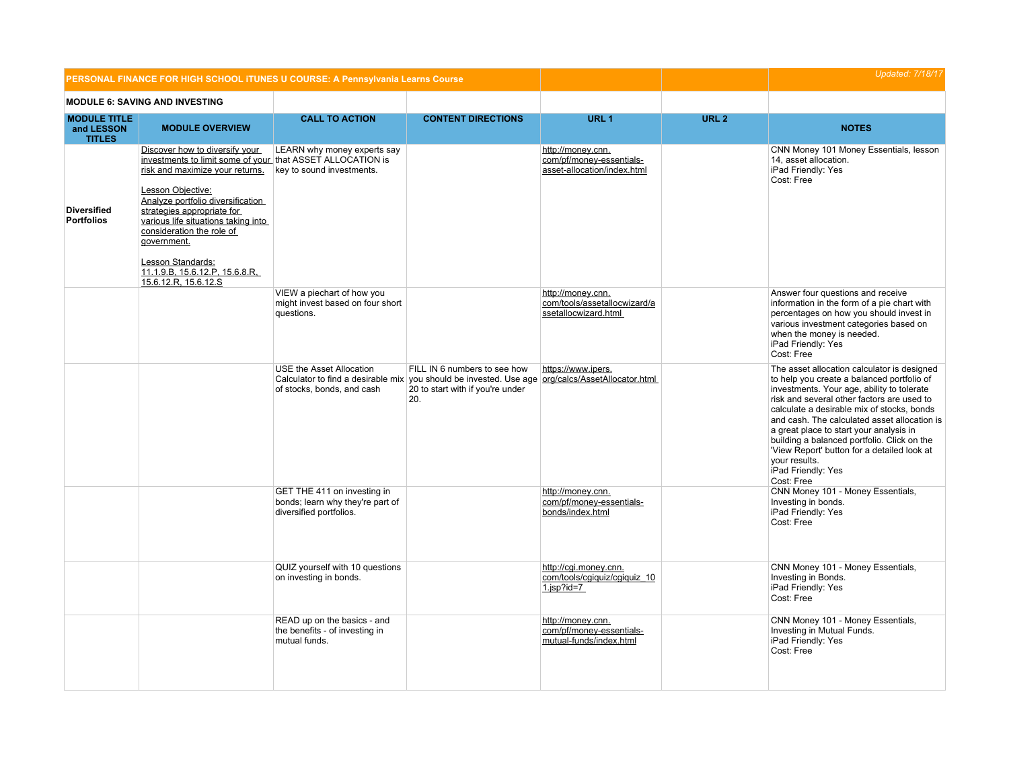|                                                    | PERSONAL FINANCE FOR HIGH SCHOOL ITUNES U COURSE: A Pennsylvania Learns Course                                                                                                                                                                                                                                                                                                            |                                                                                            |                                                                                                                                                                             |                                                                              |                  | <b>Updated: 7/18/17</b>                                                                                                                                                                                                                                                                                                                                                                                                                                                           |
|----------------------------------------------------|-------------------------------------------------------------------------------------------------------------------------------------------------------------------------------------------------------------------------------------------------------------------------------------------------------------------------------------------------------------------------------------------|--------------------------------------------------------------------------------------------|-----------------------------------------------------------------------------------------------------------------------------------------------------------------------------|------------------------------------------------------------------------------|------------------|-----------------------------------------------------------------------------------------------------------------------------------------------------------------------------------------------------------------------------------------------------------------------------------------------------------------------------------------------------------------------------------------------------------------------------------------------------------------------------------|
|                                                    | <b>MODULE 6: SAVING AND INVESTING</b>                                                                                                                                                                                                                                                                                                                                                     |                                                                                            |                                                                                                                                                                             |                                                                              |                  |                                                                                                                                                                                                                                                                                                                                                                                                                                                                                   |
| <b>MODULE TITLE</b><br>and LESSON<br><b>TITLES</b> | <b>MODULE OVERVIEW</b>                                                                                                                                                                                                                                                                                                                                                                    | <b>CALL TO ACTION</b>                                                                      | <b>CONTENT DIRECTIONS</b>                                                                                                                                                   | URL <sub>1</sub>                                                             | URL <sub>2</sub> | <b>NOTES</b>                                                                                                                                                                                                                                                                                                                                                                                                                                                                      |
| <b>Diversified</b><br><b>Portfolios</b>            | Discover how to diversify your<br>investments to limit some of your that ASSET ALLOCATION is<br>risk and maximize your returns.<br>Lesson Objective:<br>Analyze portfolio diversification<br>strategies appropriate for<br>various life situations taking into<br>consideration the role of<br>government.<br>Lesson Standards:<br>11.1.9.B, 15.6.12.P, 15.6.8.R,<br>15.6.12.R, 15.6.12.S | LEARN why money experts say<br>key to sound investments.                                   |                                                                                                                                                                             | http://money.cnn.<br>com/pf/money-essentials-<br>asset-allocation/index.html |                  | CNN Money 101 Money Essentials, lesson<br>14, asset allocation.<br>iPad Friendly: Yes<br>Cost: Free                                                                                                                                                                                                                                                                                                                                                                               |
|                                                    |                                                                                                                                                                                                                                                                                                                                                                                           | VIEW a piechart of how you<br>might invest based on four short<br>questions.               |                                                                                                                                                                             | http://money.cnn.<br>com/tools/assetallocwizard/a<br>ssetallocwizard.html    |                  | Answer four questions and receive<br>information in the form of a pie chart with<br>percentages on how you should invest in<br>various investment categories based on<br>when the money is needed.<br>iPad Friendly: Yes<br>Cost: Free                                                                                                                                                                                                                                            |
|                                                    |                                                                                                                                                                                                                                                                                                                                                                                           | USE the Asset Allocation<br>of stocks, bonds, and cash                                     | FILL IN 6 numbers to see how<br>Calculator to find a desirable mix you should be invested. Use age org/calcs/AssetAllocator.html<br>20 to start with if you're under<br>20. | https://www.ipers.                                                           |                  | The asset allocation calculator is designed<br>to help you create a balanced portfolio of<br>investments. Your age, ability to tolerate<br>risk and several other factors are used to<br>calculate a desirable mix of stocks, bonds<br>and cash. The calculated asset allocation is<br>a great place to start your analysis in<br>building a balanced portfolio. Click on the<br>'View Report' button for a detailed look at<br>your results.<br>iPad Friendly: Yes<br>Cost: Free |
|                                                    |                                                                                                                                                                                                                                                                                                                                                                                           | GET THE 411 on investing in<br>bonds; learn why they're part of<br>diversified portfolios. |                                                                                                                                                                             | http://money.cnn.<br>com/pf/money-essentials-<br>bonds/index.html            |                  | CNN Money 101 - Money Essentials,<br>Investing in bonds.<br>iPad Friendly: Yes<br>Cost: Free                                                                                                                                                                                                                                                                                                                                                                                      |
|                                                    |                                                                                                                                                                                                                                                                                                                                                                                           | QUIZ yourself with 10 questions<br>on investing in bonds.                                  |                                                                                                                                                                             | http://cqi.money.cnn.<br>com/tools/cgiquiz/cgiquiz 10<br>$1$ .jsp?id=7       |                  | CNN Money 101 - Money Essentials,<br>Investing in Bonds.<br>iPad Friendly: Yes<br>Cost: Free                                                                                                                                                                                                                                                                                                                                                                                      |
|                                                    |                                                                                                                                                                                                                                                                                                                                                                                           | READ up on the basics - and<br>the benefits - of investing in<br>mutual funds.             |                                                                                                                                                                             | http://money.cnn.<br>com/pf/money-essentials-<br>mutual-funds/index.html     |                  | CNN Money 101 - Money Essentials,<br>Investing in Mutual Funds.<br>iPad Friendly: Yes<br>Cost: Free                                                                                                                                                                                                                                                                                                                                                                               |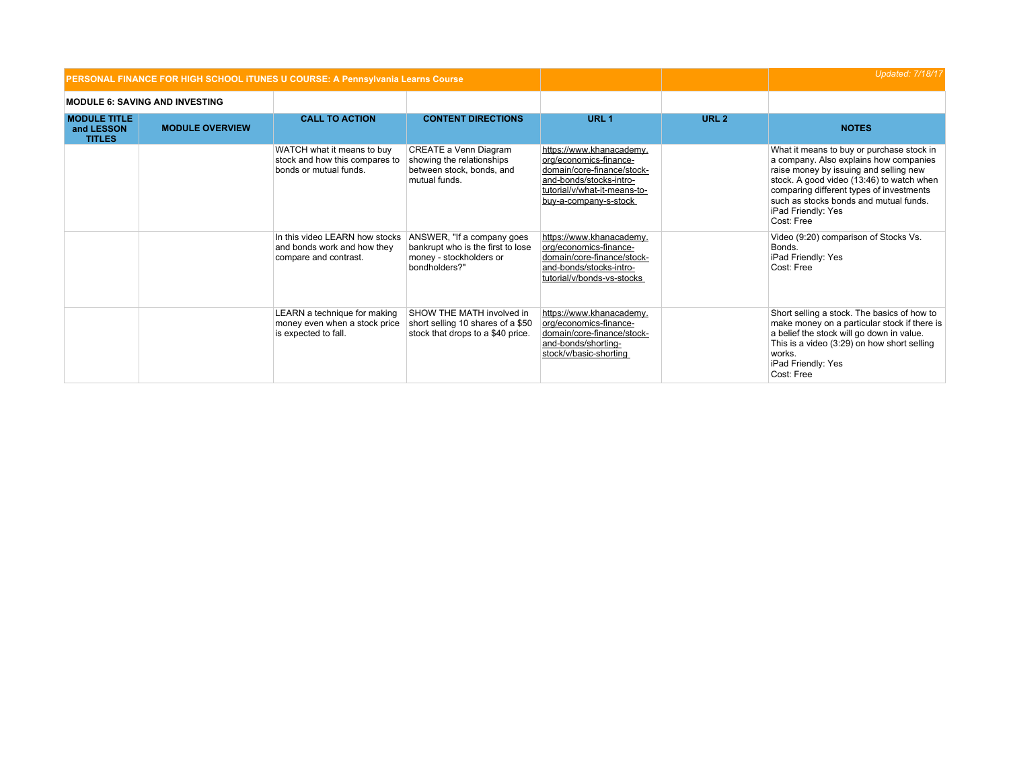|                                                    |                                       | PERSONAL FINANCE FOR HIGH SCHOOL ITUNES U COURSE: A Pennsylvania Learns Course         |                                                                                                             |                                                                                                                                                                      | <b>Updated: 7/18/17</b> |                                                                                                                                                                                                                                                                                                      |
|----------------------------------------------------|---------------------------------------|----------------------------------------------------------------------------------------|-------------------------------------------------------------------------------------------------------------|----------------------------------------------------------------------------------------------------------------------------------------------------------------------|-------------------------|------------------------------------------------------------------------------------------------------------------------------------------------------------------------------------------------------------------------------------------------------------------------------------------------------|
|                                                    | <b>MODULE 6: SAVING AND INVESTING</b> |                                                                                        |                                                                                                             |                                                                                                                                                                      |                         |                                                                                                                                                                                                                                                                                                      |
| <b>MODULE TITLE</b><br>and LESSON<br><b>TITLES</b> | <b>MODULE OVERVIEW</b>                | <b>CALL TO ACTION</b>                                                                  | <b>CONTENT DIRECTIONS</b>                                                                                   | URL <sub>1</sub>                                                                                                                                                     | URL <sub>2</sub>        | <b>NOTES</b>                                                                                                                                                                                                                                                                                         |
|                                                    |                                       | WATCH what it means to buy<br>stock and how this compares to<br>bonds or mutual funds. | CREATE a Venn Diagram<br>showing the relationships<br>between stock, bonds, and<br>mutual funds.            | https://www.khanacademy.<br>org/economics-finance-<br>domain/core-finance/stock-<br>and-bonds/stocks-intro-<br>tutorial/v/what-it-means-to-<br>buy-a-company-s-stock |                         | What it means to buy or purchase stock in<br>a company. Also explains how companies<br>raise money by issuing and selling new<br>stock. A good video (13:46) to watch when<br>comparing different types of investments<br>such as stocks bonds and mutual funds.<br>iPad Friendly: Yes<br>Cost: Free |
|                                                    |                                       | In this video LEARN how stocks<br>and bonds work and how they<br>compare and contrast. | ANSWER, "If a company goes<br>bankrupt who is the first to lose<br>money - stockholders or<br>bondholders?" | https://www.khanacademy.<br>org/economics-finance-<br>domain/core-finance/stock-<br>and-bonds/stocks-intro-<br>tutorial/v/bonds-vs-stocks                            |                         | Video (9:20) comparison of Stocks Vs.<br>Bonds.<br>iPad Friendly: Yes<br>Cost: Free                                                                                                                                                                                                                  |
|                                                    |                                       | LEARN a technique for making<br>money even when a stock price<br>is expected to fall.  | SHOW THE MATH involved in<br>short selling 10 shares of a \$50<br>stock that drops to a \$40 price.         | https://www.khanacademy.<br>org/economics-finance-<br>domain/core-finance/stock-<br>and-bonds/shorting-<br>stock/v/basic-shorting                                    |                         | Short selling a stock. The basics of how to<br>make money on a particular stock if there is<br>a belief the stock will go down in value.<br>This is a video (3:29) on how short selling<br>works.<br>iPad Friendly: Yes<br>Cost: Free                                                                |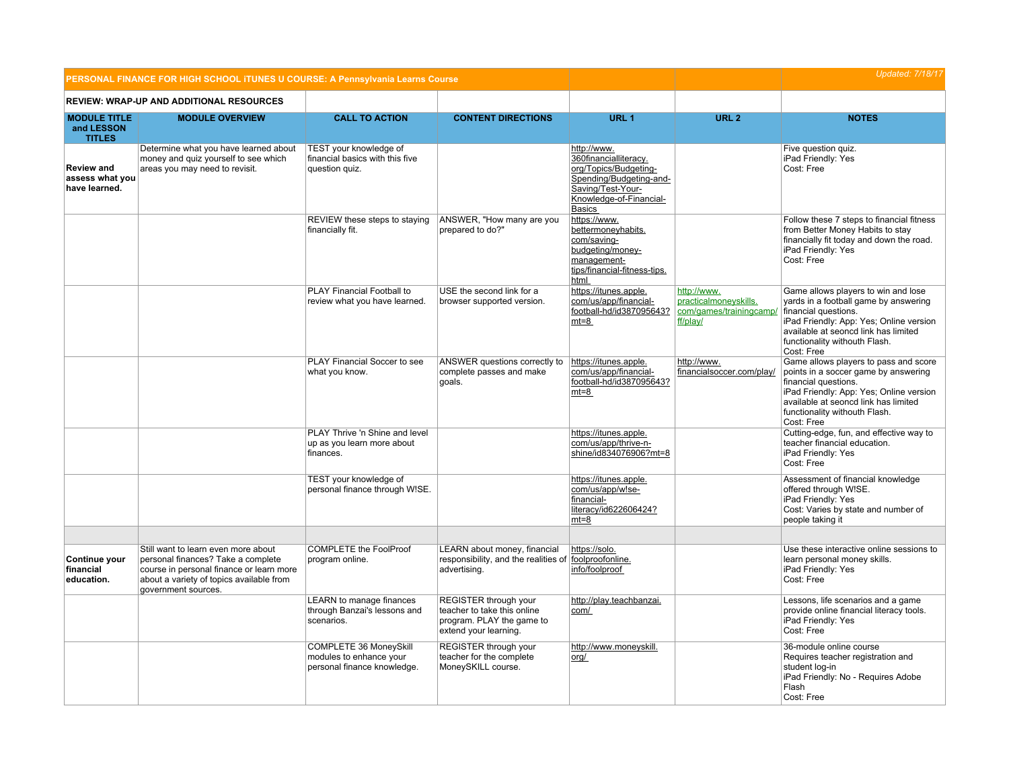|                                                       | PERSONAL FINANCE FOR HIGH SCHOOL ITUNES U COURSE: A Pennsylvania Learns Course                                                                                                           |                                                                                  |                                                                                                            |                                                                                                                                                           | <b>Updated: 7/18/17</b>                                                     |                                                                                                                                                                                                                                         |
|-------------------------------------------------------|------------------------------------------------------------------------------------------------------------------------------------------------------------------------------------------|----------------------------------------------------------------------------------|------------------------------------------------------------------------------------------------------------|-----------------------------------------------------------------------------------------------------------------------------------------------------------|-----------------------------------------------------------------------------|-----------------------------------------------------------------------------------------------------------------------------------------------------------------------------------------------------------------------------------------|
|                                                       | REVIEW: WRAP-UP AND ADDITIONAL RESOURCES                                                                                                                                                 |                                                                                  |                                                                                                            |                                                                                                                                                           |                                                                             |                                                                                                                                                                                                                                         |
| <b>MODULE TITLE</b><br>and LESSON<br><b>TITLES</b>    | <b>MODULE OVERVIEW</b>                                                                                                                                                                   | <b>CALL TO ACTION</b>                                                            | <b>CONTENT DIRECTIONS</b>                                                                                  | URL <sub>1</sub>                                                                                                                                          | URL <sub>2</sub>                                                            | <b>NOTES</b>                                                                                                                                                                                                                            |
| <b>Review and</b><br>assess what you<br>have learned. | Determine what you have learned about<br>money and quiz yourself to see which<br>areas you may need to revisit.                                                                          | TEST your knowledge of<br>financial basics with this five<br>question quiz.      |                                                                                                            | http://www.<br>360financialliteracy.<br>org/Topics/Budgeting-<br>Spending/Budgeting-and-<br>Saving/Test-Your-<br>Knowledge-of-Financial-<br><b>Basics</b> |                                                                             | Five question quiz.<br>iPad Friendly: Yes<br>Cost: Free                                                                                                                                                                                 |
|                                                       |                                                                                                                                                                                          | REVIEW these steps to staying<br>financially fit.                                | ANSWER, "How many are you<br>prepared to do?"                                                              | https://www.<br>bettermoneyhabits.<br>com/saving-<br>budgeting/money-<br>management-<br>tips/financial-fitness-tips.<br>html                              |                                                                             | Follow these 7 steps to financial fitness<br>from Better Money Habits to stay<br>financially fit today and down the road.<br>iPad Friendly: Yes<br>Cost: Free                                                                           |
|                                                       |                                                                                                                                                                                          | PLAY Financial Football to<br>review what you have learned.                      | USE the second link for a<br>browser supported version.                                                    | https://itunes.apple.<br>com/us/app/financial-<br>football-hd/id387095643?<br>$mt=8$                                                                      | http://www.<br>practicalmoneyskills.<br>com/games/trainingcamp/<br>ff/play/ | Game allows players to win and lose<br>yards in a football game by answering<br>financial questions.<br>iPad Friendly: App: Yes; Online version<br>available at seoncd link has limited<br>functionality withouth Flash.<br>Cost: Free  |
|                                                       |                                                                                                                                                                                          | PLAY Financial Soccer to see<br>what you know.                                   | ANSWER questions correctly to<br>complete passes and make<br>goals.                                        | https://itunes.apple.<br>com/us/app/financial-<br>football-hd/id387095643?<br>$mt=8$                                                                      | http://www.<br>financialsoccer.com/play/                                    | Game allows players to pass and score<br>points in a soccer game by answering<br>financial questions.<br>iPad Friendly: App: Yes; Online version<br>available at seoncd link has limited<br>functionality withouth Flash.<br>Cost: Free |
|                                                       |                                                                                                                                                                                          | PLAY Thrive 'n Shine and level<br>up as you learn more about<br>finances.        |                                                                                                            | https://itunes.apple.<br>com/us/app/thrive-n-<br>shine/id834076906?mt=8                                                                                   |                                                                             | Cutting-edge, fun, and effective way to<br>teacher financial education.<br>iPad Friendly: Yes<br>Cost: Free                                                                                                                             |
|                                                       |                                                                                                                                                                                          | TEST your knowledge of<br>personal finance through W!SE.                         |                                                                                                            | https://itunes.apple.<br>com/us/app/w!se-<br>financial-<br>literacy/id622606424?<br>$mt=8$                                                                |                                                                             | Assessment of financial knowledge<br>offered through W!SE.<br>iPad Friendly: Yes<br>Cost: Varies by state and number of<br>people taking it                                                                                             |
| Continue your<br>financial<br>education.              | Still want to learn even more about<br>personal finances? Take a complete<br>course in personal finance or learn more<br>about a variety of topics available from<br>government sources. | <b>COMPLETE the FoolProof</b><br>program online.                                 | LEARN about money, financial<br>responsibility, and the realities of foolproofonline.<br>advertising.      | https://solo.<br>info/foolproof                                                                                                                           |                                                                             | Use these interactive online sessions to<br>learn personal money skills.<br>iPad Friendly: Yes<br>Cost: Free                                                                                                                            |
|                                                       |                                                                                                                                                                                          | <b>LEARN</b> to manage finances<br>through Banzai's lessons and<br>scenarios.    | REGISTER through your<br>teacher to take this online<br>program. PLAY the game to<br>extend your learning. | http://play.teachbanzai.<br>com/                                                                                                                          |                                                                             | Lessons, life scenarios and a game<br>provide online financial literacy tools.<br>iPad Friendly: Yes<br>Cost: Free                                                                                                                      |
|                                                       |                                                                                                                                                                                          | COMPLETE 36 MoneySkill<br>modules to enhance your<br>personal finance knowledge. | REGISTER through your<br>teacher for the complete<br>MoneySKILL course.                                    | http://www.moneyskill.<br>org/                                                                                                                            |                                                                             | 36-module online course<br>Requires teacher registration and<br>student log-in<br>iPad Friendly: No - Requires Adobe<br>Flash<br>Cost: Free                                                                                             |